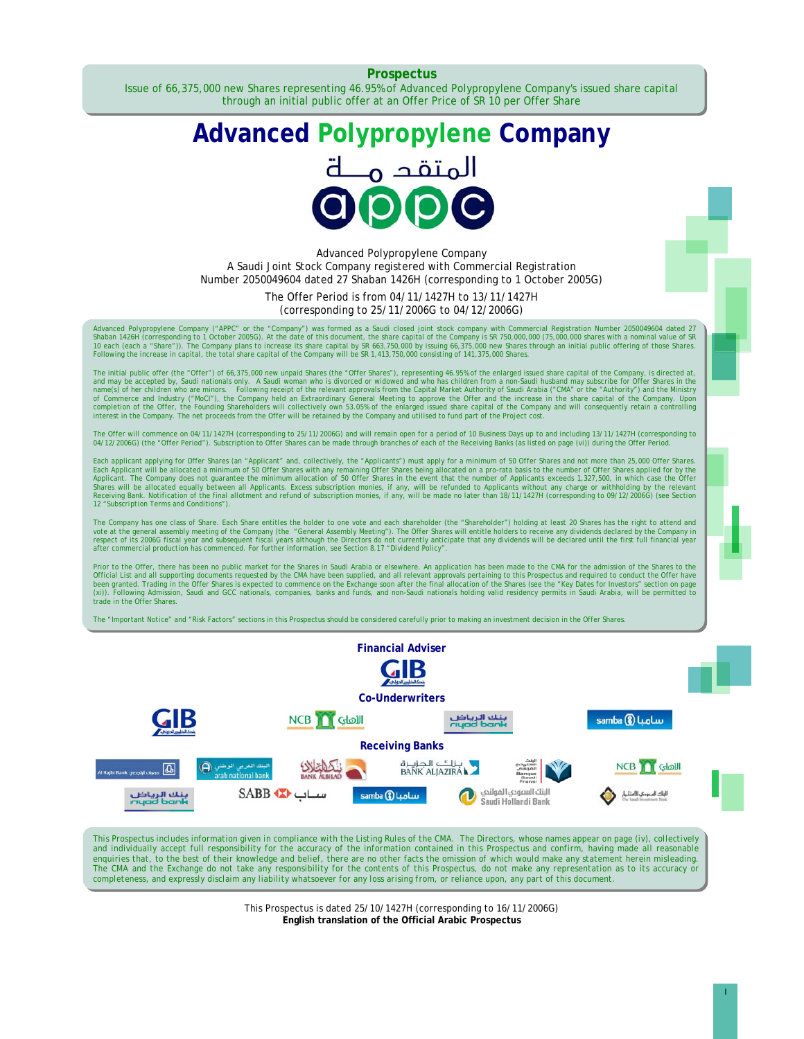**Prospectus** 

Issue of 66,375,000 new Shares representing 46.95% of Advanced Polypropylene Company's issued share capital through an initial public offer at an Offer Price of SR 10 per Offer Share

# **Advanced Polypropylene Company**  المتقد م



Advanced Polypropylene Company A Saudi Joint Stock Company registered with Commercial Registration Number 2050049604 dated 27 Shaban 1426H (corresponding to 1 October 2005G)

> The Offer Period is from 04/11/1427H to 13/11/1427H (corresponding to 25/11/2006G to 04/12/2006G)

Advanced Polypropylene Company ("APPC" or the "Company") was formed as a Saudi closed joint stock company with Commercial Registration Number 2050049604 dated 27<br>Shaban 1426H (corresponding to 1 October 2005G). At the date

The initial public offer (the "Offer") of 66,375,000 new unpaid Shares (the "Offer Shares"), representing 46.95% of the enlarged issued share capital of the Company, is directed at,<br>and may be accepted by, Saudi nationals

The Offer will commence on 04/11/1427H (corresponding to 25/11/2006G) and will remain open for a period of 10 Business Days up to and including 13/11/1427H (corresponding to<br>04/12/2006G) (the "Offer Period"). Subscription

Each applicant applying for Offer Shares (an "Applicant" and, collectively, the "Applicants") must apply for a minimum of 50 Offer Shares and not more than 25,000 Offer Shares.<br>Each Applicant will be allocated a minimum al Shares will be allocated equally between all Applicants. Excess subscription monies, if any, will be refunded to Applicants without any charge or withholding by the relevant<br>Receiving Bank. Notification of the final allotm 12 "*Subscription Terms and Conditions*").

The Company has one class of Share. Each Share entitles the holder to one vote and each shareholder (the "Shareholder") holding at least 20 Shares has the right to attend and vote at the general assembly meeting of the Company (the "General Assembly Meeting"). The Offer Shares will entitle holders to receive any dividends declared by the Company in<br>respect of its 2006G fiscal year and subsequen

Prior to the Offer, there has been no public market for the Shares in Saudi Arabia or elsewhere. An application has been made to the CMA for the admission of the Shares to the Official List and all supporting documents req trade in the Offer Shares.

The "*Important Notice*" and "*Risk Factors*" sections in this Prospectus should be considered carefully prior to making an investment decision in the Offer Shares.



This Prospectus includes information given in compliance with the Listing Rules of the CMA. The Directors, whose names appear on page (iv), collectively and individually accept full responsibility for the accuracy of the information contained in this Prospectus and confirm, having made all reasonable *enquiries that, to the best of their knowledge and belief, there are no other facts the omission of which would make any statement herein misleading. The CMA and the Exchange do not take any responsibility for the contents of this Prospectus, do not make any representation as to its accuracy or completeness, and expressly disclaim any liability whatsoever for any loss arising from, or reliance upon, any part of this document.* 

> This Prospectus is dated 25/10/1427H (corresponding to 16/11/2006G) **English translation of the Official Arabic Prospectus**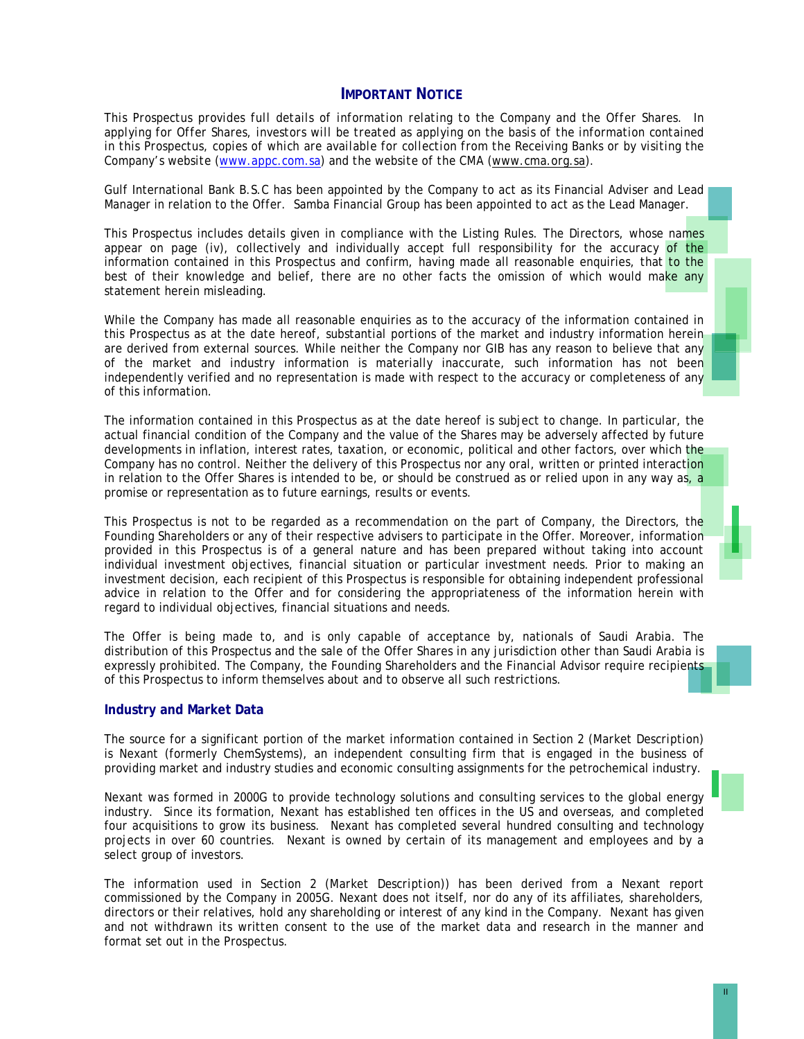#### **IMPORTANT NOTICE**

*This Prospectus provides full details of information relating to the Company and the Offer Shares. In applying for Offer Shares, investors will be treated as applying on the basis of the information contained in this Prospectus, copies of which are available for collection from the Receiving Banks or by visiting the Company's website (www.appc.com.sa) and the website of the CMA (www.cma.org.sa).* 

Gulf International Bank B.S.C has been appointed by the Company to act as its Financial Adviser and Lead Manager in relation to the Offer. Samba Financial Group has been appointed to act as the Lead Manager.

This Prospectus includes details given in compliance with the Listing Rules. The Directors, whose names appear on page (iv), collectively and individually accept full responsibility for the accuracy of the information contained in this Prospectus and confirm, having made all reasonable enquiries, that to the best of their knowledge and belief, there are no other facts the omission of which would make any statement herein misleading.

While the Company has made all reasonable enquiries as to the accuracy of the information contained in this Prospectus as at the date hereof, substantial portions of the market and industry information herein are derived from external sources. While neither the Company nor GIB has any reason to believe that any of the market and industry information is materially inaccurate, such information has not been independently verified and no representation is made with respect to the accuracy or completeness of any of this information.

The information contained in this Prospectus as at the date hereof is subject to change. In particular, the actual financial condition of the Company and the value of the Shares may be adversely affected by future developments in inflation, interest rates, taxation, or economic, political and other factors, over which the Company has no control. Neither the delivery of this Prospectus nor any oral, written or printed interaction in relation to the Offer Shares is intended to be, or should be construed as or relied upon in any way as, a promise or representation as to future earnings, results or events.

This Prospectus is not to be regarded as a recommendation on the part of Company, the Directors, the Founding Shareholders or any of their respective advisers to participate in the Offer. Moreover, information provided in this Prospectus is of a general nature and has been prepared without taking into account individual investment objectives, financial situation or particular investment needs. Prior to making an investment decision, each recipient of this Prospectus is responsible for obtaining independent professional advice in relation to the Offer and for considering the appropriateness of the information herein with regard to individual objectives, financial situations and needs.

The Offer is being made to, and is only capable of acceptance by, nationals of Saudi Arabia. The distribution of this Prospectus and the sale of the Offer Shares in any jurisdiction other than Saudi Arabia is expressly prohibited. The Company, the Founding Shareholders and the Financial Advisor require recipients of this Prospectus to inform themselves about and to observe all such restrictions.

#### **Industry and Market Data**

The source for a significant portion of the market information contained in Section 2 (*Market Description*) is Nexant (formerly ChemSystems), an independent consulting firm that is engaged in the business of providing market and industry studies and economic consulting assignments for the petrochemical industry.

Nexant was formed in 2000G to provide technology solutions and consulting services to the global energy industry. Since its formation, Nexant has established ten offices in the US and overseas, and completed four acquisitions to grow its business. Nexant has completed several hundred consulting and technology projects in over 60 countries. Nexant is owned by certain of its management and employees and by a select group of investors.

The information used in Section 2 (*Market Description*)*)* has been derived from a Nexant report commissioned by the Company in 2005G. Nexant does not itself, nor do any of its affiliates, shareholders, directors or their relatives, hold any shareholding or interest of any kind in the Company. Nexant has given and not withdrawn its written consent to the use of the market data and research in the manner and format set out in the Prospectus.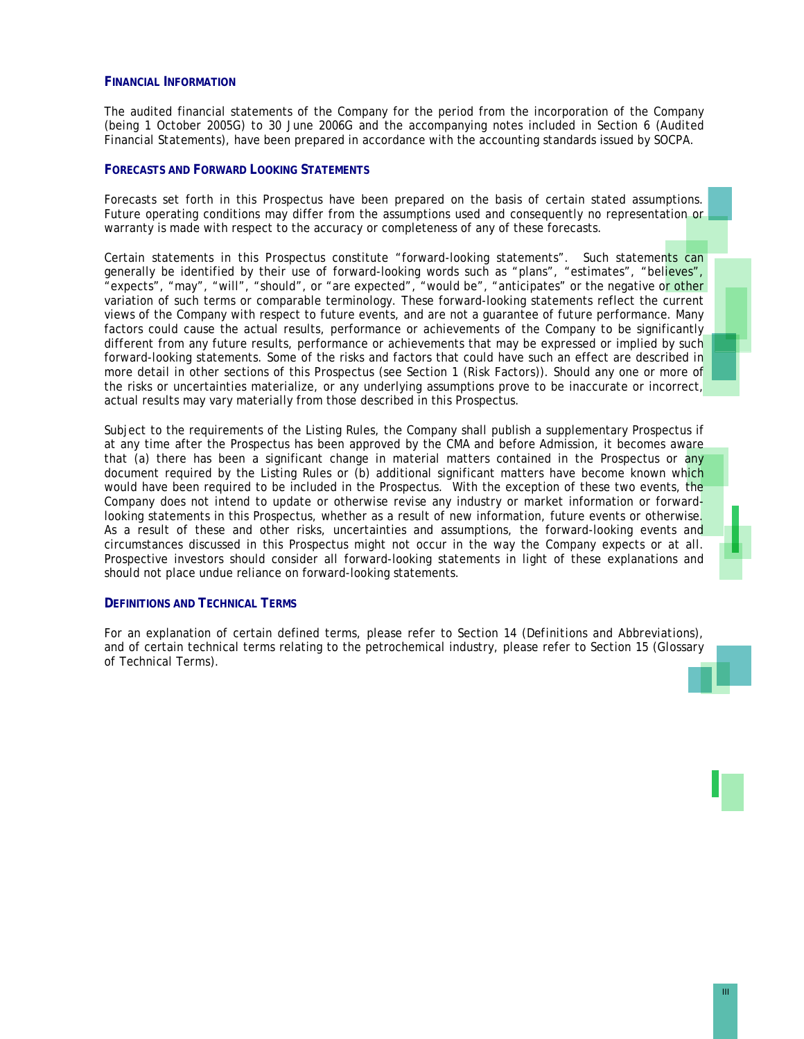#### **FINANCIAL INFORMATION**

The audited financial statements of the Company for the period from the incorporation of the Company (being 1 October 2005G) to 30 June 2006G and the accompanying notes included in Section 6 (*Audited Financial Statements*), have been prepared in accordance with the accounting standards issued by SOCPA.

#### **FORECASTS AND FORWARD LOOKING STATEMENTS**

Forecasts set forth in this Prospectus have been prepared on the basis of certain stated assumptions. Future operating conditions may differ from the assumptions used and consequently no representation or warranty is made with respect to the accuracy or completeness of any of these forecasts.

Certain statements in this Prospectus constitute "forward-looking statements". Such statements can generally be identified by their use of forward-looking words such as "plans", "estimates", "believes", "expects", "may", "will", "should", or "are expected", "would be", "anticipates" or the negative or other variation of such terms or comparable terminology. These forward-looking statements reflect the current views of the Company with respect to future events, and are not a guarantee of future performance. Many factors could cause the actual results, performance or achievements of the Company to be significantly different from any future results, performance or achievements that may be expressed or implied by such forward-looking statements. Some of the risks and factors that could have such an effect are described in more detail in other sections of this Prospectus (see Section 1 (*Risk Factors*)). Should any one or more of the risks or uncertainties materialize, or any underlying assumptions prove to be inaccurate or incorrect, actual results may vary materially from those described in this Prospectus.

Subject to the requirements of the Listing Rules, the Company shall publish a supplementary Prospectus if at any time after the Prospectus has been approved by the CMA and before Admission, it becomes aware that (a) there has been a significant change in material matters contained in the Prospectus or any document required by the Listing Rules or (b) additional significant matters have become known which would have been required to be included in the Prospectus. With the exception of these two events, the Company does not intend to update or otherwise revise any industry or market information or forwardlooking statements in this Prospectus, whether as a result of new information, future events or otherwise. As a result of these and other risks, uncertainties and assumptions, the forward-looking events and circumstances discussed in this Prospectus might not occur in the way the Company expects or at all. Prospective investors should consider all forward-looking statements in light of these explanations and should not place undue reliance on forward-looking statements.

#### **DEFINITIONS AND TECHNICAL TERMS**

For an explanation of certain defined terms, please refer to Section 14 (*Definitions and Abbreviations*), and of certain technical terms relating to the petrochemical industry, please refer to Section 15 (*Glossary of Technical Terms*).

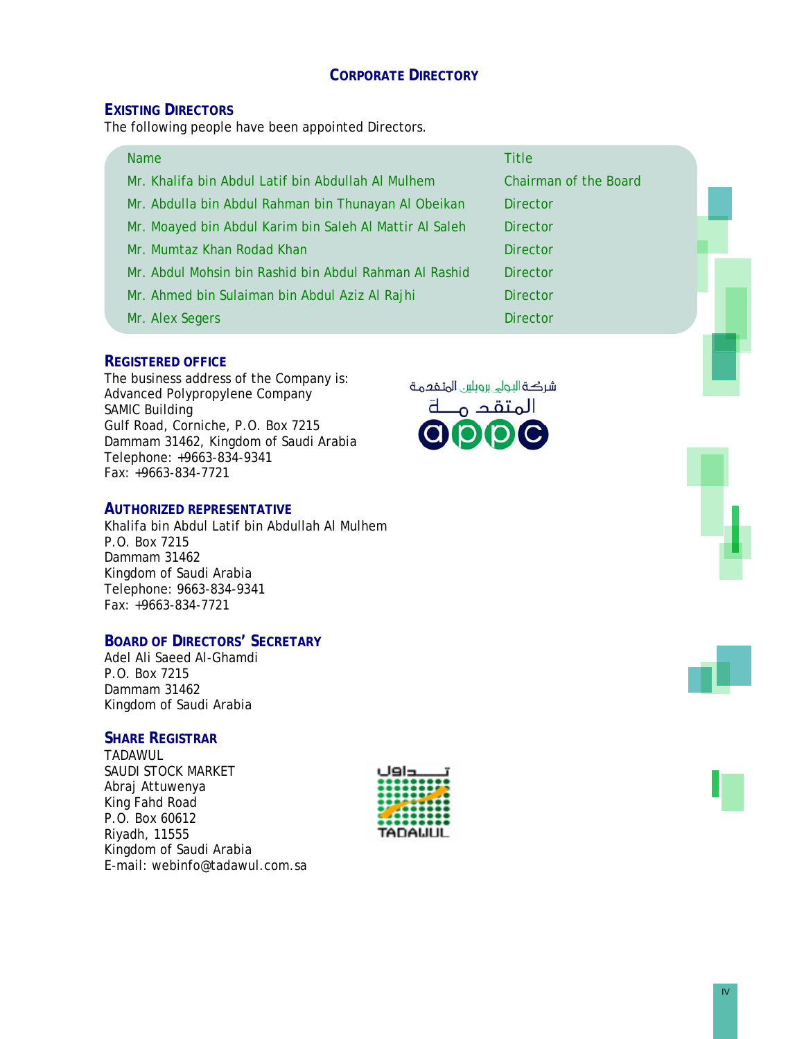# **CORPORATE DIRECTORY**

## **EXISTING DIRECTORS**

The following people have been appointed Directors.

| <b>Name</b>                                             | <b>Title</b>          |
|---------------------------------------------------------|-----------------------|
| Mr. Khalifa bin Abdul Latif bin Abdullah Al Mulhem      | Chairman of the Board |
| Mr. Abdulla bin Abdul Rahman bin Thunayan Al Obeikan    | <b>Director</b>       |
| Mr. Moayed bin Abdul Karim bin Saleh Al Mattir Al Saleh | <b>Director</b>       |
| Mr. Mumtaz Khan Rodad Khan                              | <b>Director</b>       |
| Mr. Abdul Mohsin bin Rashid bin Abdul Rahman Al Rashid  | <b>Director</b>       |
| Mr. Ahmed bin Sulaiman bin Abdul Aziz Al Rajhi          | <b>Director</b>       |
| Mr. Alex Segers                                         | <b>Director</b>       |

## **REGISTERED OFFICE**

The business address of the Company is: Advanced Polypropylene Company SAMIC Building Gulf Road, Corniche, P.O. Box 7215 Dammam 31462, Kingdom of Saudi Arabia Telephone: +9663-834-9341 Fax: +9663-834-7721

## **AUTHORIZED REPRESENTATIVE**

Khalifa bin Abdul Latif bin Abdullah Al Mulhem P.O. Box 7215 Dammam 31462 Kingdom of Saudi Arabia Telephone: 9663-834-9341 Fax: +9663-834-7721

# **BOARD OF DIRECTORS' SECRETARY**

Adel Ali Saeed Al-Ghamdi P.O. Box 7215 Dammam 31462 Kingdom of Saudi Arabia

## **SHARE REGISTRAR**

TADAWUL SAUDI STOCK MARKET Abraj Attuwenya King Fahd Road P.O. Box 60612 Riyadh, 11555 Kingdom of Saudi Arabia E-mail: webinfo@tadawul.com.sa







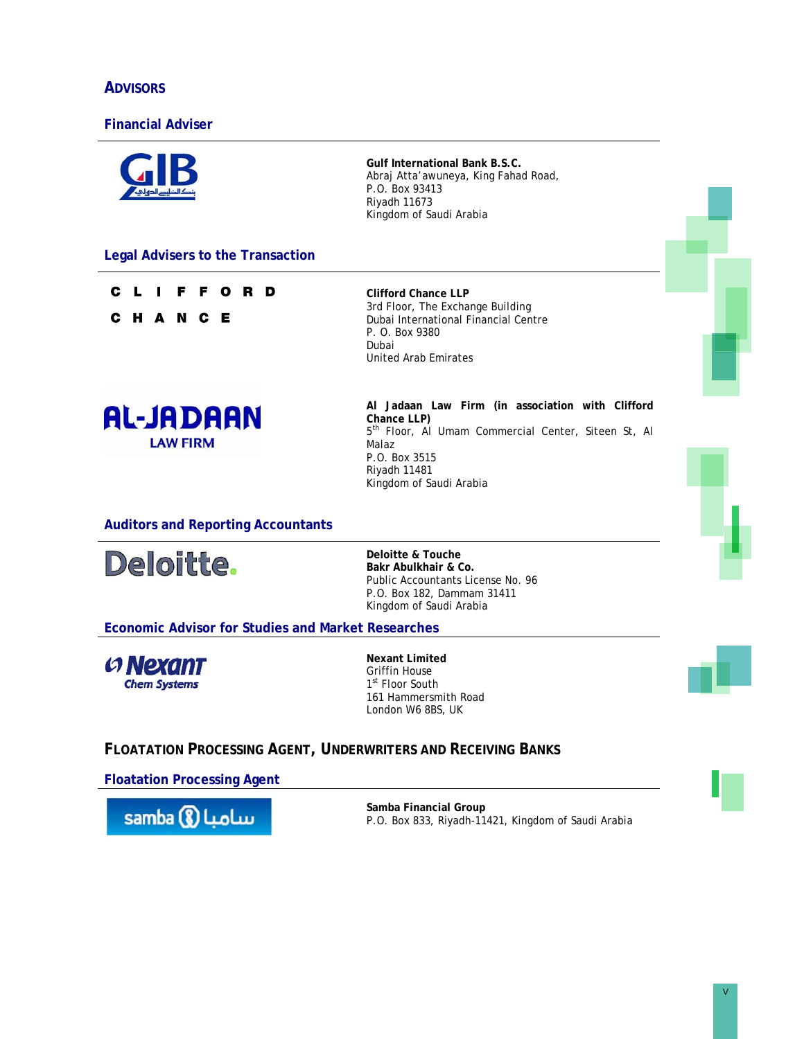# **ADVISORS**

## **Financial Adviser**

|                                                                      | <b>Gulf International Bank B.S.C.</b><br>Abraj Atta'awuneya, King Fahad Road,<br>P.O. Box 93413<br>Riyadh 11673<br>Kingdom of Saudi Arabia                                                              |  |
|----------------------------------------------------------------------|---------------------------------------------------------------------------------------------------------------------------------------------------------------------------------------------------------|--|
| <b>Legal Advisers to the Transaction</b>                             |                                                                                                                                                                                                         |  |
| F<br>D<br>С<br>О<br>R<br>H A N C E<br>С                              | <b>Clifford Chance LLP</b><br>3rd Floor, The Exchange Building<br>Dubai International Financial Centre<br>P. O. Box 9380<br>Dubai<br><b>United Arab Emirates</b>                                        |  |
| <b>AL-JADAAN</b><br><b>LAW FIRM</b>                                  | Al Jadaan Law Firm (in association with Clifford<br>Chance LLP)<br>5 <sup>th</sup> Floor, Al Umam Commercial Center, Siteen St, Al<br>Malaz<br>P.O. Box 3515<br>Riyadh 11481<br>Kingdom of Saudi Arabia |  |
| <b>Auditors and Reporting Accountants</b>                            |                                                                                                                                                                                                         |  |
| Deloitte.                                                            | Deloitte & Touche<br>Bakr Abulkhair & Co.<br>Public Accountants License No. 96<br>P.O. Box 182, Dammam 31411<br>Kingdom of Saudi Arabia                                                                 |  |
| <b>Economic Advisor for Studies and Market Researches</b>            |                                                                                                                                                                                                         |  |
| <b>G</b> Nexant<br><b>Chem Systems</b>                               | <b>Nexant Limited</b><br><b>Griffin House</b><br>1 <sup>st</sup> Floor South<br>161 Hammersmith Road<br>London W6 8BS, UK                                                                               |  |
| <b>FLOATATION PROCESSING AGENT, UNDERWRITERS AND RECEIVING BANKS</b> |                                                                                                                                                                                                         |  |
| <b>Floatation Processing Agent</b>                                   |                                                                                                                                                                                                         |  |

samba <mark>() اسامبا</mark>

**Samba Financial Group**  P.O. Box 833, Riyadh-11421, Kingdom of Saudi Arabia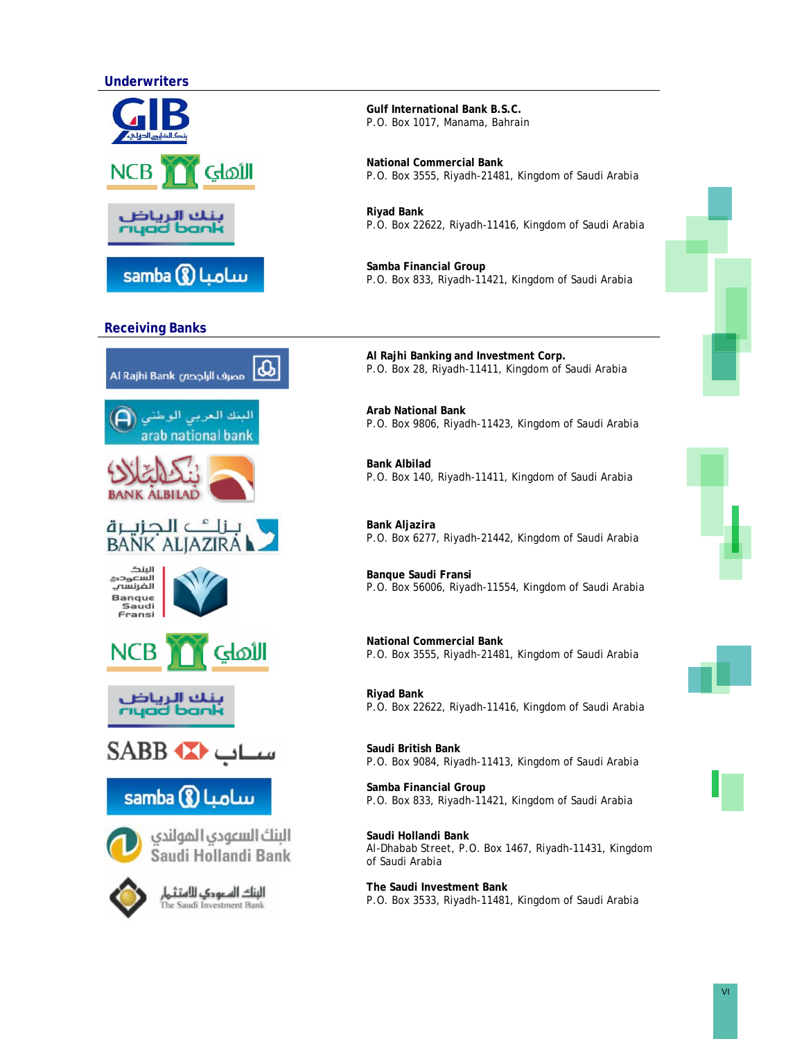## **Underwriters**





## **Receiving Banks**



**Gulf International Bank B.S.C.**  P.O. Box 1017, Manama, Bahrain

**National Commercial Bank**  P.O. Box 3555, Riyadh-21481, Kingdom of Saudi Arabia

**Riyad Bank**  P.O. Box 22622, Riyadh-11416, Kingdom of Saudi Arabia

**Samba Financial Group**  P.O. Box 833, Riyadh-11421, Kingdom of Saudi Arabia

**Al Rajhi Banking and Investment Corp.**  P.O. Box 28, Riyadh-11411, Kingdom of Saudi Arabia

**Arab National Bank**  P.O. Box 9806, Riyadh-11423, Kingdom of Saudi Arabia

**Bank Albilad**  P.O. Box 140, Riyadh-11411, Kingdom of Saudi Arabia

**Bank Aljazira**  P.O. Box 6277, Riyadh-21442, Kingdom of Saudi Arabia

**Banque Saudi Fransi**  P.O. Box 56006, Riyadh-11554, Kingdom of Saudi Arabia

**National Commercial Bank**  P.O. Box 3555, Riyadh-21481, Kingdom of Saudi Arabia

**Riyad Bank**  P.O. Box 22622, Riyadh-11416, Kingdom of Saudi Arabia

**Saudi British Bank**  P.O. Box 9084, Riyadh-11413, Kingdom of Saudi Arabia

**Samba Financial Group**  P.O. Box 833, Riyadh-11421, Kingdom of Saudi Arabia

**Saudi Hollandi Bank**  Al-Dhabab Street, P.O. Box 1467, Riyadh-11431, Kingdom of Saudi Arabia

**The Saudi Investment Bank**  P.O. Box 3533, Riyadh-11481, Kingdom of Saudi Arabia



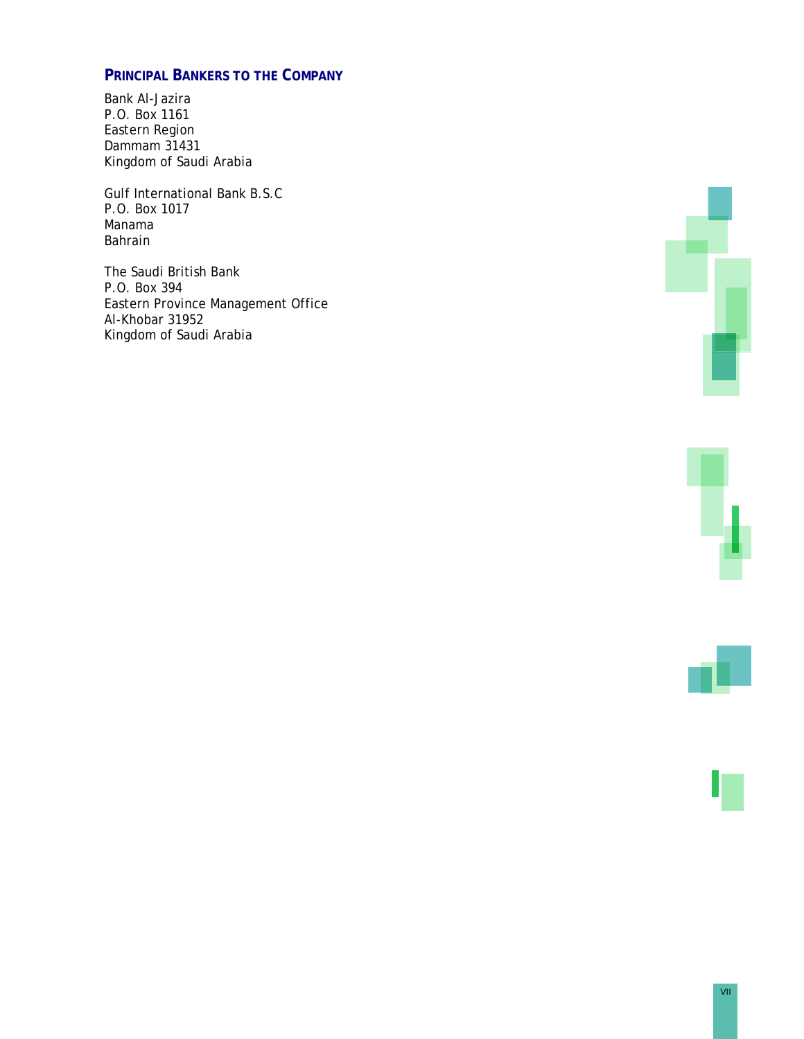# **PRINCIPAL BANKERS TO THE COMPANY**

Bank Al-Jazira P.O. Box 1161 Eastern Region Dammam 31431 Kingdom of Saudi Arabia

Gulf International Bank B.S.C P.O. Box 1017 Manama Bahrain

The Saudi British Bank P.O. Box 394 Eastern Province Management Office Al-Khobar 31952 Kingdom of Saudi Arabia





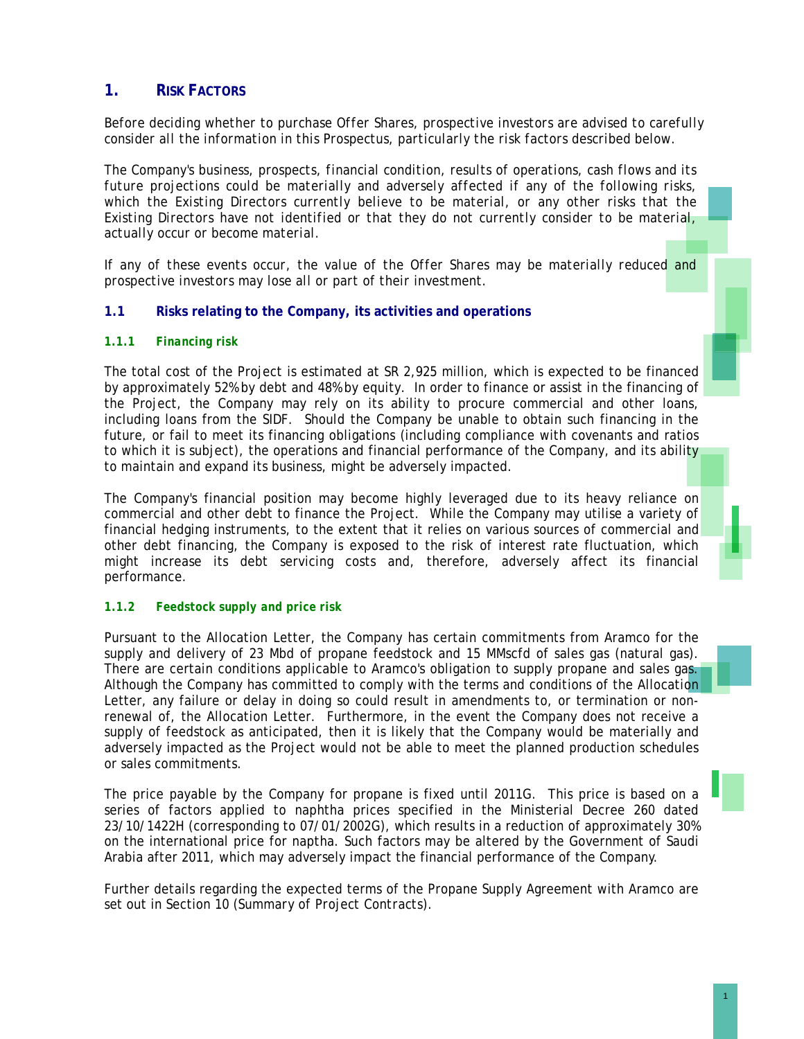# **1. RISK FACTORS**

*Before deciding whether to purchase Offer Shares, prospective investors are advised to carefully consider all the information in this Prospectus, particularly the risk factors described below.* 

*The Company's business, prospects, financial condition, results of operations, cash flows and its future projections could be materially and adversely affected if any of the following risks,*  which the Existing Directors currently believe to be material, or any other risks that the *Existing Directors have not identified or that they do not currently consider to be material, actually occur or become material.* 

*If any of these events occur, the value of the Offer Shares may be materially reduced and prospective investors may lose all or part of their investment.* 

## **1.1 Risks relating to the Company, its activities and operations**

#### *1.1.1 Financing risk*

The total cost of the Project is estimated at SR 2,925 million, which is expected to be financed by approximately 52% by debt and 48% by equity. In order to finance or assist in the financing of the Project, the Company may rely on its ability to procure commercial and other loans, including loans from the SIDF. Should the Company be unable to obtain such financing in the future, or fail to meet its financing obligations (including compliance with covenants and ratios to which it is subject), the operations and financial performance of the Company, and its ability to maintain and expand its business, might be adversely impacted.

The Company's financial position may become highly leveraged due to its heavy reliance on commercial and other debt to finance the Project. While the Company may utilise a variety of financial hedging instruments, to the extent that it relies on various sources of commercial and other debt financing, the Company is exposed to the risk of interest rate fluctuation, which might increase its debt servicing costs and, therefore, adversely affect its financial performance.

#### *1.1.2 Feedstock supply and price risk*

Pursuant to the Allocation Letter, the Company has certain commitments from Aramco for the supply and delivery of 23 Mbd of propane feedstock and 15 MMscfd of sales gas (natural gas). There are certain conditions applicable to Aramco's obligation to supply propane and sales gas. Although the Company has committed to comply with the terms and conditions of the Allocation Letter, any failure or delay in doing so could result in amendments to, or termination or nonrenewal of, the Allocation Letter. Furthermore, in the event the Company does not receive a supply of feedstock as anticipated, then it is likely that the Company would be materially and adversely impacted as the Project would not be able to meet the planned production schedules or sales commitments.

The price payable by the Company for propane is fixed until 2011G. This price is based on a series of factors applied to naphtha prices specified in the Ministerial Decree 260 dated 23/10/1422H (corresponding to 07/01/2002G), which results in a reduction of approximately 30% on the international price for naptha. Such factors may be altered by the Government of Saudi Arabia after 2011, which may adversely impact the financial performance of the Company.

Further details regarding the expected terms of the Propane Supply Agreement with Aramco are set out in Section 10 (*Summary of Project Contracts*).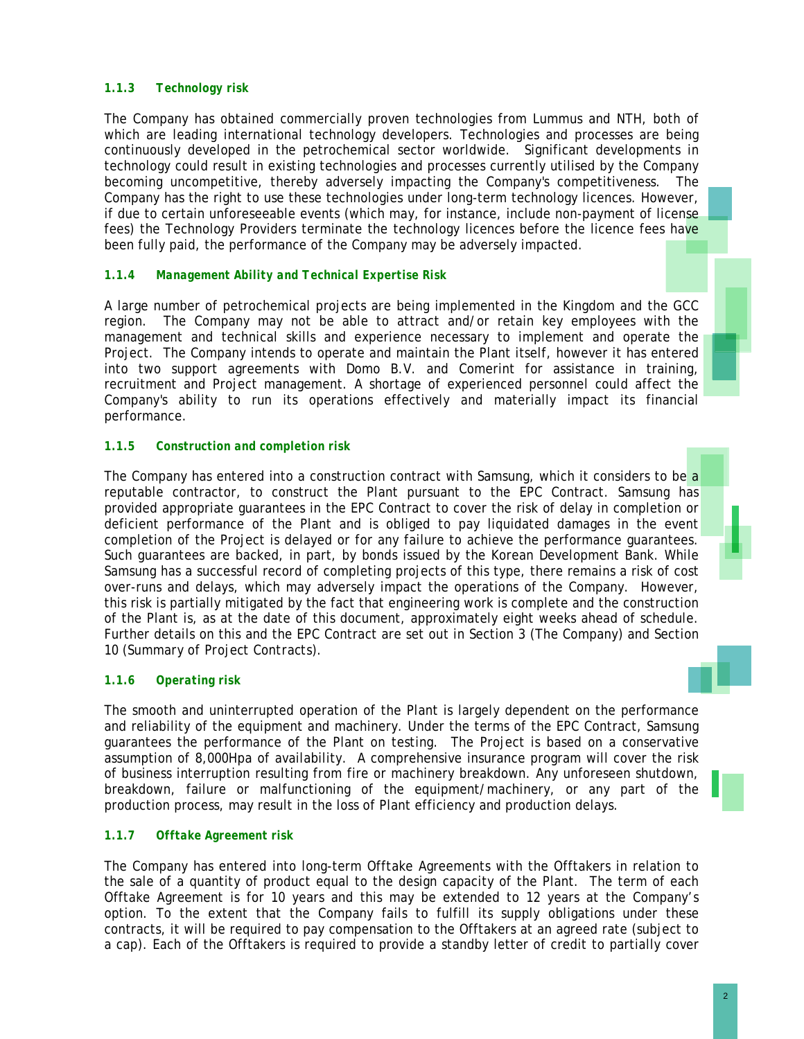## *1.1.3 Technology risk*

The Company has obtained commercially proven technologies from Lummus and NTH, both of which are leading international technology developers. Technologies and processes are being continuously developed in the petrochemical sector worldwide. Significant developments in technology could result in existing technologies and processes currently utilised by the Company becoming uncompetitive, thereby adversely impacting the Company's competitiveness. The Company has the right to use these technologies under long-term technology licences. However, if due to certain unforeseeable events (which may, for instance, include non-payment of license fees) the Technology Providers terminate the technology licences before the licence fees have been fully paid, the performance of the Company may be adversely impacted.

## *1.1.4 Management Ability and Technical Expertise Risk*

A large number of petrochemical projects are being implemented in the Kingdom and the GCC region. The Company may not be able to attract and/or retain key employees with the management and technical skills and experience necessary to implement and operate the Project. The Company intends to operate and maintain the Plant itself, however it has entered into two support agreements with Domo B.V. and Comerint for assistance in training, recruitment and Project management. A shortage of experienced personnel could affect the Company's ability to run its operations effectively and materially impact its financial performance.

## *1.1.5 Construction and completion risk*

The Company has entered into a construction contract with Samsung, which it considers to be a reputable contractor, to construct the Plant pursuant to the EPC Contract. Samsung has provided appropriate guarantees in the EPC Contract to cover the risk of delay in completion or deficient performance of the Plant and is obliged to pay liquidated damages in the event completion of the Project is delayed or for any failure to achieve the performance guarantees. Such guarantees are backed, in part, by bonds issued by the Korean Development Bank. While Samsung has a successful record of completing projects of this type, there remains a risk of cost over-runs and delays, which may adversely impact the operations of the Company. However, this risk is partially mitigated by the fact that engineering work is complete and the construction of the Plant is, as at the date of this document, approximately eight weeks ahead of schedule. Further details on this and the EPC Contract are set out in Section 3 (*The Company*) and Section 10 (*Summary of Project Contracts*).

#### *1.1.6 Operating risk*

The smooth and uninterrupted operation of the Plant is largely dependent on the performance and reliability of the equipment and machinery. Under the terms of the EPC Contract, Samsung guarantees the performance of the Plant on testing. The Project is based on a conservative assumption of 8,000Hpa of availability. A comprehensive insurance program will cover the risk of business interruption resulting from fire or machinery breakdown. Any unforeseen shutdown, breakdown, failure or malfunctioning of the equipment/machinery, or any part of the production process, may result in the loss of Plant efficiency and production delays.

#### *1.1.7 Offtake Agreement risk*

The Company has entered into long-term Offtake Agreements with the Offtakers in relation to the sale of a quantity of product equal to the design capacity of the Plant. The term of each Offtake Agreement is for 10 years and this may be extended to 12 years at the Company's option. To the extent that the Company fails to fulfill its supply obligations under these contracts, it will be required to pay compensation to the Offtakers at an agreed rate (subject to a cap). Each of the Offtakers is required to provide a standby letter of credit to partially cover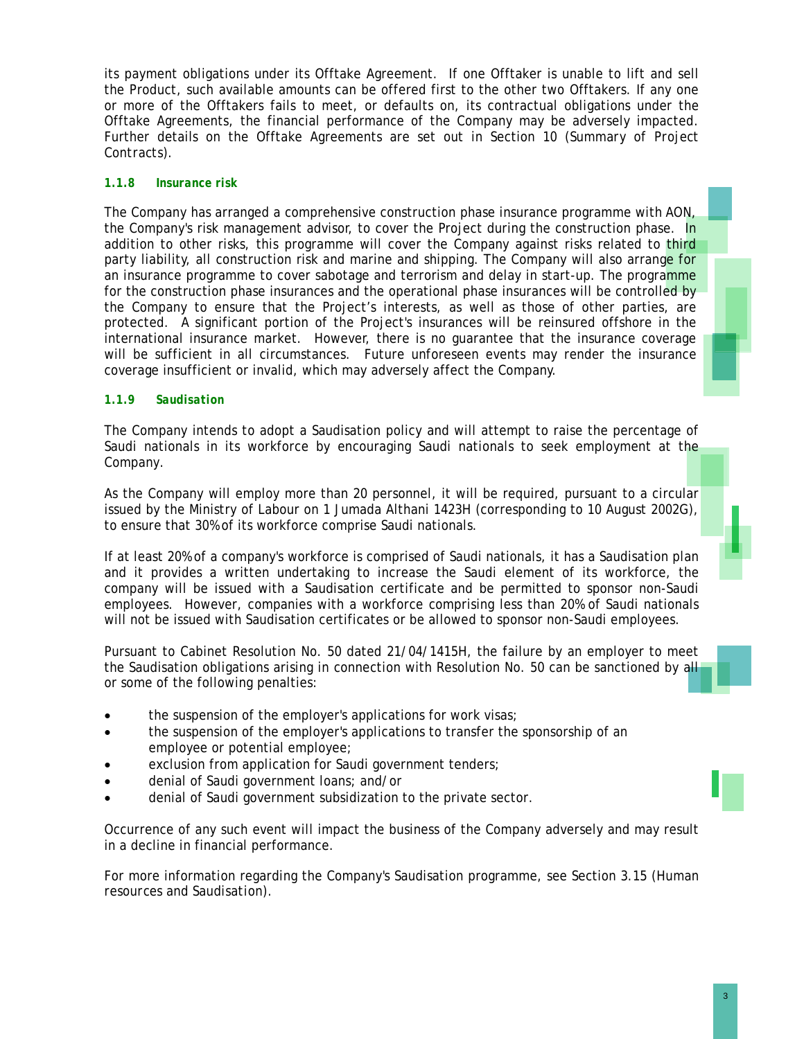its payment obligations under its Offtake Agreement. If one Offtaker is unable to lift and sell the Product, such available amounts can be offered first to the other two Offtakers. If any one or more of the Offtakers fails to meet, or defaults on, its contractual obligations under the Offtake Agreements, the financial performance of the Company may be adversely impacted. Further details on the Offtake Agreements are set out in Section 10 (*Summary of Project Contracts*).

## *1.1.8 Insurance risk*

The Company has arranged a comprehensive construction phase insurance programme with AON, the Company's risk management advisor, to cover the Project during the construction phase. In addition to other risks, this programme will cover the Company against risks related to third party liability, all construction risk and marine and shipping. The Company will also arrange for an insurance programme to cover sabotage and terrorism and delay in start-up. The programme for the construction phase insurances and the operational phase insurances will be controlled by the Company to ensure that the Project's interests, as well as those of other parties, are protected. A significant portion of the Project's insurances will be reinsured offshore in the international insurance market. However, there is no guarantee that the insurance coverage will be sufficient in all circumstances. Future unforeseen events may render the insurance coverage insufficient or invalid, which may adversely affect the Company.

## *1.1.9 Saudisation*

The Company intends to adopt a Saudisation policy and will attempt to raise the percentage of Saudi nationals in its workforce by encouraging Saudi nationals to seek employment at the Company.

As the Company will employ more than 20 personnel, it will be required, pursuant to a circular issued by the Ministry of Labour on 1 Jumada Althani 1423H (corresponding to 10 August 2002G), to ensure that 30% of its workforce comprise Saudi nationals.

If at least 20% of a company's workforce is comprised of Saudi nationals, it has a Saudisation plan and it provides a written undertaking to increase the Saudi element of its workforce, the company will be issued with a Saudisation certificate and be permitted to sponsor non-Saudi employees. However, companies with a workforce comprising less than 20% of Saudi nationals will not be issued with Saudisation certificates or be allowed to sponsor non-Saudi employees.

Pursuant to Cabinet Resolution No. 50 dated 21/04/1415H, the failure by an employer to meet the Saudisation obligations arising in connection with Resolution No. 50 can be sanctioned by all or some of the following penalties:

- the suspension of the employer's applications for work visas;
- the suspension of the employer's applications to transfer the sponsorship of an employee or potential employee;
- exclusion from application for Saudi government tenders;
- denial of Saudi government loans; and/or
- denial of Saudi government subsidization to the private sector.

Occurrence of any such event will impact the business of the Company adversely and may result in a decline in financial performance.

For more information regarding the Company's Saudisation programme, see Section 3.15 (*Human resources and Saudisation*).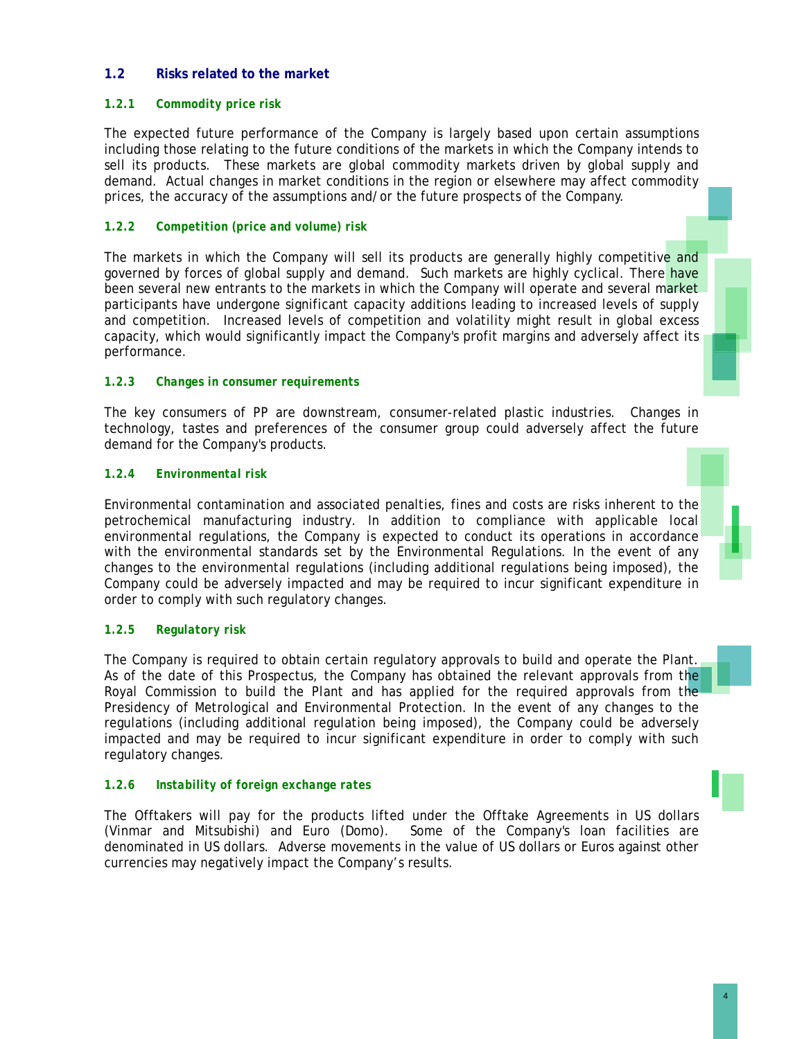## **1.2 Risks related to the market**

## *1.2.1 Commodity price risk*

The expected future performance of the Company is largely based upon certain assumptions including those relating to the future conditions of the markets in which the Company intends to sell its products. These markets are global commodity markets driven by global supply and demand. Actual changes in market conditions in the region or elsewhere may affect commodity prices, the accuracy of the assumptions and/or the future prospects of the Company.

## *1.2.2 Competition (price and volume) risk*

The markets in which the Company will sell its products are generally highly competitive and governed by forces of global supply and demand. Such markets are highly cyclical. There have been several new entrants to the markets in which the Company will operate and several market participants have undergone significant capacity additions leading to increased levels of supply and competition. Increased levels of competition and volatility might result in global excess capacity, which would significantly impact the Company's profit margins and adversely affect its performance.

#### *1.2.3 Changes in consumer requirements*

The key consumers of PP are downstream, consumer-related plastic industries. Changes in technology, tastes and preferences of the consumer group could adversely affect the future demand for the Company's products.

#### *1.2.4 Environmental risk*

Environmental contamination and associated penalties, fines and costs are risks inherent to the petrochemical manufacturing industry. In addition to compliance with applicable local environmental regulations, the Company is expected to conduct its operations in accordance with the environmental standards set by the Environmental Regulations. In the event of any changes to the environmental regulations (including additional regulations being imposed), the Company could be adversely impacted and may be required to incur significant expenditure in order to comply with such regulatory changes.

#### *1.2.5 Regulatory risk*

The Company is required to obtain certain regulatory approvals to build and operate the Plant. As of the date of this Prospectus, the Company has obtained the relevant approvals from the Royal Commission to build the Plant and has applied for the required approvals from the Presidency of Metrological and Environmental Protection. In the event of any changes to the regulations (including additional regulation being imposed), the Company could be adversely impacted and may be required to incur significant expenditure in order to comply with such regulatory changes.

#### *1.2.6 Instability of foreign exchange rates*

The Offtakers will pay for the products lifted under the Offtake Agreements in US dollars (Vinmar and Mitsubishi) and Euro (Domo). Some of the Company's loan facilities are denominated in US dollars. Adverse movements in the value of US dollars or Euros against other currencies may negatively impact the Company's results.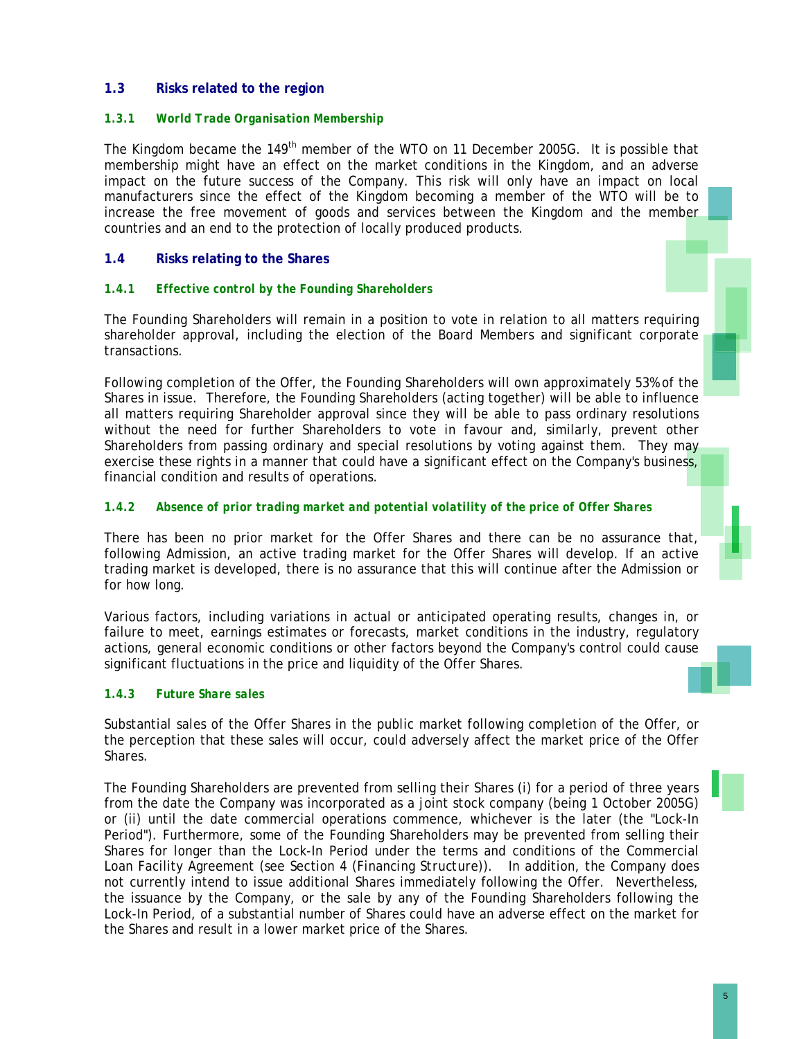## **1.3 Risks related to the region**

### *1.3.1 World Trade Organisation Membership*

The Kingdom became the 149<sup>th</sup> member of the WTO on 11 December 2005G. It is possible that membership might have an effect on the market conditions in the Kingdom, and an adverse impact on the future success of the Company. This risk will only have an impact on local manufacturers since the effect of the Kingdom becoming a member of the WTO will be to increase the free movement of goods and services between the Kingdom and the member countries and an end to the protection of locally produced products.

## **1.4 Risks relating to the Shares**

#### *1.4.1 Effective control by the Founding Shareholders*

The Founding Shareholders will remain in a position to vote in relation to all matters requiring shareholder approval, including the election of the Board Members and significant corporate transactions.

Following completion of the Offer, the Founding Shareholders will own approximately 53% of the Shares in issue. Therefore, the Founding Shareholders (acting together) will be able to influence all matters requiring Shareholder approval since they will be able to pass ordinary resolutions without the need for further Shareholders to vote in favour and, similarly, prevent other Shareholders from passing ordinary and special resolutions by voting against them. They may exercise these rights in a manner that could have a significant effect on the Company's business, financial condition and results of operations.

## *1.4.2 Absence of prior trading market and potential volatility of the price of Offer Shares*

There has been no prior market for the Offer Shares and there can be no assurance that, following Admission, an active trading market for the Offer Shares will develop. If an active trading market is developed, there is no assurance that this will continue after the Admission or for how long.

Various factors, including variations in actual or anticipated operating results, changes in, or failure to meet, earnings estimates or forecasts, market conditions in the industry, regulatory actions, general economic conditions or other factors beyond the Company's control could cause significant fluctuations in the price and liquidity of the Offer Shares.

#### *1.4.3 Future Share sales*

Substantial sales of the Offer Shares in the public market following completion of the Offer, or the perception that these sales will occur, could adversely affect the market price of the Offer Shares.

The Founding Shareholders are prevented from selling their Shares (i) for a period of three years from the date the Company was incorporated as a joint stock company (being 1 October 2005G) or (ii) until the date commercial operations commence, whichever is the later (the "Lock-In Period"). Furthermore, some of the Founding Shareholders may be prevented from selling their Shares for longer than the Lock-In Period under the terms and conditions of the Commercial Loan Facility Agreement (see Section 4 (*Financing Structure*)). In addition, the Company does not currently intend to issue additional Shares immediately following the Offer. Nevertheless, the issuance by the Company, or the sale by any of the Founding Shareholders following the Lock-In Period, of a substantial number of Shares could have an adverse effect on the market for the Shares and result in a lower market price of the Shares.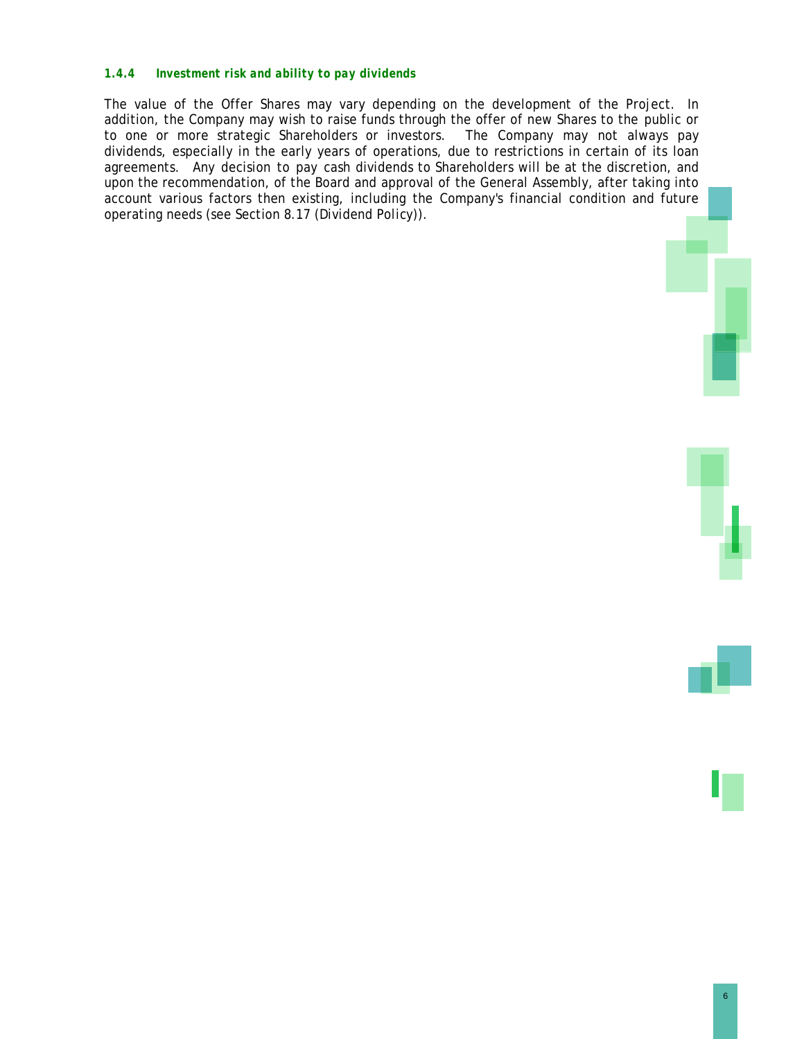#### *1.4.4 Investment risk and ability to pay dividends*

The value of the Offer Shares may vary depending on the development of the Project. In addition, the Company may wish to raise funds through the offer of new Shares to the public or to one or more strategic Shareholders or investors. The Company may not always pay dividends, especially in the early years of operations, due to restrictions in certain of its loan agreements. Any decision to pay cash dividends to Shareholders will be at the discretion, and upon the recommendation, of the Board and approval of the General Assembly, after taking into account various factors then existing, including the Company's financial condition and future operating needs (see Section 8.17 (*Dividend Policy*))*.* 

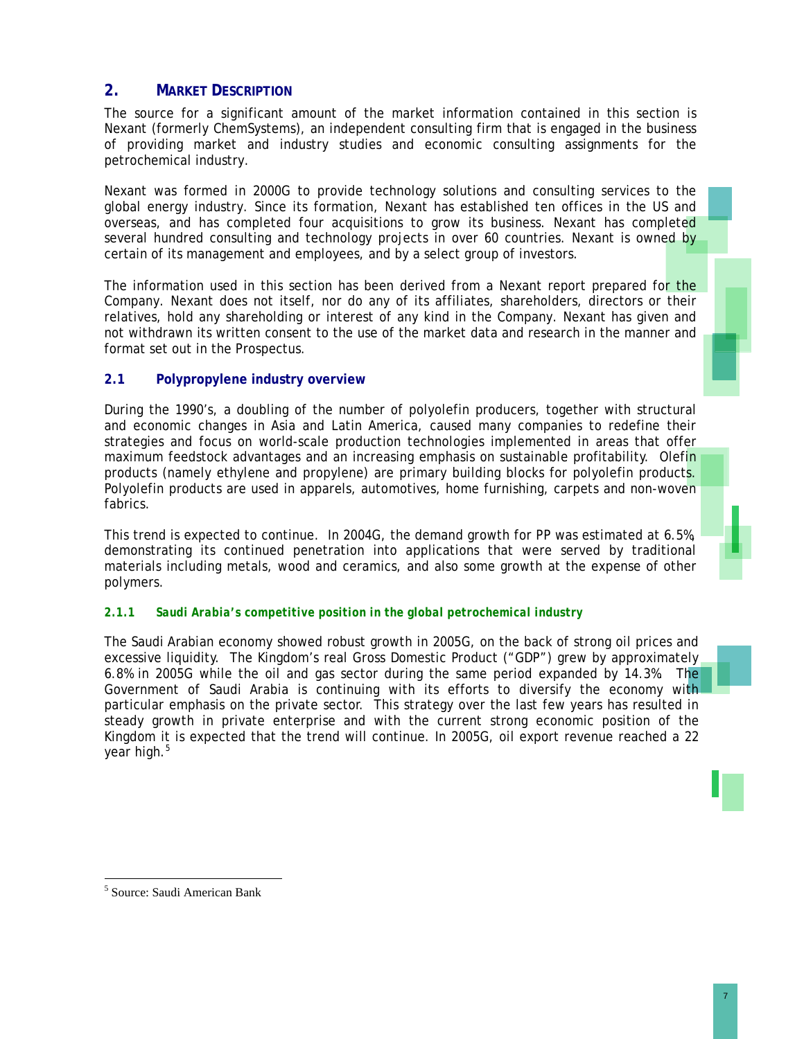# **2. MARKET DESCRIPTION**

The source for a significant amount of the market information contained in this section is Nexant (formerly ChemSystems), an independent consulting firm that is engaged in the business of providing market and industry studies and economic consulting assignments for the petrochemical industry.

Nexant was formed in 2000G to provide technology solutions and consulting services to the global energy industry. Since its formation, Nexant has established ten offices in the US and overseas, and has completed four acquisitions to grow its business. Nexant has completed several hundred consulting and technology projects in over 60 countries. Nexant is owned by certain of its management and employees, and by a select group of investors.

The information used in this section has been derived from a Nexant report prepared for the Company. Nexant does not itself, nor do any of its affiliates, shareholders, directors or their relatives, hold any shareholding or interest of any kind in the Company. Nexant has given and not withdrawn its written consent to the use of the market data and research in the manner and format set out in the Prospectus.

## **2.1 Polypropylene industry overview**

During the 1990's, a doubling of the number of polyolefin producers, together with structural and economic changes in Asia and Latin America, caused many companies to redefine their strategies and focus on world-scale production technologies implemented in areas that offer maximum feedstock advantages and an increasing emphasis on sustainable profitability. Olefin products (namely ethylene and propylene) are primary building blocks for polyolefin products. Polyolefin products are used in apparels, automotives, home furnishing, carpets and non-woven fabrics.

This trend is expected to continue. In 2004G, the demand growth for PP was estimated at 6.5%, demonstrating its continued penetration into applications that were served by traditional materials including metals, wood and ceramics, and also some growth at the expense of other polymers.

#### *2.1.1 Saudi Arabia's competitive position in the global petrochemical industry*

The Saudi Arabian economy showed robust growth in 2005G, on the back of strong oil prices and excessive liquidity. The Kingdom's real Gross Domestic Product ("GDP") grew by approximately 6.8% in 2005G while the oil and gas sector during the same period expanded by 14.3%. The Government of Saudi Arabia is continuing with its efforts to diversify the economy with particular emphasis on the private sector. This strategy over the last few years has resulted in steady growth in private enterprise and with the current strong economic position of the Kingdom it is expected that the trend will continue. In 2005G, oil export revenue reached a 22 year high.<sup>5</sup>



l

<sup>5</sup> Source: Saudi American Bank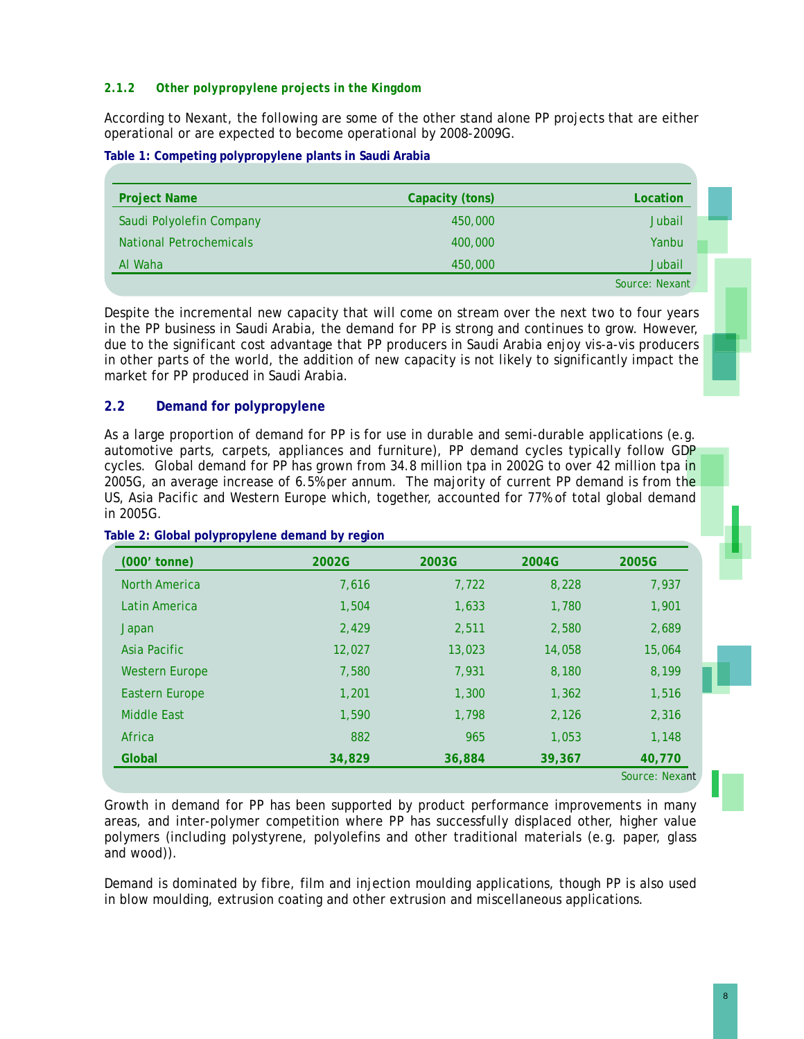## *2.1.2 Other polypropylene projects in the Kingdom*

According to Nexant, the following are some of the other stand alone PP projects that are either operational or are expected to become operational by 2008-2009G.

**Table 1: Competing polypropylene plants in Saudi Arabia** 

| <b>Project Name</b>            | Capacity (tons) | Location       |  |
|--------------------------------|-----------------|----------------|--|
| Saudi Polyolefin Company       | 450,000         | <b>Jubail</b>  |  |
| <b>National Petrochemicals</b> | 400,000         | Yanbu          |  |
| Al Waha                        | 450,000         | Jubail         |  |
|                                |                 | Source: Nexant |  |

Despite the incremental new capacity that will come on stream over the next two to four years in the PP business in Saudi Arabia, the demand for PP is strong and continues to grow. However, due to the significant cost advantage that PP producers in Saudi Arabia enjoy vis-a-vis producers in other parts of the world, the addition of new capacity is not likely to significantly impact the market for PP produced in Saudi Arabia.

## **2.2 Demand for polypropylene**

As a large proportion of demand for PP is for use in durable and semi-durable applications (e.g. automotive parts, carpets, appliances and furniture), PP demand cycles typically follow GDP cycles. Global demand for PP has grown from 34.8 million tpa in 2002G to over 42 million tpa in 2005G, an average increase of 6.5% per annum. The majority of current PP demand is from the US, Asia Pacific and Western Europe which, together, accounted for 77% of total global demand in 2005G.

| (000' tonne)          | 2002G  | 2003G  | 2004G  | 2005G          |
|-----------------------|--------|--------|--------|----------------|
| <b>North America</b>  | 7,616  | 7,722  | 8,228  | 7,937          |
| Latin America         | 1,504  | 1,633  | 1,780  | 1,901          |
| Japan                 | 2,429  | 2,511  | 2,580  | 2,689          |
| Asia Pacific          | 12,027 | 13,023 | 14,058 | 15,064         |
| <b>Western Europe</b> | 7,580  | 7,931  | 8,180  | 8,199          |
| Eastern Europe        | 1,201  | 1,300  | 1,362  | 1,516          |
| <b>Middle East</b>    | 1.590  | 1.798  | 2,126  | 2.316          |
| Africa                | 882    | 965    | 1.053  | 1,148          |
| Global                | 34,829 | 36,884 | 39,367 | 40,770         |
|                       |        |        |        | Source: Nexant |

**Table 2: Global polypropylene demand by region** 

Growth in demand for PP has been supported by product performance improvements in many areas, and inter-polymer competition where PP has successfully displaced other, higher value polymers (including polystyrene, polyolefins and other traditional materials (e.g. paper, glass and wood)).

Demand is dominated by fibre, film and injection moulding applications, though PP is also used in blow moulding, extrusion coating and other extrusion and miscellaneous applications.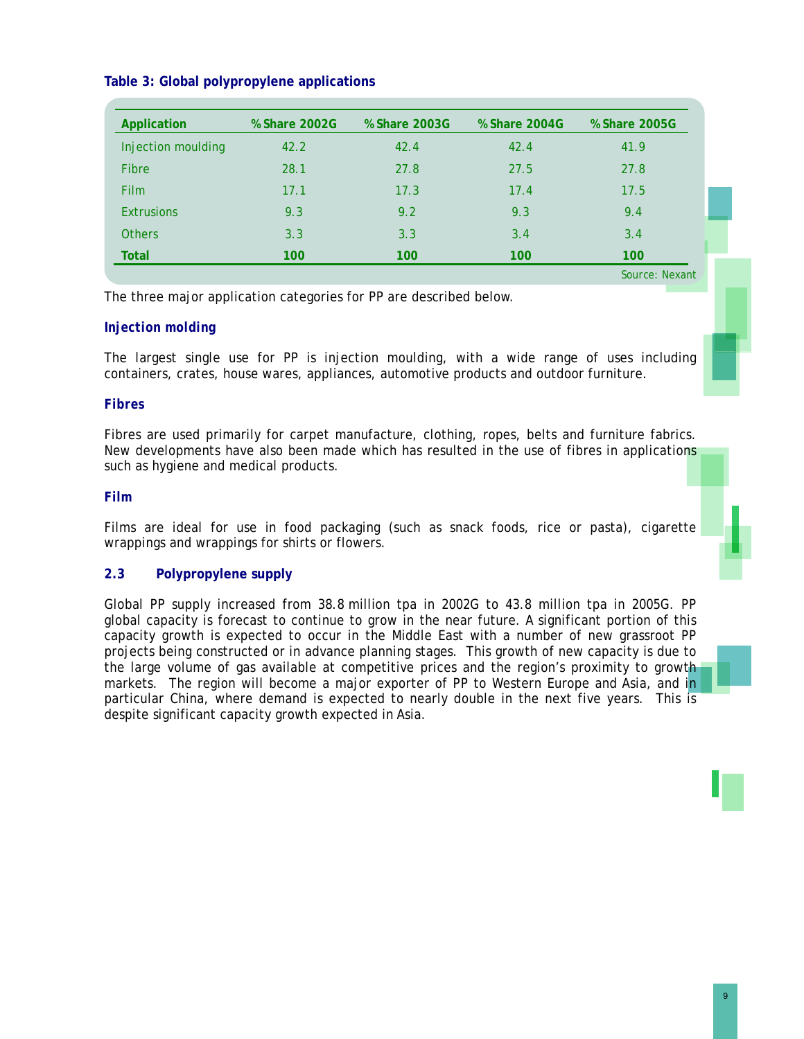## **Table 3: Global polypropylene applications**

| Application        | % Share 2002G | % Share 2003G | % Share 2004G | % Share 2005G  |
|--------------------|---------------|---------------|---------------|----------------|
| Injection moulding | 42.2          | 42.4          | 42.4          | 41.9           |
| <b>Fibre</b>       | 28.1          | 27.8          | 27.5          | 27.8           |
| <b>Film</b>        | 17.1          | 17.3          | 17.4          | 17.5           |
| <b>Extrusions</b>  | 9.3           | 9.2           | 9.3           | 9.4            |
| <b>Others</b>      | 3.3           | 3.3           | 3.4           | 3.4            |
| <b>Total</b>       | 100           | 100           | 100           | 100            |
|                    |               |               |               | Source: Nexant |

The three major application categories for PP are described below.

## *Injection molding*

The largest single use for PP is injection moulding, with a wide range of uses including containers, crates, house wares, appliances, automotive products and outdoor furniture.

## *Fibres*

Fibres are used primarily for carpet manufacture, clothing, ropes, belts and furniture fabrics. New developments have also been made which has resulted in the use of fibres in applications such as hygiene and medical products.

## *Film*

Films are ideal for use in food packaging (such as snack foods, rice or pasta), cigarette wrappings and wrappings for shirts or flowers.

## **2.3 Polypropylene supply**

Global PP supply increased from 38.8 million tpa in 2002G to 43.8 million tpa in 2005G. PP global capacity is forecast to continue to grow in the near future. A significant portion of this capacity growth is expected to occur in the Middle East with a number of new grassroot PP projects being constructed or in advance planning stages. This growth of new capacity is due to the large volume of gas available at competitive prices and the region's proximity to growth markets. The region will become a major exporter of PP to Western Europe and Asia, and in particular China, where demand is expected to nearly double in the next five years. This is despite significant capacity growth expected in Asia.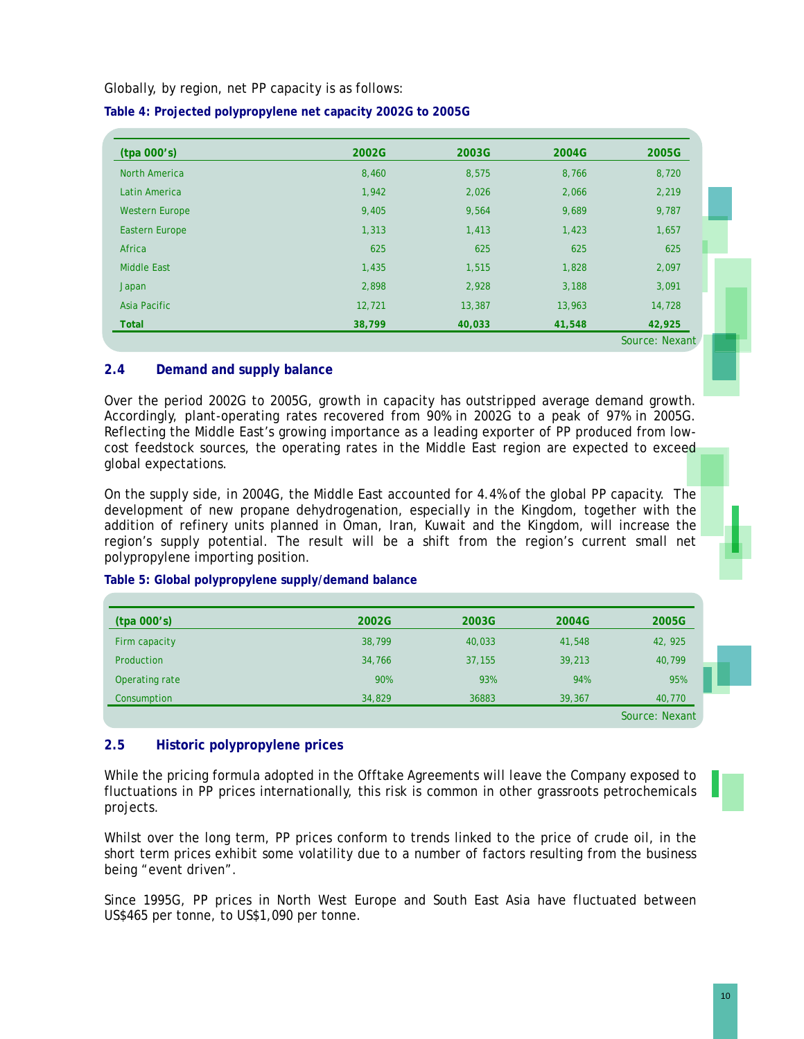Globally, by region, net PP capacity is as follows:

| (tpa 000's)           | 2002G  | 2003G  | 2004G  | 2005G  |
|-----------------------|--------|--------|--------|--------|
| <b>North America</b>  | 8,460  | 8,575  | 8,766  | 8,720  |
| Latin America         | 1,942  | 2,026  | 2,066  | 2,219  |
| <b>Western Europe</b> | 9,405  | 9,564  | 9,689  | 9,787  |
| <b>Eastern Europe</b> | 1,313  | 1,413  | 1,423  | 1,657  |
| Africa                | 625    | 625    | 625    | 625    |
| <b>Middle East</b>    | 1,435  | 1,515  | 1,828  | 2,097  |
| Japan                 | 2,898  | 2,928  | 3,188  | 3,091  |
| Asia Pacific          | 12,721 | 13,387 | 13,963 | 14,728 |
| <b>Total</b>          | 38,799 | 40,033 | 41,548 | 42,925 |

**Table 4: Projected polypropylene net capacity 2002G to 2005G** 

## **2.4 Demand and supply balance**

Over the period 2002G to 2005G, growth in capacity has outstripped average demand growth. Accordingly, plant-operating rates recovered from 90% in 2002G to a peak of 97% in 2005G. Reflecting the Middle East's growing importance as a leading exporter of PP produced from lowcost feedstock sources, the operating rates in the Middle East region are expected to exceed global expectations.

On the supply side, in 2004G, the Middle East accounted for 4.4% of the global PP capacity. The development of new propane dehydrogenation, especially in the Kingdom, together with the addition of refinery units planned in Oman, Iran, Kuwait and the Kingdom, will increase the region's supply potential. The result will be a shift from the region's current small net polypropylene importing position.

| (tpa 000's)    | 2002G  | 2003G  | 2004G  | 2005G          |
|----------------|--------|--------|--------|----------------|
| Firm capacity  | 38,799 | 40,033 | 41,548 | 42, 925        |
| Production     | 34,766 | 37,155 | 39,213 | 40,799         |
| Operating rate | 90%    | 93%    | 94%    | 95%            |
| Consumption    | 34,829 | 36883  | 39,367 | 40,770         |
|                |        |        |        | Source: Nexant |

## **Table 5: Global polypropylene supply/demand balance**

#### **2.5 Historic polypropylene prices**

While the pricing formula adopted in the Offtake Agreements will leave the Company exposed to fluctuations in PP prices internationally, this risk is common in other grassroots petrochemicals projects.

Whilst over the long term, PP prices conform to trends linked to the price of crude oil, in the short term prices exhibit some volatility due to a number of factors resulting from the business being "event driven".

Since 1995G, PP prices in North West Europe and South East Asia have fluctuated between US\$465 per tonne, to US\$1,090 per tonne.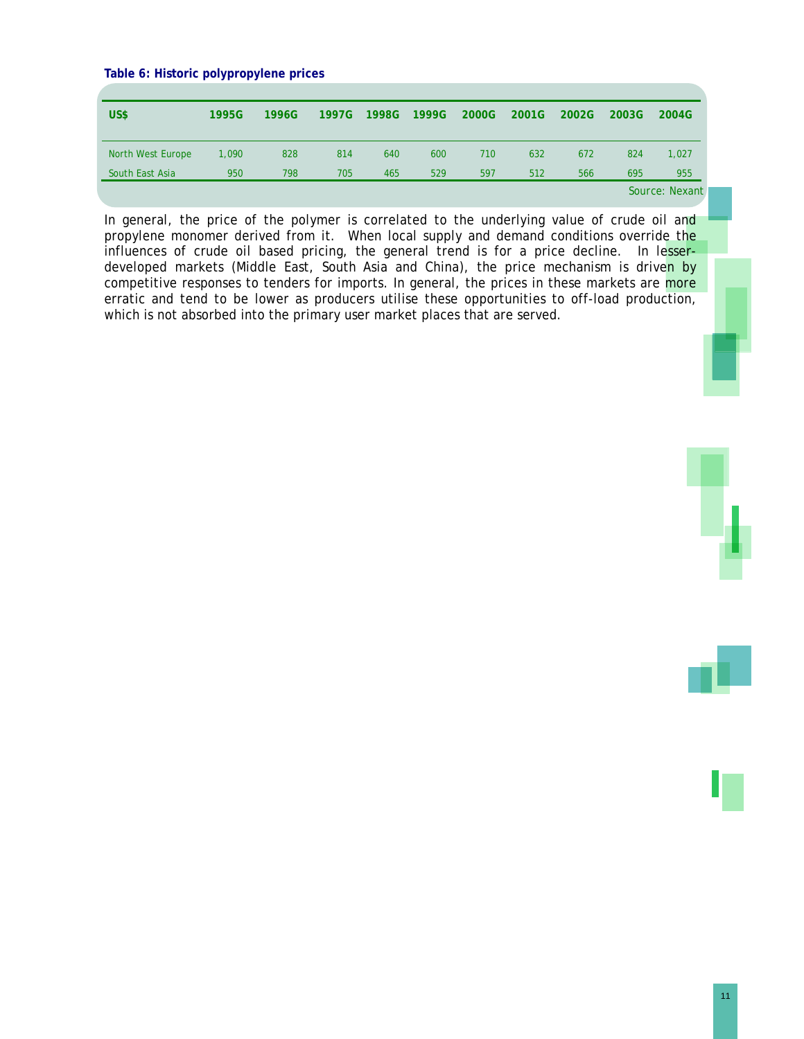#### **Table 6: Historic polypropylene prices**

| US\$              | 1995G | 1996G | 1997G | 1998G | 1999G | 2000G | 2001G | 2002G | 2003G | 2004G          |
|-------------------|-------|-------|-------|-------|-------|-------|-------|-------|-------|----------------|
| North West Europe | 1.090 | 828   | 814   | 640   | 600   | 710   | 632   | 672   | 824   | 1,027          |
| South East Asia   | 950   | 798   | 705   | 465   | 529   | 597   | 512   | 566   | 695   | 955            |
|                   |       |       |       |       |       |       |       |       |       | Source: Nexant |

In general, the price of the polymer is correlated to the underlying value of crude oil and propylene monomer derived from it. When local supply and demand conditions override the influences of crude oil based pricing, the general trend is for a price decline. In lesserdeveloped markets (Middle East, South Asia and China), the price mechanism is driven by competitive responses to tenders for imports. In general, the prices in these markets are more erratic and tend to be lower as producers utilise these opportunities to off-load production, which is not absorbed into the primary user market places that are served.

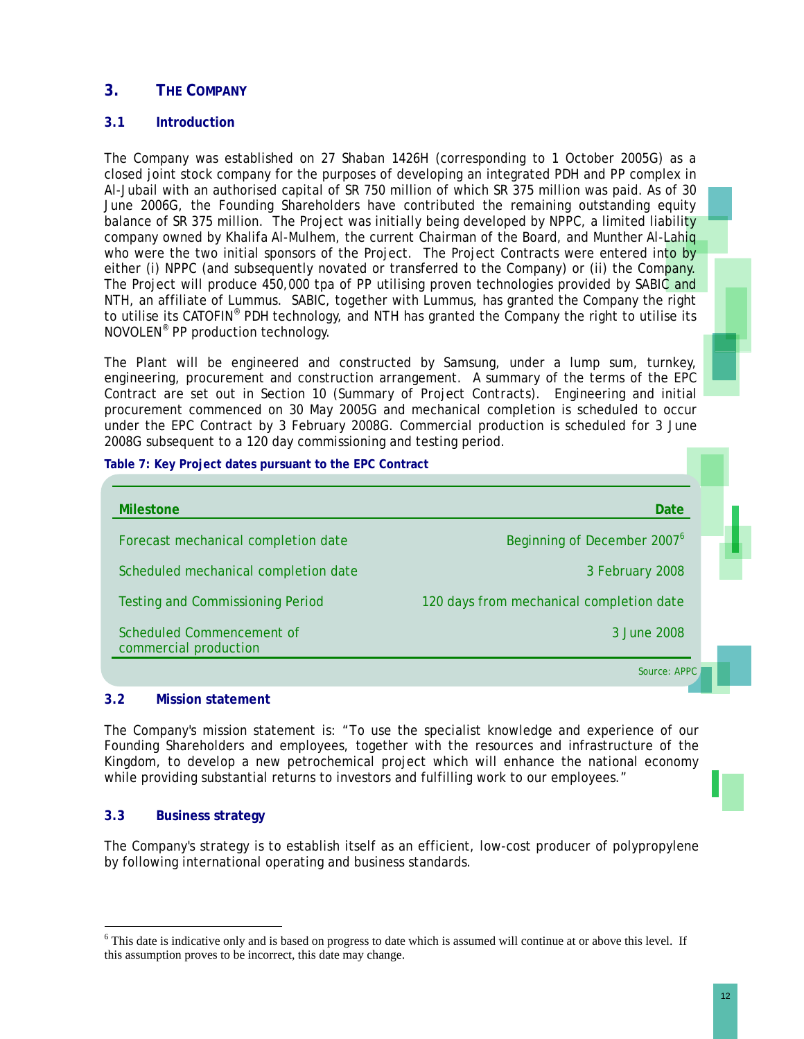# **3. THE COMPANY**

## **3.1 Introduction**

The Company was established on 27 Shaban 1426H (corresponding to 1 October 2005G) as a closed joint stock company for the purposes of developing an integrated PDH and PP complex in Al-Jubail with an authorised capital of SR 750 million of which SR 375 million was paid. As of 30 June 2006G, the Founding Shareholders have contributed the remaining outstanding equity balance of SR 375 million. The Project was initially being developed by NPPC, a limited liability company owned by Khalifa Al-Mulhem, the current Chairman of the Board, and Munther Al-Lahiq who were the two initial sponsors of the Project. The Project Contracts were entered into by either (i) NPPC (and subsequently novated or transferred to the Company) or (ii) the Company. The Project will produce 450,000 tpa of PP utilising proven technologies provided by SABIC and NTH, an affiliate of Lummus. SABIC, together with Lummus, has granted the Company the right to utilise its CATOFIN<sup>®</sup> PDH technology, and NTH has granted the Company the right to utilise its NOVOLEN® PP production technology.

The Plant will be engineered and constructed by Samsung, under a lump sum, turnkey, engineering, procurement and construction arrangement. A summary of the terms of the EPC Contract are set out in Section 10 (*Summary of Project Contracts*). Engineering and initial procurement commenced on 30 May 2005G and mechanical completion is scheduled to occur under the EPC Contract by 3 February 2008G. Commercial production is scheduled for 3 June 2008G subsequent to a 120 day commissioning and testing period.

| Table 7: Key Project dates pursuant to the EPC Contract |                                          |  |
|---------------------------------------------------------|------------------------------------------|--|
| <b>Milestone</b>                                        | Date                                     |  |
| Forecast mechanical completion date                     | Beginning of December 2007 <sup>6</sup>  |  |
| Scheduled mechanical completion date                    | 3 February 2008                          |  |
| <b>Testing and Commissioning Period</b>                 | 120 days from mechanical completion date |  |
| Scheduled Commencement of<br>commercial production      | 3 June 2008                              |  |
|                                                         | Source: APPC                             |  |

# **3.2 Mission statement**

The Company's mission statement is: "To use the specialist knowledge and experience of our Founding Shareholders and employees, together with the resources and infrastructure of the Kingdom, to develop a new petrochemical project which will enhance the national economy while providing substantial returns to investors and fulfilling work to our employees."

# **3.3 Business strategy**

l

The Company's strategy is to establish itself as an efficient, low-cost producer of polypropylene by following international operating and business standards.

<sup>&</sup>lt;sup>6</sup> This date is indicative only and is based on progress to date which is assumed will continue at or above this level. If this assumption proves to be incorrect, this date may change.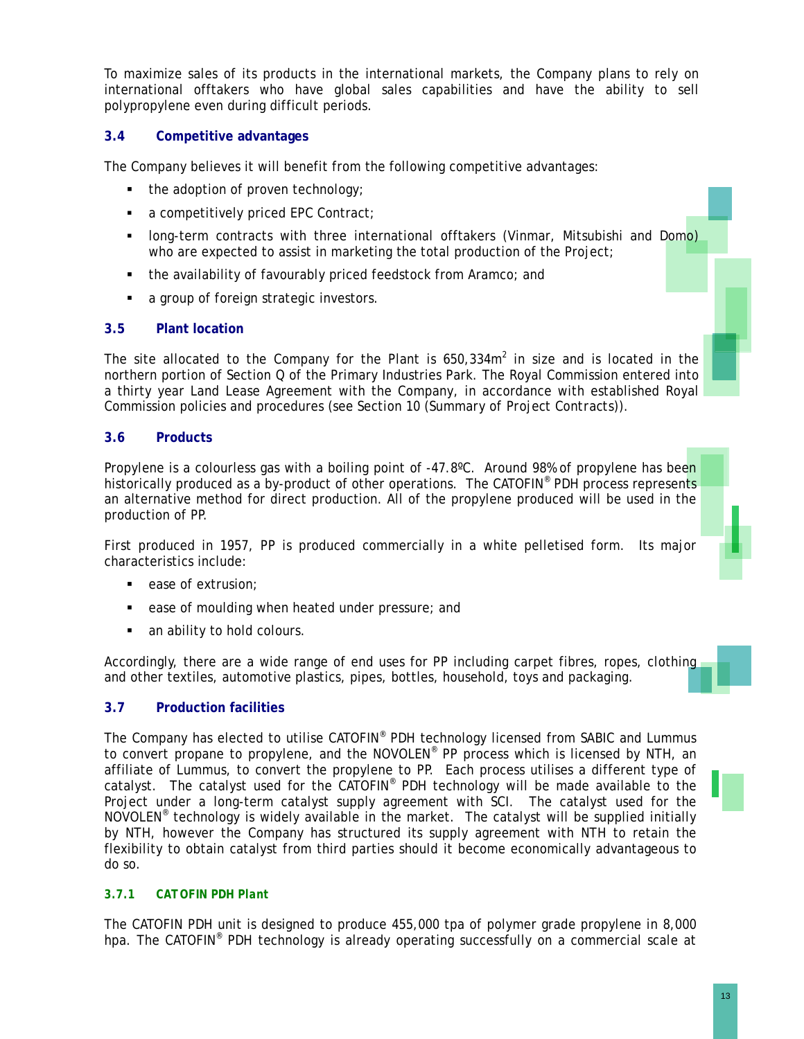To maximize sales of its products in the international markets, the Company plans to rely on international offtakers who have global sales capabilities and have the ability to sell polypropylene even during difficult periods.

## **3.4 Competitive advantages**

The Company believes it will benefit from the following competitive advantages:

- the adoption of proven technology;
- a competitively priced EPC Contract;
- long-term contracts with three international offtakers (Vinmar, Mitsubishi and Domo) who are expected to assist in marketing the total production of the Project;
- the availability of favourably priced feedstock from Aramco; and
- a group of foreign strategic investors.

## **3.5 Plant location**

The site allocated to the Company for the Plant is  $650,334m^2$  in size and is located in the northern portion of Section Q of the Primary Industries Park. The Royal Commission entered into a thirty year Land Lease Agreement with the Company, in accordance with established Royal Commission policies and procedures (see Section 10 (*Summary of Project Contracts*)).

## **3.6 Products**

Propylene is a colourless gas with a boiling point of -47.8°C. Around 98% of propylene has been historically produced as a by-product of other operations. The CATOFIN<sup>®</sup> PDH process represents an alternative method for direct production. All of the propylene produced will be used in the production of PP.

First produced in 1957, PP is produced commercially in a white pelletised form. Its major characteristics include:

- ease of extrusion;
- ease of moulding when heated under pressure; and
- an ability to hold colours.

Accordingly, there are a wide range of end uses for PP including carpet fibres, ropes, clothing and other textiles, automotive plastics, pipes, bottles, household, toys and packaging.

## **3.7 Production facilities**

The Company has elected to utilise CATOFIN® PDH technology licensed from SABIC and Lummus to convert propane to propylene, and the NOVOLEN® PP process which is licensed by NTH, an affiliate of Lummus, to convert the propylene to PP. Each process utilises a different type of catalyst. The catalyst used for the CATOFIN<sup>®</sup> PDH technology will be made available to the Project under a long-term catalyst supply agreement with SCI. The catalyst used for the NOVOLEN® technology is widely available in the market. The catalyst will be supplied initially by NTH, however the Company has structured its supply agreement with NTH to retain the flexibility to obtain catalyst from third parties should it become economically advantageous to do so.

## *3.7.1 CATOFIN PDH Plant*

The CATOFIN PDH unit is designed to produce 455,000 tpa of polymer grade propylene in 8,000 hpa. The CATOFIN<sup>®</sup> PDH technology is already operating successfully on a commercial scale at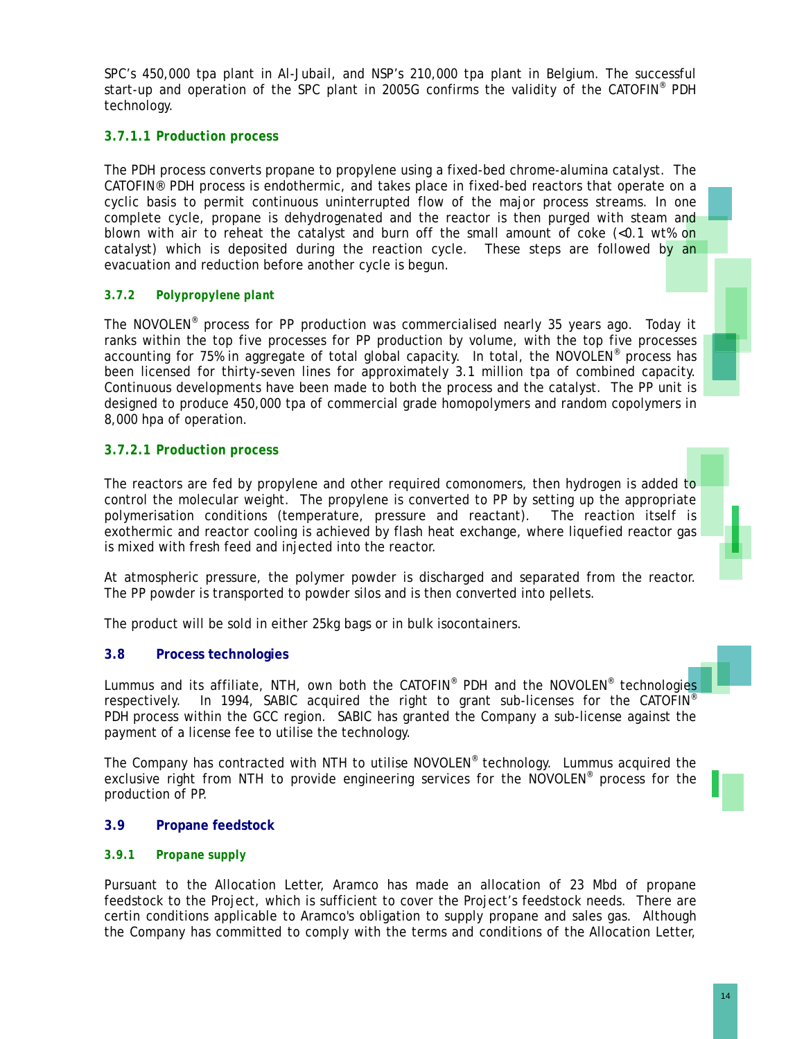SPC's 450,000 tpa plant in Al-Jubail, and NSP's 210,000 tpa plant in Belgium. The successful start-up and operation of the SPC plant in 2005G confirms the validity of the CATOFIN® PDH technology.

## *3.7.1.1 Production process*

The PDH process converts propane to propylene using a fixed-bed chrome-alumina catalyst. The CATOFIN® PDH process is endothermic, and takes place in fixed-bed reactors that operate on a cyclic basis to permit continuous uninterrupted flow of the major process streams. In one complete cycle, propane is dehydrogenated and the reactor is then purged with steam and blown with air to reheat the catalyst and burn off the small amount of coke (<0.1 wt% on catalyst) which is deposited during the reaction cycle. These steps are followed by an evacuation and reduction before another cycle is begun.

## *3.7.2 Polypropylene plant*

The NOVOLEN® process for PP production was commercialised nearly 35 years ago. Today it ranks within the top five processes for PP production by volume, with the top five processes accounting for 75% in aggregate of total global capacity. In total, the NOVOLEN® process has been licensed for thirty-seven lines for approximately 3.1 million tpa of combined capacity. Continuous developments have been made to both the process and the catalyst. The PP unit is designed to produce 450,000 tpa of commercial grade homopolymers and random copolymers in 8,000 hpa of operation.

## *3.7.2.1 Production process*

The reactors are fed by propylene and other required comonomers, then hydrogen is added to control the molecular weight. The propylene is converted to PP by setting up the appropriate polymerisation conditions (temperature, pressure and reactant). The reaction itself is exothermic and reactor cooling is achieved by flash heat exchange, where liquefied reactor gas is mixed with fresh feed and injected into the reactor.

At atmospheric pressure, the polymer powder is discharged and separated from the reactor. The PP powder is transported to powder silos and is then converted into pellets.

The product will be sold in either 25kg bags or in bulk isocontainers.

## **3.8 Process technologies**

Lummus and its affiliate, NTH, own both the CATOFIN<sup>®</sup> PDH and the NOVOLEN<sup>®</sup> technologies respectively. In 1994, SABIC acquired the right to grant sub-licenses for the CATOFIN<sup>®</sup> PDH process within the GCC region. SABIC has granted the Company a sub-license against the payment of a license fee to utilise the technology.

The Company has contracted with NTH to utilise NOVOLEN® technology. Lummus acquired the exclusive right from NTH to provide engineering services for the NOVOLEN<sup>®</sup> process for the production of PP.

## **3.9 Propane feedstock**

#### *3.9.1 Propane supply*

Pursuant to the Allocation Letter, Aramco has made an allocation of 23 Mbd of propane feedstock to the Project, which is sufficient to cover the Project's feedstock needs. There are certin conditions applicable to Aramco's obligation to supply propane and sales gas. Although the Company has committed to comply with the terms and conditions of the Allocation Letter,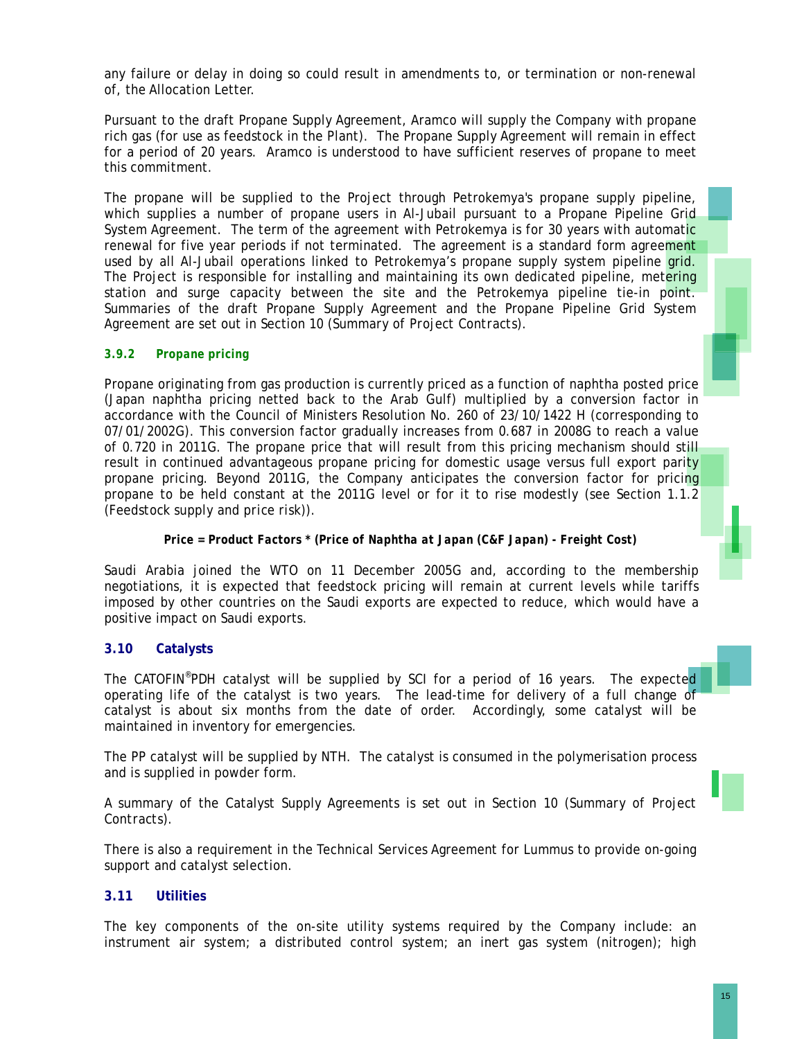any failure or delay in doing so could result in amendments to, or termination or non-renewal of, the Allocation Letter.

Pursuant to the draft Propane Supply Agreement, Aramco will supply the Company with propane rich gas (for use as feedstock in the Plant). The Propane Supply Agreement will remain in effect for a period of 20 years. Aramco is understood to have sufficient reserves of propane to meet this commitment.

The propane will be supplied to the Project through Petrokemya's propane supply pipeline, which supplies a number of propane users in Al-Jubail pursuant to a Propane Pipeline Grid System Agreement. The term of the agreement with Petrokemya is for 30 years with automatic renewal for five year periods if not terminated. The agreement is a standard form agreement used by all Al-Jubail operations linked to Petrokemya's propane supply system pipeline grid. The Project is responsible for installing and maintaining its own dedicated pipeline, metering station and surge capacity between the site and the Petrokemya pipeline tie-in point. Summaries of the draft Propane Supply Agreement and the Propane Pipeline Grid System Agreement are set out in Section 10 (*Summary of Project Contracts*).

## *3.9.2 Propane pricing*

Propane originating from gas production is currently priced as a function of naphtha posted price (Japan naphtha pricing netted back to the Arab Gulf) multiplied by a conversion factor in accordance with the Council of Ministers Resolution No. 260 of 23/10/1422 H (corresponding to 07/01/2002G). This conversion factor gradually increases from 0.687 in 2008G to reach a value of 0.720 in 2011G. The propane price that will result from this pricing mechanism should still result in continued advantageous propane pricing for domestic usage versus full export parity propane pricing. Beyond 2011G, the Company anticipates the conversion factor for pricing propane to be held constant at the 2011G level or for it to rise modestly (see Section 1.1.2 (*Feedstock supply and price risk*)).

#### *Price = Product Factors \* (Price of Naphtha at Japan (C&F Japan) - Freight Cost)*

Saudi Arabia joined the WTO on 11 December 2005G and, according to the membership negotiations, it is expected that feedstock pricing will remain at current levels while tariffs imposed by other countries on the Saudi exports are expected to reduce, which would have a positive impact on Saudi exports.

## **3.10 Catalysts**

The CATOFIN<sup>®</sup>PDH catalyst will be supplied by SCI for a period of 16 years. The expected operating life of the catalyst is two years. The lead-time for delivery of a full change of catalyst is about six months from the date of order. Accordingly, some catalyst will be maintained in inventory for emergencies.

The PP catalyst will be supplied by NTH. The catalyst is consumed in the polymerisation process and is supplied in powder form.

A summary of the Catalyst Supply Agreements is set out in Section 10 (*Summary of Project Contracts*).

There is also a requirement in the Technical Services Agreement for Lummus to provide on-going support and catalyst selection.

## **3.11 Utilities**

The key components of the on-site utility systems required by the Company include: an instrument air system; a distributed control system; an inert gas system (nitrogen); high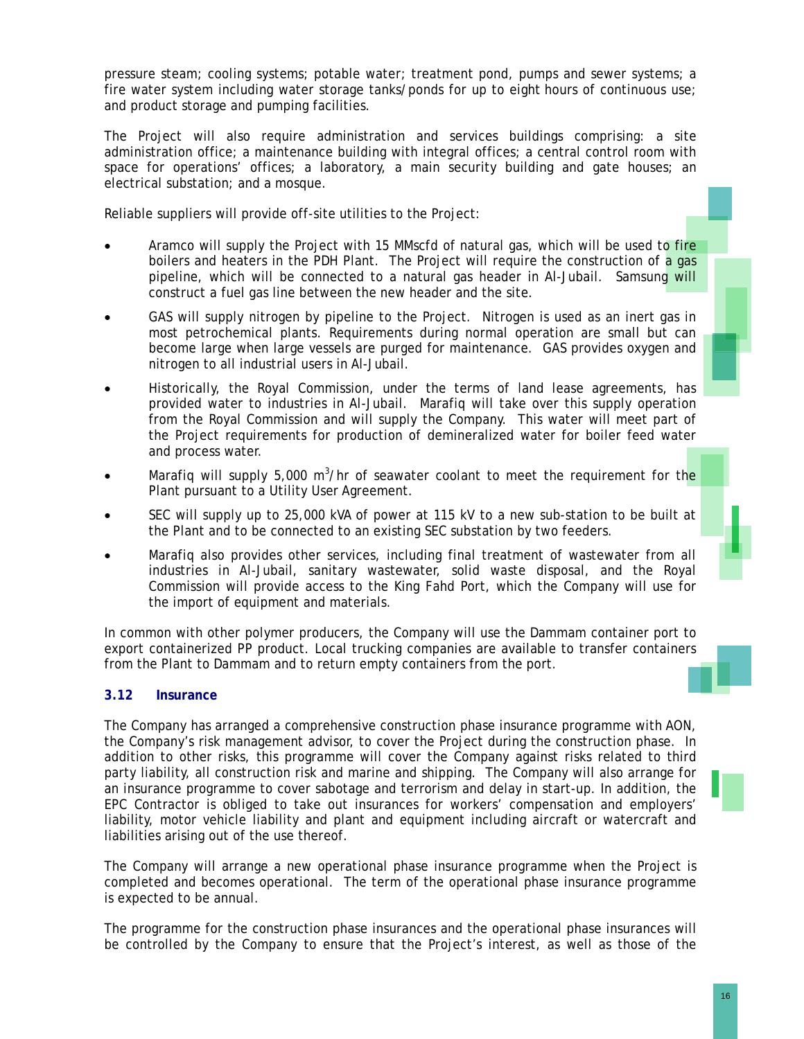pressure steam; cooling systems; potable water; treatment pond, pumps and sewer systems; a fire water system including water storage tanks/ponds for up to eight hours of continuous use; and product storage and pumping facilities.

The Project will also require administration and services buildings comprising: a site administration office; a maintenance building with integral offices; a central control room with space for operations' offices; a laboratory, a main security building and gate houses; an electrical substation; and a mosque.

Reliable suppliers will provide off-site utilities to the Project:

- Aramco will supply the Project with 15 MMscfd of natural gas, which will be used to fire boilers and heaters in the PDH Plant. The Project will require the construction of a gas pipeline, which will be connected to a natural gas header in Al-Jubail. Samsung will construct a fuel gas line between the new header and the site.
- GAS will supply nitrogen by pipeline to the Project. Nitrogen is used as an inert gas in most petrochemical plants. Requirements during normal operation are small but can become large when large vessels are purged for maintenance. GAS provides oxygen and nitrogen to all industrial users in Al-Jubail.
- Historically, the Royal Commission, under the terms of land lease agreements, has provided water to industries in Al-Jubail. Marafiq will take over this supply operation from the Royal Commission and will supply the Company. This water will meet part of the Project requirements for production of demineralized water for boiler feed water and process water.
- Marafiq will supply 5,000 m<sup>3</sup>/hr of seawater coolant to meet the requirement for the Plant pursuant to a Utility User Agreement.
- SEC will supply up to 25,000 kVA of power at 115 kV to a new sub-station to be built at the Plant and to be connected to an existing SEC substation by two feeders.
- Marafiq also provides other services, including final treatment of wastewater from all industries in Al-Jubail, sanitary wastewater, solid waste disposal, and the Royal Commission will provide access to the King Fahd Port, which the Company will use for the import of equipment and materials.

In common with other polymer producers, the Company will use the Dammam container port to export containerized PP product. Local trucking companies are available to transfer containers from the Plant to Dammam and to return empty containers from the port.

# **3.12 Insurance**

The Company has arranged a comprehensive construction phase insurance programme with AON, the Company's risk management advisor, to cover the Project during the construction phase. In addition to other risks, this programme will cover the Company against risks related to third party liability, all construction risk and marine and shipping. The Company will also arrange for an insurance programme to cover sabotage and terrorism and delay in start-up. In addition, the EPC Contractor is obliged to take out insurances for workers' compensation and employers' liability, motor vehicle liability and plant and equipment including aircraft or watercraft and liabilities arising out of the use thereof.

The Company will arrange a new operational phase insurance programme when the Project is completed and becomes operational. The term of the operational phase insurance programme is expected to be annual.

The programme for the construction phase insurances and the operational phase insurances will be controlled by the Company to ensure that the Project's interest, as well as those of the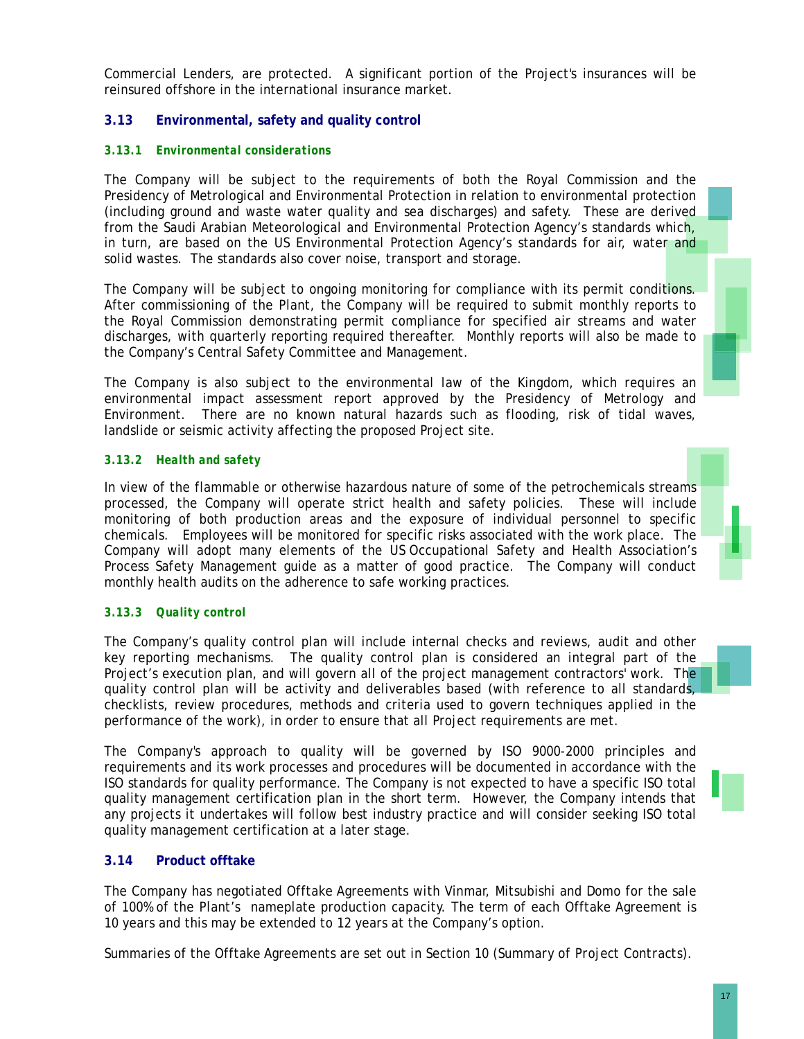Commercial Lenders, are protected. A significant portion of the Project's insurances will be reinsured offshore in the international insurance market.

# **3.13 Environmental, safety and quality control**

# *3.13.1 Environmental considerations*

The Company will be subject to the requirements of both the Royal Commission and the Presidency of Metrological and Environmental Protection in relation to environmental protection (including ground and waste water quality and sea discharges) and safety. These are derived from the Saudi Arabian Meteorological and Environmental Protection Agency's standards which, in turn, are based on the US Environmental Protection Agency's standards for air, water and solid wastes. The standards also cover noise, transport and storage.

The Company will be subject to ongoing monitoring for compliance with its permit conditions. After commissioning of the Plant, the Company will be required to submit monthly reports to the Royal Commission demonstrating permit compliance for specified air streams and water discharges, with quarterly reporting required thereafter. Monthly reports will also be made to the Company's Central Safety Committee and Management.

The Company is also subject to the environmental law of the Kingdom, which requires an environmental impact assessment report approved by the Presidency of Metrology and Environment. There are no known natural hazards such as flooding, risk of tidal waves, landslide or seismic activity affecting the proposed Project site.

# *3.13.2 Health and safety*

In view of the flammable or otherwise hazardous nature of some of the petrochemicals streams processed, the Company will operate strict health and safety policies. These will include monitoring of both production areas and the exposure of individual personnel to specific chemicals. Employees will be monitored for specific risks associated with the work place. The Company will adopt many elements of the US Occupational Safety and Health Association's Process Safety Management guide as a matter of good practice. The Company will conduct monthly health audits on the adherence to safe working practices.

# *3.13.3 Quality control*

The Company's quality control plan will include internal checks and reviews, audit and other key reporting mechanisms. The quality control plan is considered an integral part of the Project's execution plan, and will govern all of the project management contractors' work. The quality control plan will be activity and deliverables based (with reference to all standards, checklists, review procedures, methods and criteria used to govern techniques applied in the performance of the work), in order to ensure that all Project requirements are met.

The Company's approach to quality will be governed by ISO 9000-2000 principles and requirements and its work processes and procedures will be documented in accordance with the ISO standards for quality performance. The Company is not expected to have a specific ISO total quality management certification plan in the short term. However, the Company intends that any projects it undertakes will follow best industry practice and will consider seeking ISO total quality management certification at a later stage.

# **3.14 Product offtake**

The Company has negotiated Offtake Agreements with Vinmar, Mitsubishi and Domo for the sale of 100% of the Plant's nameplate production capacity. The term of each Offtake Agreement is 10 years and this may be extended to 12 years at the Company's option.

Summaries of the Offtake Agreements are set out in Section 10 (*Summary of Project Contracts*).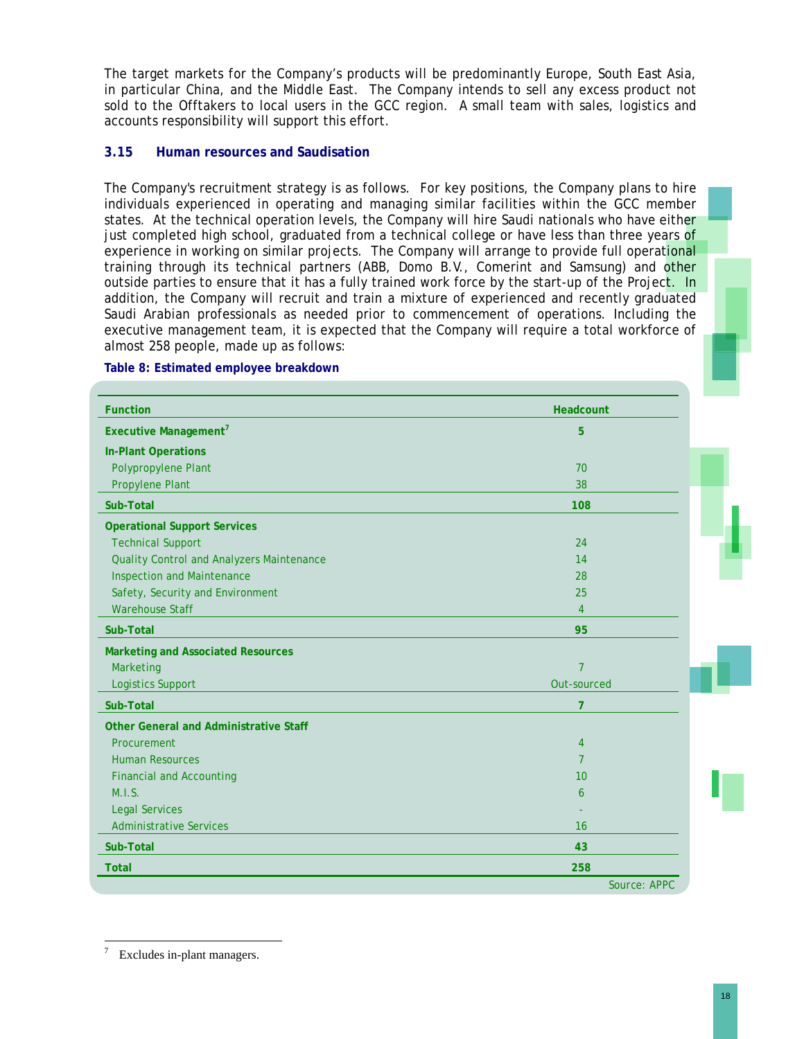The target markets for the Company's products will be predominantly Europe, South East Asia, in particular China, and the Middle East. The Company intends to sell any excess product not sold to the Offtakers to local users in the GCC region. A small team with sales, logistics and accounts responsibility will support this effort.

# **3.15 Human resources and Saudisation**

The Company's recruitment strategy is as follows. For key positions, the Company plans to hire individuals experienced in operating and managing similar facilities within the GCC member states. At the technical operation levels, the Company will hire Saudi nationals who have either just completed high school, graduated from a technical college or have less than three years of experience in working on similar projects. The Company will arrange to provide full operational training through its technical partners (ABB, Domo B.V., Comerint and Samsung) and other outside parties to ensure that it has a fully trained work force by the start-up of the Project. In addition, the Company will recruit and train a mixture of experienced and recently graduated Saudi Arabian professionals as needed prior to commencement of operations. Including the executive management team, it is expected that the Company will require a total workforce of almost 258 people, made up as follows:

| <b>Function</b>                               | Headcount      |
|-----------------------------------------------|----------------|
| Executive Management <sup>7</sup>             | 5              |
| <b>In-Plant Operations</b>                    |                |
| Polypropylene Plant                           | 70             |
| Propylene Plant                               | 38             |
| Sub-Total                                     | 108            |
| <b>Operational Support Services</b>           |                |
| <b>Technical Support</b>                      | 24             |
| Quality Control and Analyzers Maintenance     | 14             |
| <b>Inspection and Maintenance</b>             | 28             |
| Safety, Security and Environment              | 25             |
| <b>Warehouse Staff</b>                        | 4              |
| Sub-Total                                     | 95             |
| <b>Marketing and Associated Resources</b>     |                |
| Marketing                                     | $\overline{7}$ |
| <b>Logistics Support</b>                      | Out-sourced    |
| Sub-Total                                     | 7              |
| <b>Other General and Administrative Staff</b> |                |
| Procurement                                   | 4              |
| <b>Human Resources</b>                        | 7              |
| <b>Financial and Accounting</b>               | 10             |
| M.I.S.                                        | 6              |
| <b>Legal Services</b>                         |                |
| <b>Administrative Services</b>                | 16             |
| Sub-Total                                     | 43             |
| <b>Total</b>                                  | 258            |
|                                               | Source: APPC   |

#### **Table 8: Estimated employee breakdown**

 $\overline{a}$ 7 Excludes in-plant managers.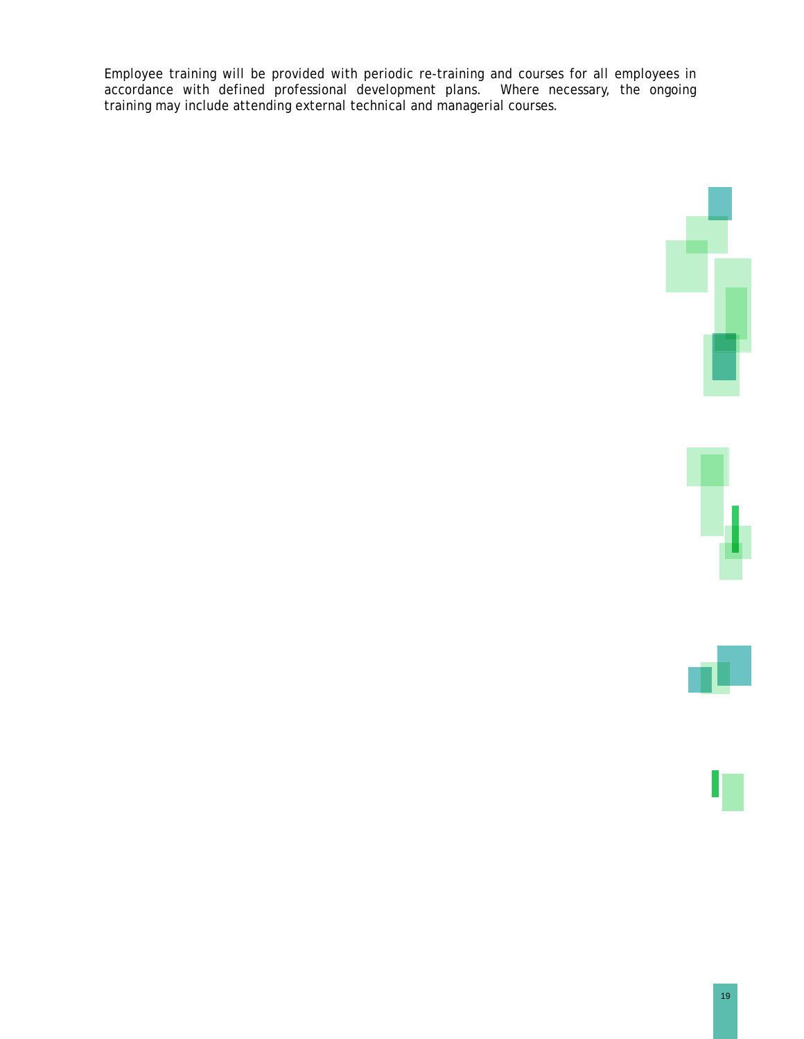Employee training will be provided with periodic re-training and courses for all employees in accordance with defined professional development plans. Where necessary, the ongoing training may include attending external technical and managerial courses.

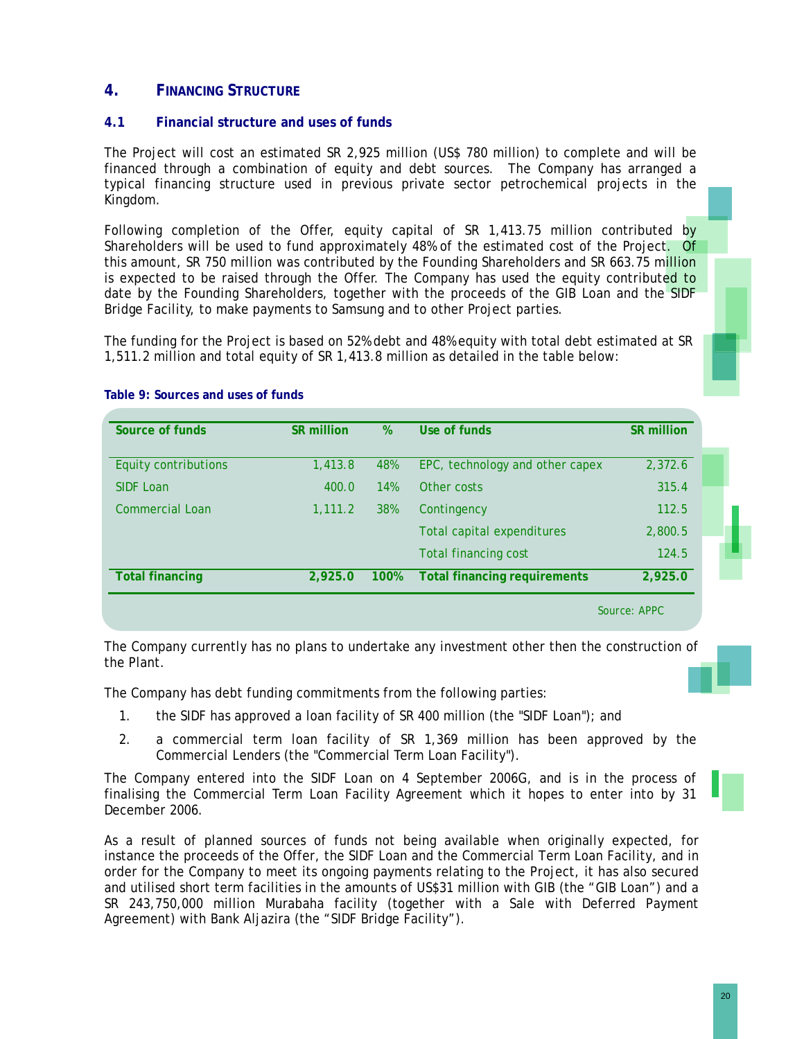# **4. FINANCING STRUCTURE**

# **4.1 Financial structure and uses of funds**

The Project will cost an estimated SR 2,925 million (US\$ 780 million) to complete and will be financed through a combination of equity and debt sources. The Company has arranged a typical financing structure used in previous private sector petrochemical projects in the Kingdom.

Following completion of the Offer, equity capital of SR 1,413.75 million contributed by Shareholders will be used to fund approximately 48% of the estimated cost of the Project. Of this amount, SR 750 million was contributed by the Founding Shareholders and SR 663.75 million is expected to be raised through the Offer. The Company has used the equity contributed to date by the Founding Shareholders, together with the proceeds of the GIB Loan and the SIDF Bridge Facility, to make payments to Samsung and to other Project parties.

The funding for the Project is based on 52% debt and 48% equity with total debt estimated at SR 1,511.2 million and total equity of SR 1,413.8 million as detailed in the table below:

| Source of funds        | <b>SR million</b> | %          | Use of funds                        | SR million |
|------------------------|-------------------|------------|-------------------------------------|------------|
| Equity contributions   | 1,413.8           | 48%        | EPC, technology and other capex     | 2,372.6    |
| <b>SIDF Loan</b>       | 400.0             | <b>14%</b> | Other costs                         | 315.4      |
| <b>Commercial Loan</b> | 1.111.2           | 38%        | Contingency                         | 112.5      |
|                        |                   |            | Total capital expenditures          | 2,800.5    |
|                        |                   |            | <b>Total financing cost</b>         | 124.5      |
| <b>Total financing</b> | 2,925.0           | 100%       | <b>Total financing requirements</b> | 2,925.0    |

#### **Table 9: Sources and uses of funds**

The Company currently has no plans to undertake any investment other then the construction of the Plant.

The Company has debt funding commitments from the following parties:

- 1. the SIDF has approved a loan facility of SR 400 million (the "SIDF Loan"); and
- 2. a commercial term loan facility of SR 1,369 million has been approved by the Commercial Lenders (the "Commercial Term Loan Facility").

The Company entered into the SIDF Loan on 4 September 2006G, and is in the process of finalising the Commercial Term Loan Facility Agreement which it hopes to enter into by 31 December 2006.

As a result of planned sources of funds not being available when originally expected, for instance the proceeds of the Offer, the SIDF Loan and the Commercial Term Loan Facility, and in order for the Company to meet its ongoing payments relating to the Project, it has also secured and utilised short term facilities in the amounts of US\$31 million with GIB (the "GIB Loan") and a SR 243,750,000 million Murabaha facility (together with a Sale with Deferred Payment Agreement) with Bank Aljazira (the "SIDF Bridge Facility").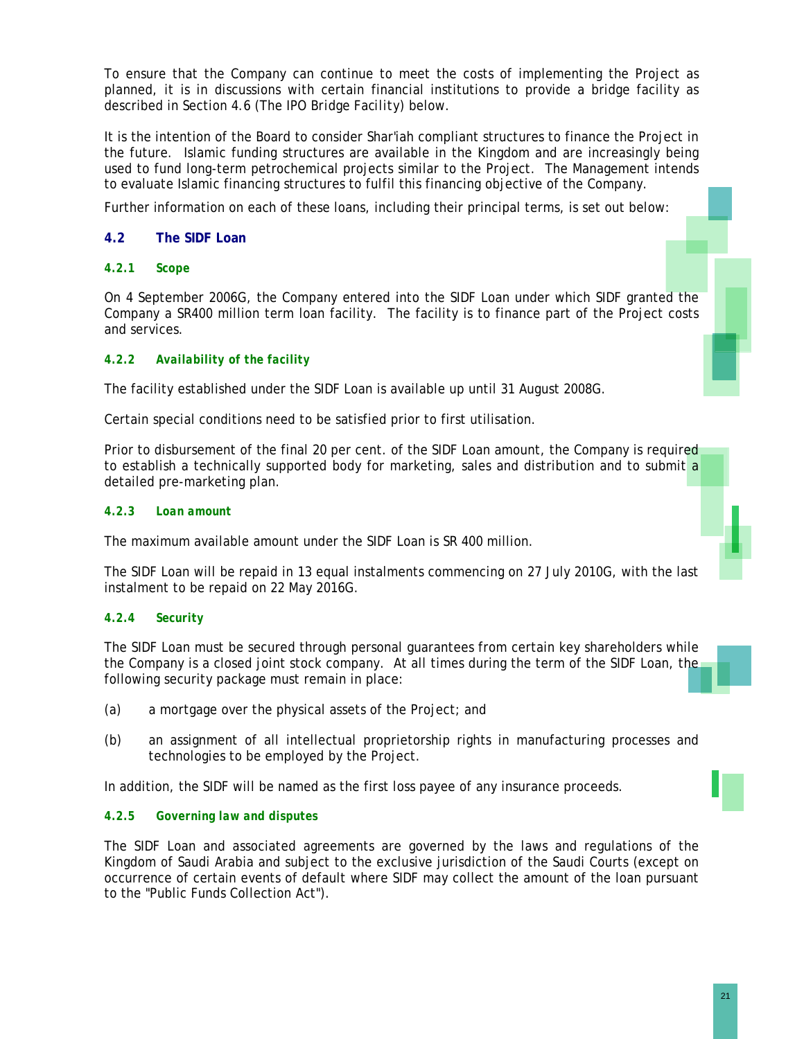To ensure that the Company can continue to meet the costs of implementing the Project as planned, it is in discussions with certain financial institutions to provide a bridge facility as described in Section 4.6 (*The IPO Bridge Facility*) below.

It is the intention of the Board to consider Shar'iah compliant structures to finance the Project in the future. Islamic funding structures are available in the Kingdom and are increasingly being used to fund long-term petrochemical projects similar to the Project. The Management intends to evaluate Islamic financing structures to fulfil this financing objective of the Company.

Further information on each of these loans, including their principal terms, is set out below:

# **4.2 The SIDF Loan**

# *4.2.1 Scope*

On 4 September 2006G, the Company entered into the SIDF Loan under which SIDF granted the Company a SR400 million term loan facility. The facility is to finance part of the Project costs and services.

# *4.2.2 Availability of the facility*

The facility established under the SIDF Loan is available up until 31 August 2008G.

Certain special conditions need to be satisfied prior to first utilisation.

Prior to disbursement of the final 20 per cent, of the SIDF Loan amount, the Company is required to establish a technically supported body for marketing, sales and distribution and to submit a detailed pre-marketing plan.

# *4.2.3 Loan amount*

The maximum available amount under the SIDF Loan is SR 400 million.

The SIDF Loan will be repaid in 13 equal instalments commencing on 27 July 2010G, with the last instalment to be repaid on 22 May 2016G.

### *4.2.4 Security*

The SIDF Loan must be secured through personal guarantees from certain key shareholders while the Company is a closed joint stock company. At all times during the term of the SIDF Loan, the following security package must remain in place:

- (a) a mortgage over the physical assets of the Project; and
- (b) an assignment of all intellectual proprietorship rights in manufacturing processes and technologies to be employed by the Project.

In addition, the SIDF will be named as the first loss payee of any insurance proceeds.

# *4.2.5 Governing law and disputes*

The SIDF Loan and associated agreements are governed by the laws and regulations of the Kingdom of Saudi Arabia and subject to the exclusive jurisdiction of the Saudi Courts (except on occurrence of certain events of default where SIDF may collect the amount of the loan pursuant to the "Public Funds Collection Act").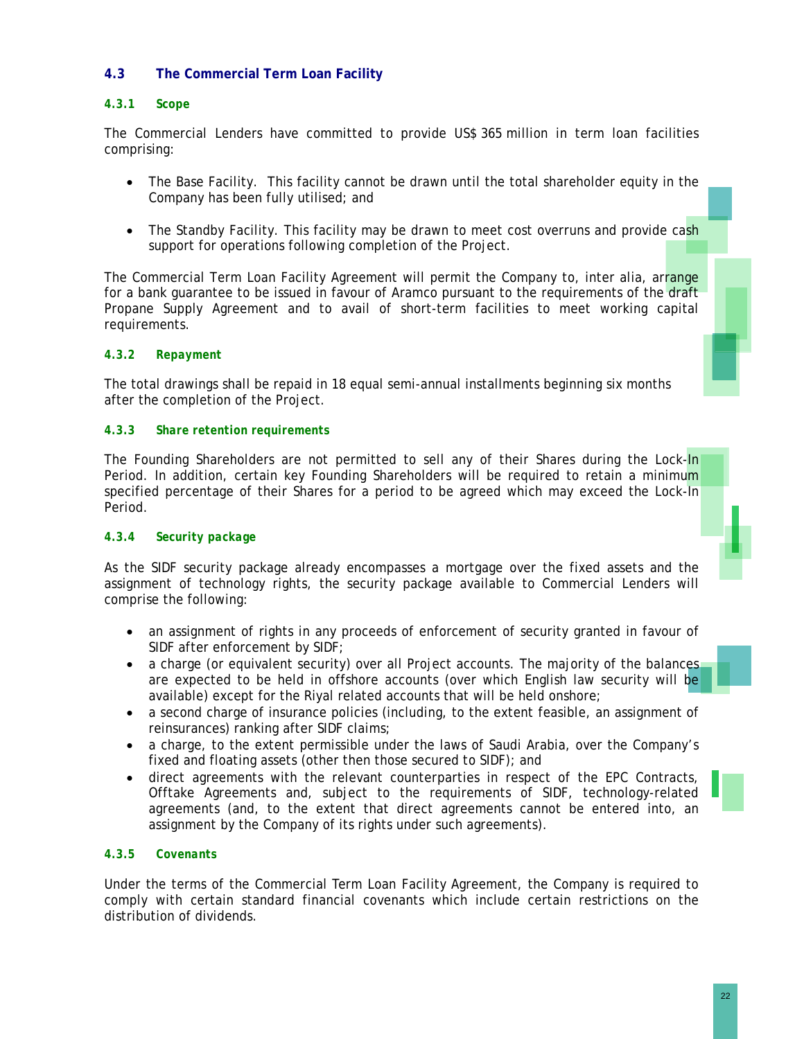# **4.3 The Commercial Term Loan Facility**

# *4.3.1 Scope*

The Commercial Lenders have committed to provide US\$ 365 million in term loan facilities comprising:

- The Base Facility. This facility cannot be drawn until the total shareholder equity in the Company has been fully utilised; and
- The Standby Facility. This facility may be drawn to meet cost overruns and provide cash support for operations following completion of the Project.

The Commercial Term Loan Facility Agreement will permit the Company to, inter alia, arrange for a bank guarantee to be issued in favour of Aramco pursuant to the requirements of the draft Propane Supply Agreement and to avail of short-term facilities to meet working capital requirements.

# *4.3.2 Repayment*

The total drawings shall be repaid in 18 equal semi-annual installments beginning six months after the completion of the Project.

# *4.3.3 Share retention requirements*

The Founding Shareholders are not permitted to sell any of their Shares during the Lock-In Period. In addition, certain key Founding Shareholders will be required to retain a minimum specified percentage of their Shares for a period to be agreed which may exceed the Lock-In Period.

### *4.3.4 Security package*

As the SIDF security package already encompasses a mortgage over the fixed assets and the assignment of technology rights, the security package available to Commercial Lenders will comprise the following:

- an assignment of rights in any proceeds of enforcement of security granted in favour of SIDF after enforcement by SIDF;
- a charge (or equivalent security) over all Project accounts. The majority of the balances are expected to be held in offshore accounts (over which English law security will be available) except for the Riyal related accounts that will be held onshore;
- a second charge of insurance policies (including, to the extent feasible, an assignment of reinsurances) ranking after SIDF claims;
- a charge, to the extent permissible under the laws of Saudi Arabia, over the Company's fixed and floating assets (other then those secured to SIDF); and
- direct agreements with the relevant counterparties in respect of the EPC Contracts, Offtake Agreements and, subject to the requirements of SIDF, technology-related agreements (and, to the extent that direct agreements cannot be entered into, an assignment by the Company of its rights under such agreements).

# *4.3.5 Covenants*

Under the terms of the Commercial Term Loan Facility Agreement, the Company is required to comply with certain standard financial covenants which include certain restrictions on the distribution of dividends.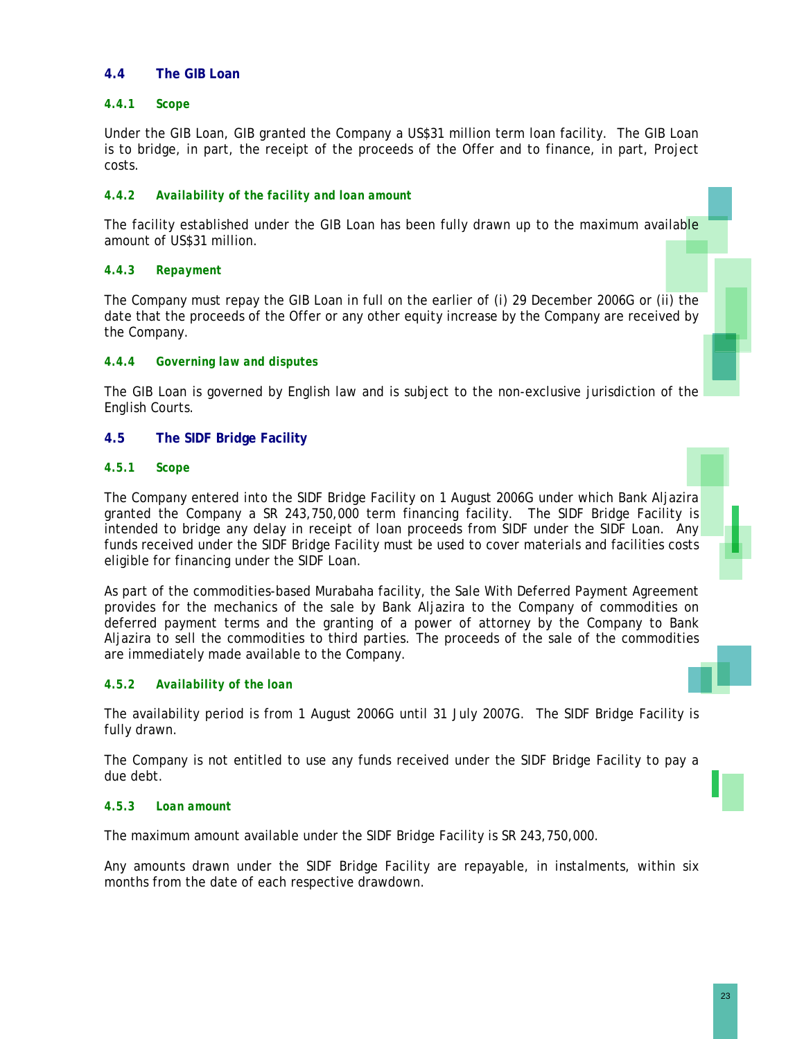# **4.4 The GIB Loan**

# *4.4.1 Scope*

Under the GIB Loan, GIB granted the Company a US\$31 million term loan facility. The GIB Loan is to bridge, in part, the receipt of the proceeds of the Offer and to finance, in part, Project costs.

# *4.4.2 Availability of the facility and loan amount*

The facility established under the GIB Loan has been fully drawn up to the maximum available amount of US\$31 million.

### *4.4.3 Repayment*

The Company must repay the GIB Loan in full on the earlier of (i) 29 December 2006G or (ii) the date that the proceeds of the Offer or any other equity increase by the Company are received by the Company.

# *4.4.4 Governing law and disputes*

The GIB Loan is governed by English law and is subject to the non-exclusive jurisdiction of the English Courts.

# **4.5 The SIDF Bridge Facility**

### *4.5.1 Scope*

The Company entered into the SIDF Bridge Facility on 1 August 2006G under which Bank Aljazira granted the Company a SR 243,750,000 term financing facility. The SIDF Bridge Facility is intended to bridge any delay in receipt of loan proceeds from SIDF under the SIDF Loan. Any funds received under the SIDF Bridge Facility must be used to cover materials and facilities costs eligible for financing under the SIDF Loan.

As part of the commodities-based Murabaha facility, the Sale With Deferred Payment Agreement provides for the mechanics of the sale by Bank Aljazira to the Company of commodities on deferred payment terms and the granting of a power of attorney by the Company to Bank Aljazira to sell the commodities to third parties. The proceeds of the sale of the commodities are immediately made available to the Company.

### *4.5.2 Availability of the loan*

The availability period is from 1 August 2006G until 31 July 2007G. The SIDF Bridge Facility is fully drawn.

The Company is not entitled to use any funds received under the SIDF Bridge Facility to pay a due debt.

### *4.5.3 Loan amount*

The maximum amount available under the SIDF Bridge Facility is SR 243,750,000.

Any amounts drawn under the SIDF Bridge Facility are repayable, in instalments, within six months from the date of each respective drawdown.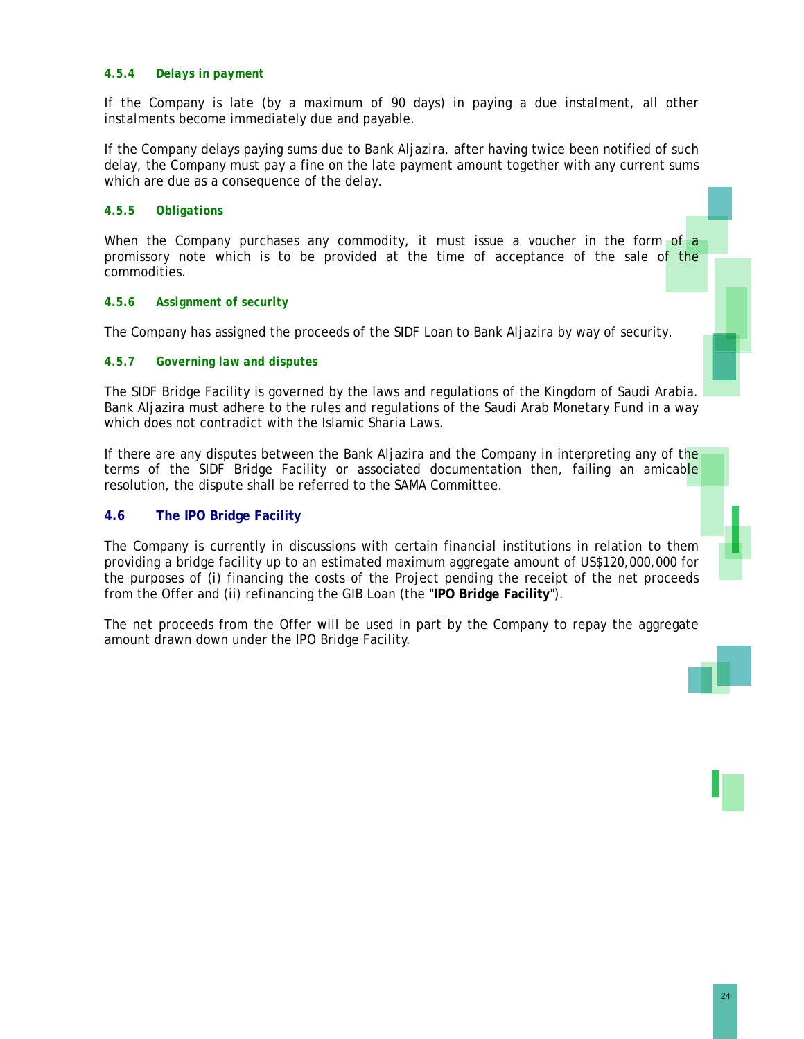### *4.5.4 Delays in payment*

If the Company is late (by a maximum of 90 days) in paying a due instalment, all other instalments become immediately due and payable.

If the Company delays paying sums due to Bank Aljazira, after having twice been notified of such delay, the Company must pay a fine on the late payment amount together with any current sums which are due as a consequence of the delay.

# *4.5.5 Obligations*

When the Company purchases any commodity, it must issue a voucher in the form of a promissory note which is to be provided at the time of acceptance of the sale of the commodities.

# *4.5.6 Assignment of security*

The Company has assigned the proceeds of the SIDF Loan to Bank Aljazira by way of security.

# *4.5.7 Governing law and disputes*

The SIDF Bridge Facility is governed by the laws and regulations of the Kingdom of Saudi Arabia. Bank Aljazira must adhere to the rules and regulations of the Saudi Arab Monetary Fund in a way which does not contradict with the Islamic Sharia Laws.

If there are any disputes between the Bank Aljazira and the Company in interpreting any of the terms of the SIDF Bridge Facility or associated documentation then, failing an amicable resolution, the dispute shall be referred to the SAMA Committee.

# **4.6 The IPO Bridge Facility**

The Company is currently in discussions with certain financial institutions in relation to them providing a bridge facility up to an estimated maximum aggregate amount of US\$120,000,000 for the purposes of (i) financing the costs of the Project pending the receipt of the net proceeds from the Offer and (ii) refinancing the GIB Loan (the "**IPO Bridge Facility**").

The net proceeds from the Offer will be used in part by the Company to repay the aggregate amount drawn down under the IPO Bridge Facility.



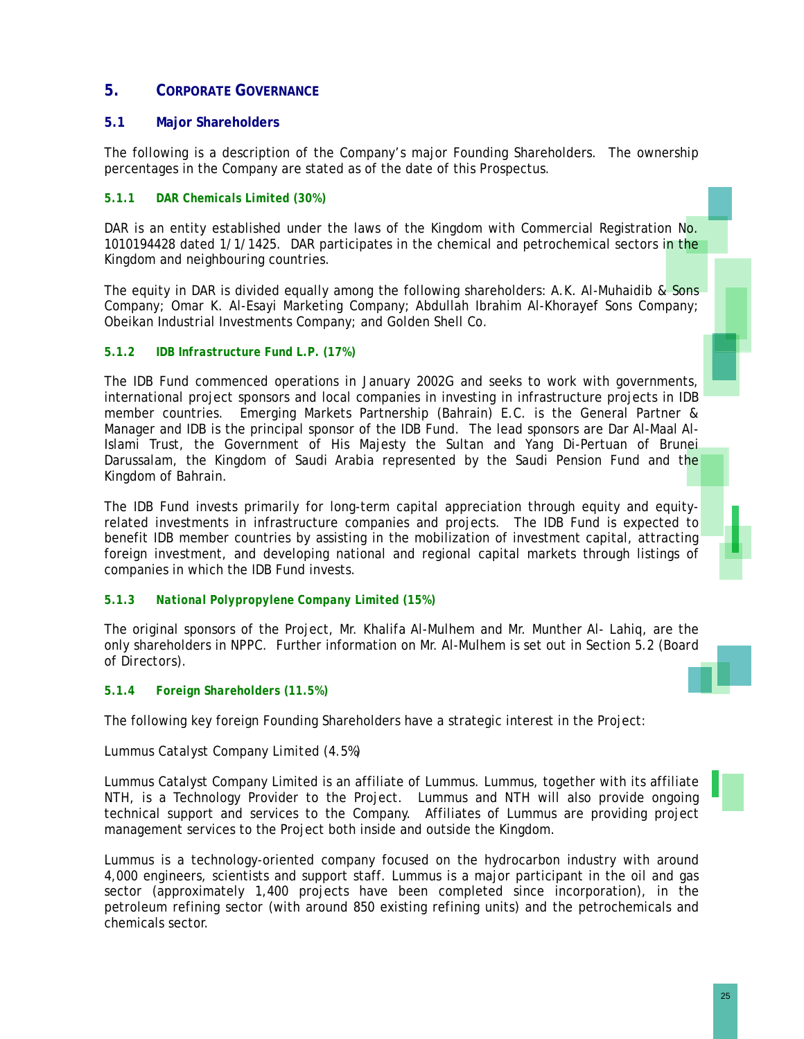# **5. CORPORATE GOVERNANCE**

# **5.1 Major Shareholders**

The following is a description of the Company's major Founding Shareholders. The ownership percentages in the Company are stated as of the date of this Prospectus.

# *5.1.1 DAR Chemicals Limited (30%)*

DAR is an entity established under the laws of the Kingdom with Commercial Registration No. 1010194428 dated 1/1/1425. DAR participates in the chemical and petrochemical sectors in the Kingdom and neighbouring countries.

The equity in DAR is divided equally among the following shareholders: A.K. Al-Muhaidib & Sons Company; Omar K. Al-Esayi Marketing Company; Abdullah Ibrahim Al-Khorayef Sons Company; Obeikan Industrial Investments Company; and Golden Shell Co.

# *5.1.2 IDB Infrastructure Fund L.P. (17%)*

The IDB Fund commenced operations in January 2002G and seeks to work with governments, international project sponsors and local companies in investing in infrastructure projects in IDB member countries. Emerging Markets Partnership (Bahrain) E.C. is the General Partner & Manager and IDB is the principal sponsor of the IDB Fund. The lead sponsors are Dar Al-Maal Al-Islami Trust, the Government of His Majesty the Sultan and Yang Di-Pertuan of Brunei Darussalam, the Kingdom of Saudi Arabia represented by the Saudi Pension Fund and the Kingdom of Bahrain.

The IDB Fund invests primarily for long-term capital appreciation through equity and equityrelated investments in infrastructure companies and projects. The IDB Fund is expected to benefit IDB member countries by assisting in the mobilization of investment capital, attracting foreign investment, and developing national and regional capital markets through listings of companies in which the IDB Fund invests.

# *5.1.3 National Polypropylene Company Limited (15%)*

The original sponsors of the Project, Mr. Khalifa Al-Mulhem and Mr. Munther Al- Lahiq, are the only shareholders in NPPC. Further information on Mr. Al-Mulhem is set out in Section 5.2 (*Board of Directors*).

### *5.1.4 Foreign Shareholders (11.5%)*

The following key foreign Founding Shareholders have a strategic interest in the Project:

# *Lummus Catalyst Company Limited (4.5%)*

Lummus Catalyst Company Limited is an affiliate of Lummus. Lummus, together with its affiliate NTH, is a Technology Provider to the Project. Lummus and NTH will also provide ongoing technical support and services to the Company. Affiliates of Lummus are providing project management services to the Project both inside and outside the Kingdom.

Lummus is a technology-oriented company focused on the hydrocarbon industry with around 4,000 engineers, scientists and support staff. Lummus is a major participant in the oil and gas sector (approximately 1,400 projects have been completed since incorporation), in the petroleum refining sector (with around 850 existing refining units) and the petrochemicals and chemicals sector.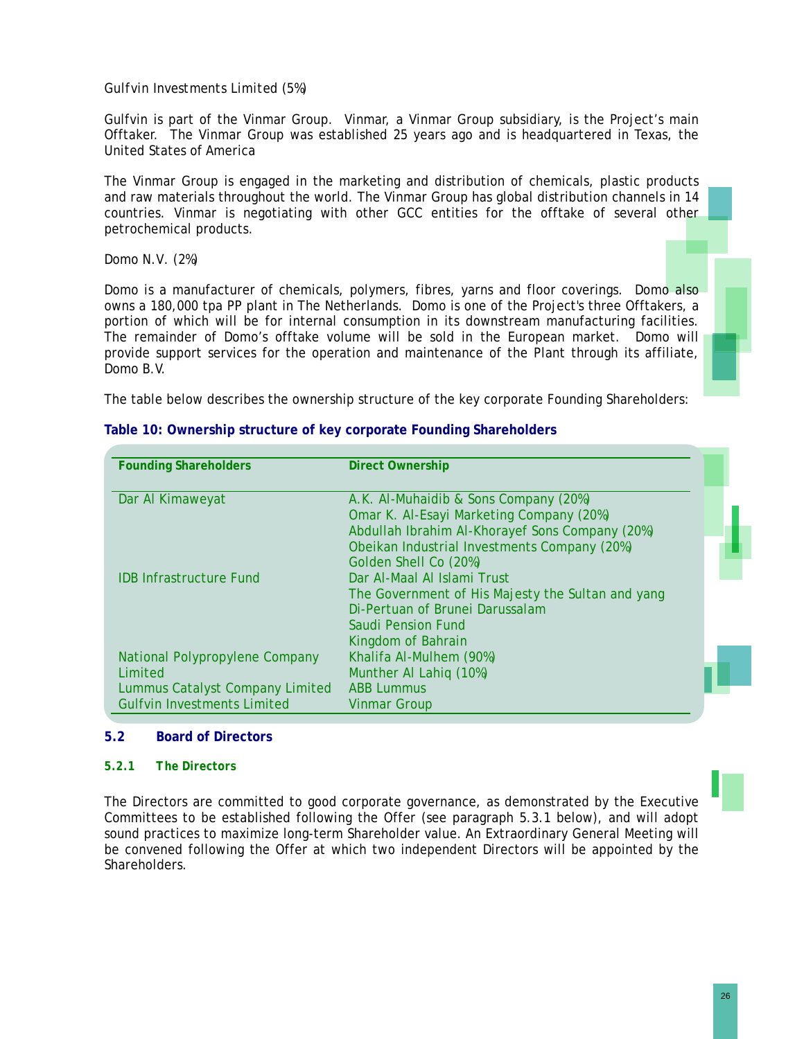# *Gulfvin Investments Limited (5%)*

Gulfvin is part of the Vinmar Group. Vinmar, a Vinmar Group subsidiary, is the Project's main Offtaker. The Vinmar Group was established 25 years ago and is headquartered in Texas, the United States of America

The Vinmar Group is engaged in the marketing and distribution of chemicals, plastic products and raw materials throughout the world. The Vinmar Group has global distribution channels in 14 countries. Vinmar is negotiating with other GCC entities for the offtake of several other petrochemical products.

### *Domo N.V*. *(2%)*

Domo is a manufacturer of chemicals, polymers, fibres, yarns and floor coverings. Domo also owns a 180,000 tpa PP plant in The Netherlands. Domo is one of the Project's three Offtakers, a portion of which will be for internal consumption in its downstream manufacturing facilities. The remainder of Domo's offtake volume will be sold in the European market. Domo will provide support services for the operation and maintenance of the Plant through its affiliate, Domo B.V.

The table below describes the ownership structure of the key corporate Founding Shareholders:

| <b>Founding Shareholders</b>       | <b>Direct Ownership</b>                           |  |
|------------------------------------|---------------------------------------------------|--|
|                                    |                                                   |  |
| Dar Al Kimaweyat                   | A.K. Al-Muhaidib & Sons Company (20%)             |  |
|                                    | Omar K. Al-Esayi Marketing Company (20%)          |  |
|                                    | Abdullah Ibrahim Al-Khorayef Sons Company (20%)   |  |
|                                    | Obeikan Industrial Investments Company (20%)      |  |
|                                    | Golden Shell Co (20%)                             |  |
| <b>IDB Infrastructure Fund</b>     | Dar Al-Maal Al Islami Trust                       |  |
|                                    | The Government of His Majesty the Sultan and yang |  |
|                                    | Di-Pertuan of Brunei Darussalam                   |  |
|                                    | Saudi Pension Fund                                |  |
|                                    | Kingdom of Bahrain                                |  |
| National Polypropylene Company     | Khalifa Al-Mulhem (90%)                           |  |
| <b>Limited</b>                     | Munther Al Lahiq (10%)                            |  |
| Lummus Catalyst Company Limited    | <b>ABB Lummus</b>                                 |  |
| <b>Gulfvin Investments Limited</b> | Vinmar Group                                      |  |

### **Table 10: Ownership structure of key corporate Founding Shareholders**

### **5.2 Board of Directors**

### *5.2.1 The Directors*

The Directors are committed to good corporate governance, as demonstrated by the Executive Committees to be established following the Offer (see paragraph 5.3.1 below), and will adopt sound practices to maximize long-term Shareholder value. An Extraordinary General Meeting will be convened following the Offer at which two independent Directors will be appointed by the Shareholders.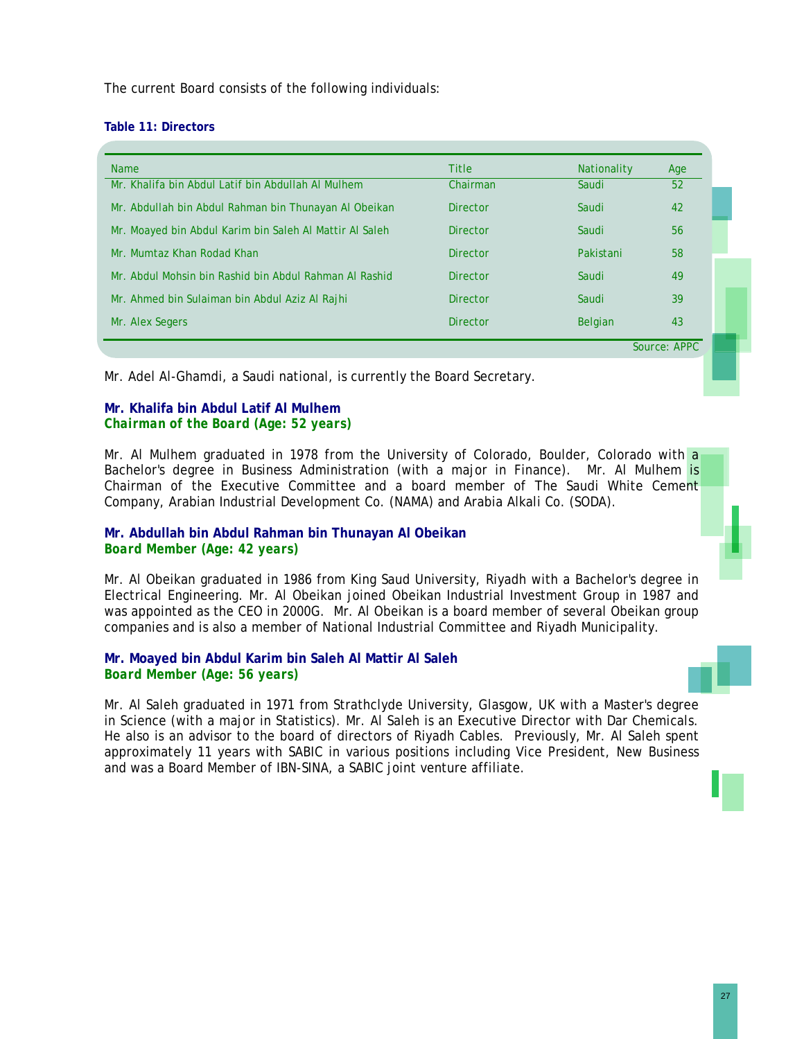The current Board consists of the following individuals:

#### **Table 11: Directors**

| <b>Name</b>                                             | <b>Title</b>    | <b>Nationality</b> | Age |
|---------------------------------------------------------|-----------------|--------------------|-----|
| Mr. Khalifa bin Abdul Latif bin Abdullah Al Mulhem      | Chairman        | Saudi              | 52  |
| Mr. Abdullah bin Abdul Rahman bin Thunayan Al Obeikan   | <b>Director</b> | Saudi              | 42  |
| Mr. Moayed bin Abdul Karim bin Saleh Al Mattir Al Saleh | Director        | Saudi              | 56  |
| Mr. Mumtaz Khan Rodad Khan                              | Director        | Pakistani          | 58  |
| Mr. Abdul Mohsin bin Rashid bin Abdul Rahman Al Rashid  | Director        | Saudi              | 49  |
| Mr. Ahmed bin Sulaiman bin Abdul Aziz Al Rajhi          | Director        | Saudi              | 39  |
| Mr. Alex Segers                                         | <b>Director</b> | <b>Belgian</b>     | 43  |

Mr. Adel Al-Ghamdi, a Saudi national, is currently the Board Secretary.

# **Mr. Khalifa bin Abdul Latif Al Mulhem** *Chairman of the Board (Age: 52 years)*

Mr. Al Mulhem graduated in 1978 from the University of Colorado, Boulder, Colorado with a Bachelor's degree in Business Administration (with a major in Finance). Mr. Al Mulhem is Chairman of the Executive Committee and a board member of The Saudi White Cement Company, Arabian Industrial Development Co. (NAMA) and Arabia Alkali Co. (SODA).

# **Mr. Abdullah bin Abdul Rahman bin Thunayan Al Obeikan**  *Board Member (Age: 42 years)*

Mr. Al Obeikan graduated in 1986 from King Saud University, Riyadh with a Bachelor's degree in Electrical Engineering. Mr. Al Obeikan joined Obeikan Industrial Investment Group in 1987 and was appointed as the CEO in 2000G. Mr. Al Obeikan is a board member of several Obeikan group companies and is also a member of National Industrial Committee and Riyadh Municipality.

# **Mr. Moayed bin Abdul Karim bin Saleh Al Mattir Al Saleh**  *Board Member (Age: 56 years)*

Mr. Al Saleh graduated in 1971 from Strathclyde University, Glasgow, UK with a Master's degree in Science (with a major in Statistics). Mr. Al Saleh is an Executive Director with Dar Chemicals. He also is an advisor to the board of directors of Riyadh Cables. Previously, Mr. Al Saleh spent approximately 11 years with SABIC in various positions including Vice President, New Business and was a Board Member of IBN-SINA, a SABIC joint venture affiliate.

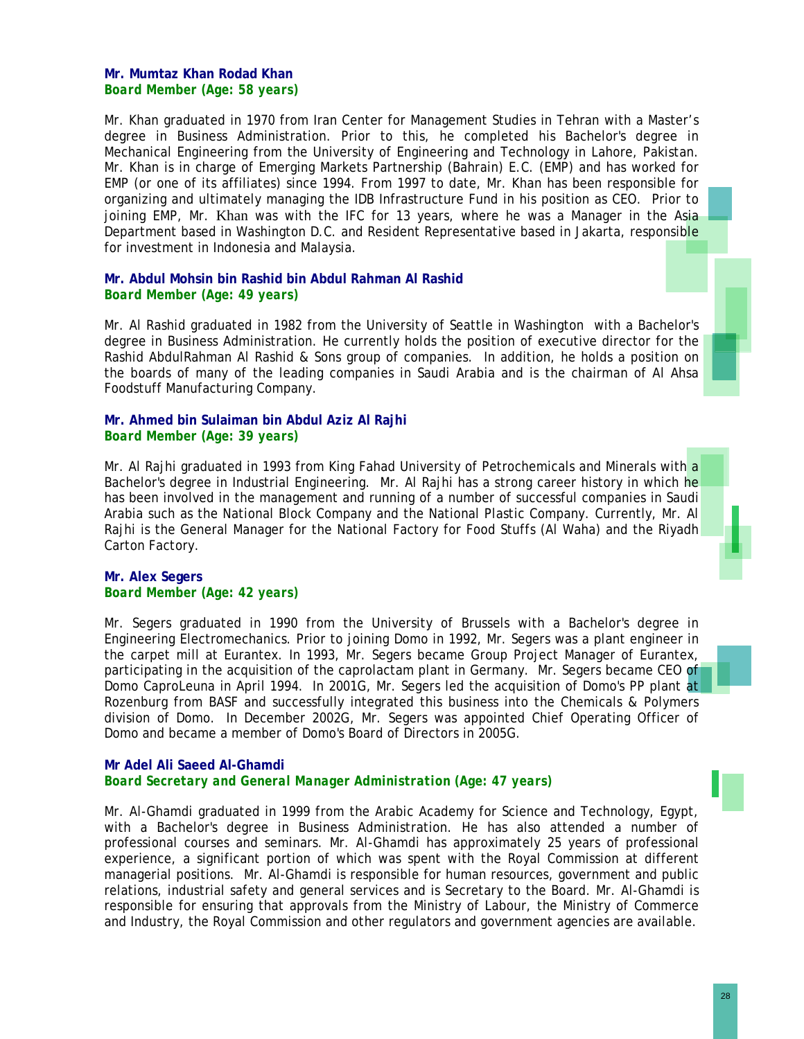### **Mr. Mumtaz Khan Rodad Khan** *Board Member (Age: 58 years)*

Mr. Khan graduated in 1970 from Iran Center for Management Studies in Tehran with a Master's degree in Business Administration. Prior to this, he completed his Bachelor's degree in Mechanical Engineering from the University of Engineering and Technology in Lahore, Pakistan. Mr. Khan is in charge of Emerging Markets Partnership (Bahrain) E.C. (EMP) and has worked for EMP (or one of its affiliates) since 1994. From 1997 to date, Mr. Khan has been responsible for organizing and ultimately managing the IDB Infrastructure Fund in his position as CEO. Prior to joining EMP, Mr. Khan was with the IFC for 13 years, where he was a Manager in the Asia Department based in Washington D.C. and Resident Representative based in Jakarta, responsible for investment in Indonesia and Malaysia.

### **Mr. Abdul Mohsin bin Rashid bin Abdul Rahman Al Rashid** *Board Member (Age: 49 years)*

Mr. Al Rashid graduated in 1982 from the University of Seattle in Washington with a Bachelor's degree in Business Administration. He currently holds the position of executive director for the Rashid AbdulRahman Al Rashid & Sons group of companies. In addition, he holds a position on the boards of many of the leading companies in Saudi Arabia and is the chairman of Al Ahsa Foodstuff Manufacturing Company.

### **Mr. Ahmed bin Sulaiman bin Abdul Aziz Al Rajhi**  *Board Member (Age: 39 years)*

Mr. Al Rajhi graduated in 1993 from King Fahad University of Petrochemicals and Minerals with a Bachelor's degree in Industrial Engineering. Mr. Al Rajhi has a strong career history in which he has been involved in the management and running of a number of successful companies in Saudi Arabia such as the National Block Company and the National Plastic Company. Currently, Mr. Al Rajhi is the General Manager for the National Factory for Food Stuffs (Al Waha) and the Riyadh Carton Factory.

#### **Mr. Alex Segers**  *Board Member (Age: 42 years)*

Mr. Segers graduated in 1990 from the University of Brussels with a Bachelor's degree in Engineering Electromechanics. Prior to joining Domo in 1992, Mr. Segers was a plant engineer in the carpet mill at Eurantex. In 1993, Mr. Segers became Group Project Manager of Eurantex, participating in the acquisition of the caprolactam plant in Germany. Mr. Segers became CEO of Domo CaproLeuna in April 1994. In 2001G, Mr. Segers led the acquisition of Domo's PP plant at Rozenburg from BASF and successfully integrated this business into the Chemicals & Polymers division of Domo. In December 2002G, Mr. Segers was appointed Chief Operating Officer of Domo and became a member of Domo's Board of Directors in 2005G.

### **Mr Adel Ali Saeed Al-Ghamdi**  *Board Secretary and General Manager Administration (Age: 47 years)*

Mr. Al-Ghamdi graduated in 1999 from the Arabic Academy for Science and Technology, Egypt, with a Bachelor's degree in Business Administration. He has also attended a number of professional courses and seminars. Mr. Al-Ghamdi has approximately 25 years of professional experience, a significant portion of which was spent with the Royal Commission at different managerial positions. Mr. Al-Ghamdi is responsible for human resources, government and public relations, industrial safety and general services and is Secretary to the Board. Mr. Al-Ghamdi is responsible for ensuring that approvals from the Ministry of Labour, the Ministry of Commerce and Industry, the Royal Commission and other regulators and government agencies are available.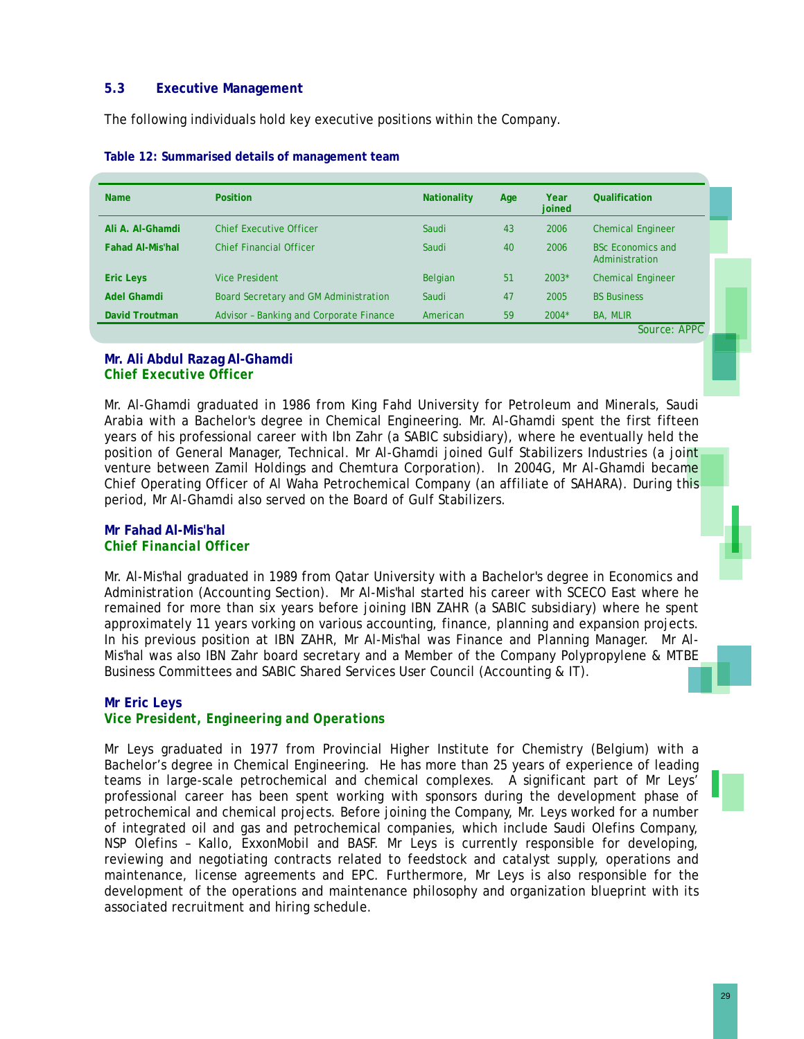# **5.3 Executive Management**

The following individuals hold key executive positions within the Company.

|                         |                                         |          |    | joined  |                                            |
|-------------------------|-----------------------------------------|----------|----|---------|--------------------------------------------|
| Ali A. Al-Ghamdi        | <b>Chief Executive Officer</b>          | Saudi    | 43 | 2006    | <b>Chemical Engineer</b>                   |
| <b>Fahad Al-Mis'hal</b> | <b>Chief Financial Officer</b>          | Saudi    | 40 | 2006    | <b>BSc Economics and</b><br>Administration |
| <b>Eric Leys</b>        | <b>Vice President</b>                   | Belgian  | 51 | $2003*$ | <b>Chemical Engineer</b>                   |
| <b>Adel Ghamdi</b>      | Board Secretary and GM Administration   | Saudi    | 47 | 2005    | <b>BS Business</b>                         |
| <b>David Troutman</b>   | Advisor - Banking and Corporate Finance | American | 59 | $2004*$ | BA, MLIR                                   |

### **Mr. Ali Abdul Razag Al-Ghamdi**  *Chief Executive Officer*

Mr. Al-Ghamdi graduated in 1986 from King Fahd University for Petroleum and Minerals, Saudi Arabia with a Bachelor's degree in Chemical Engineering. Mr. Al-Ghamdi spent the first fifteen years of his professional career with Ibn Zahr (a SABIC subsidiary), where he eventually held the position of General Manager, Technical. Mr Al-Ghamdi joined Gulf Stabilizers Industries (a joint venture between Zamil Holdings and Chemtura Corporation). In 2004G, Mr Al-Ghamdi became Chief Operating Officer of Al Waha Petrochemical Company (an affiliate of SAHARA). During this period, Mr Al-Ghamdi also served on the Board of Gulf Stabilizers.

### **Mr Fahad Al-Mis'hal**  *Chief Financial Officer*

Mr. Al-Mis'hal graduated in 1989 from Qatar University with a Bachelor's degree in Economics and Administration (Accounting Section). Mr Al-Mis'hal started his career with SCECO East where he remained for more than six years before joining IBN ZAHR (a SABIC subsidiary) where he spent approximately 11 years vorking on various accounting, finance, planning and expansion projects. In his previous position at IBN ZAHR, Mr Al-Mis'hal was Finance and Planning Manager. Mr Al-Mis'hal was also IBN Zahr board secretary and a Member of the Company Polypropylene & MTBE Business Committees and SABIC Shared Services User Council (Accounting & IT).

# **Mr Eric Leys**

# *Vice President, Engineering and Operations*

Mr Leys graduated in 1977 from Provincial Higher Institute for Chemistry (Belgium) with a Bachelor's degree in Chemical Engineering. He has more than 25 years of experience of leading teams in large-scale petrochemical and chemical complexes. A significant part of Mr Leys' professional career has been spent working with sponsors during the development phase of petrochemical and chemical projects. Before joining the Company, Mr. Leys worked for a number of integrated oil and gas and petrochemical companies, which include Saudi Olefins Company, NSP Olefins – Kallo, ExxonMobil and BASF. Mr Leys is currently responsible for developing, reviewing and negotiating contracts related to feedstock and catalyst supply, operations and maintenance, license agreements and EPC. Furthermore, Mr Leys is also responsible for the development of the operations and maintenance philosophy and organization blueprint with its associated recruitment and hiring schedule.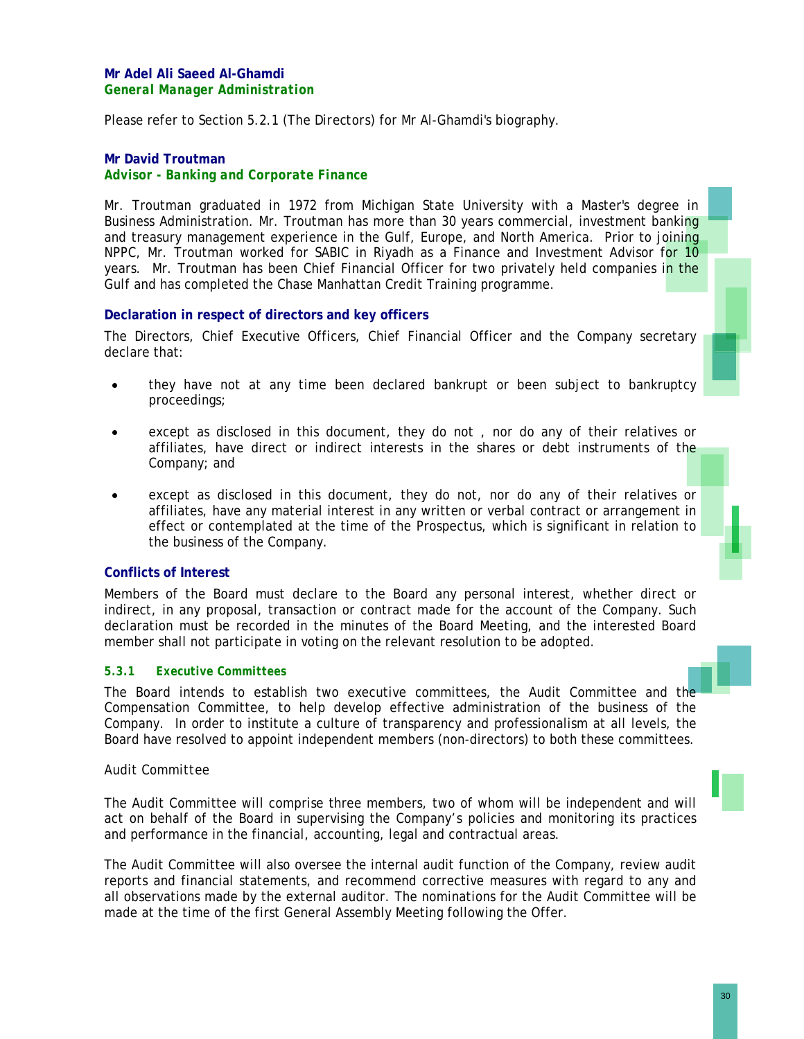Please refer to Section 5.2.1 (*The Directors*) for Mr Al-Ghamdi's biography.

# **Mr David Troutman** *Advisor - Banking and Corporate Finance*

Mr. Troutman graduated in 1972 from Michigan State University with a Master's degree in Business Administration. Mr. Troutman has more than 30 years commercial, investment banking and treasury management experience in the Gulf, Europe, and North America. Prior to joining NPPC, Mr. Troutman worked for SABIC in Riyadh as a Finance and Investment Advisor for 10 years. Mr. Troutman has been Chief Financial Officer for two privately held companies in the Gulf and has completed the Chase Manhattan Credit Training programme.

# **Declaration in respect of directors and key officers**

The Directors, Chief Executive Officers, Chief Financial Officer and the Company secretary declare that:

- they have not at any time been declared bankrupt or been subject to bankruptcy proceedings;
- except as disclosed in this document, they do not, nor do any of their relatives or affiliates, have direct or indirect interests in the shares or debt instruments of the Company; and
- except as disclosed in this document, they do not, nor do any of their relatives or affiliates, have any material interest in any written or verbal contract or arrangement in effect or contemplated at the time of the Prospectus, which is significant in relation to the business of the Company.

# **Conflicts of Interest**

Members of the Board must declare to the Board any personal interest, whether direct or indirect, in any proposal, transaction or contract made for the account of the Company. Such declaration must be recorded in the minutes of the Board Meeting, and the interested Board member shall not participate in voting on the relevant resolution to be adopted.

# *5.3.1 Executive Committees*

The Board intends to establish two executive committees, the Audit Committee and the Compensation Committee, to help develop effective administration of the business of the Company. In order to institute a culture of transparency and professionalism at all levels, the Board have resolved to appoint independent members (non-directors) to both these committees.

### *Audit Committee*

The Audit Committee will comprise three members, two of whom will be independent and will act on behalf of the Board in supervising the Company's policies and monitoring its practices and performance in the financial, accounting, legal and contractual areas.

The Audit Committee will also oversee the internal audit function of the Company, review audit reports and financial statements, and recommend corrective measures with regard to any and all observations made by the external auditor. The nominations for the Audit Committee will be made at the time of the first General Assembly Meeting following the Offer.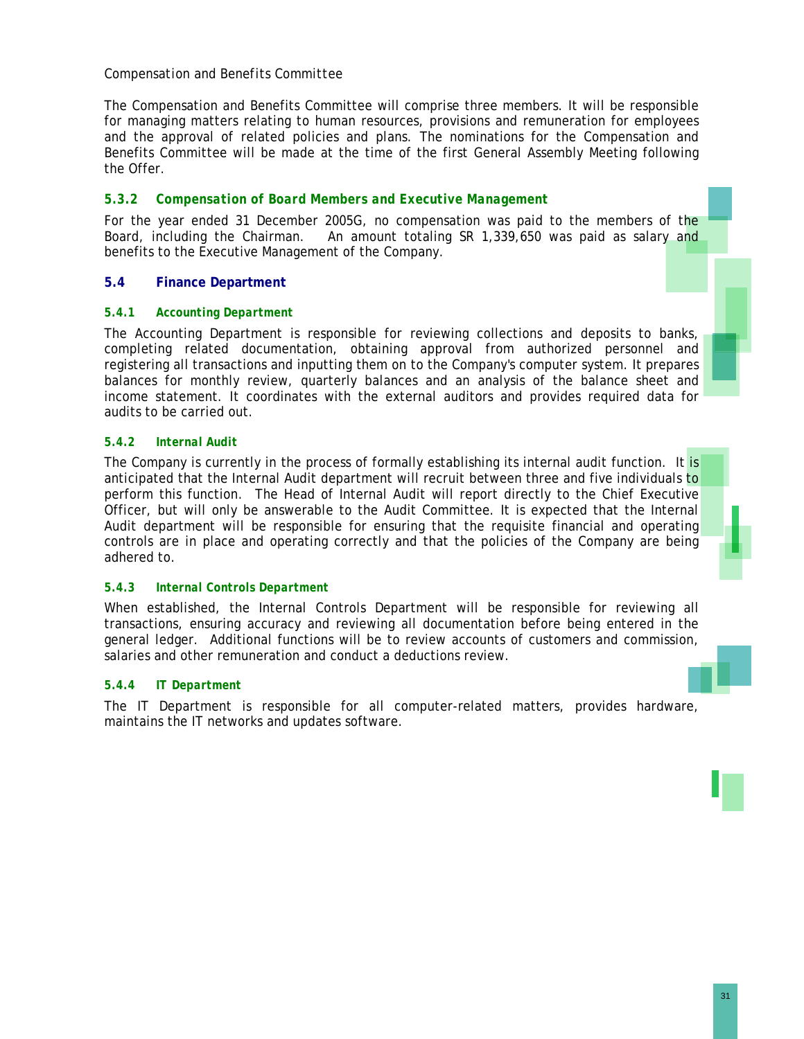# *Compensation and Benefits Committee*

The Compensation and Benefits Committee will comprise three members. It will be responsible for managing matters relating to human resources, provisions and remuneration for employees and the approval of related policies and plans. The nominations for the Compensation and Benefits Committee will be made at the time of the first General Assembly Meeting following the Offer.

# *5.3.2 Compensation of Board Members and Executive Management*

For the year ended 31 December 2005G, no compensation was paid to the members of the Board, including the Chairman. An amount totaling SR 1,339,650 was paid as salary and benefits to the Executive Management of the Company.

# **5.4 Finance Department**

### *5.4.1 Accounting Department*

The Accounting Department is responsible for reviewing collections and deposits to banks, completing related documentation, obtaining approval from authorized personnel and registering all transactions and inputting them on to the Company's computer system. It prepares balances for monthly review, quarterly balances and an analysis of the balance sheet and income statement. It coordinates with the external auditors and provides required data for audits to be carried out.

### *5.4.2 Internal Audit*

The Company is currently in the process of formally establishing its internal audit function. It is anticipated that the Internal Audit department will recruit between three and five individuals to perform this function. The Head of Internal Audit will report directly to the Chief Executive Officer, but will only be answerable to the Audit Committee. It is expected that the Internal Audit department will be responsible for ensuring that the requisite financial and operating controls are in place and operating correctly and that the policies of the Company are being adhered to.

### *5.4.3 Internal Controls Department*

When established, the Internal Controls Department will be responsible for reviewing all transactions, ensuring accuracy and reviewing all documentation before being entered in the general ledger. Additional functions will be to review accounts of customers and commission, salaries and other remuneration and conduct a deductions review.

### *5.4.4 IT Department*

The IT Department is responsible for all computer-related matters, provides hardware, maintains the IT networks and updates software.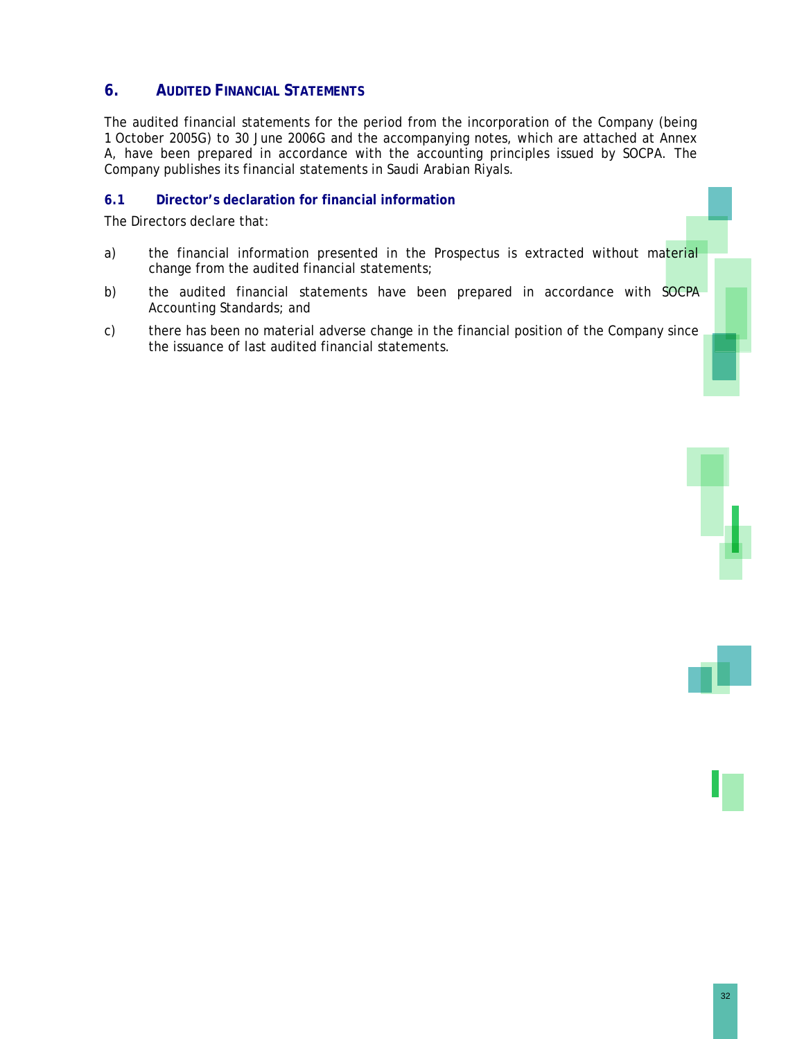# **6. AUDITED FINANCIAL STATEMENTS**

The audited financial statements for the period from the incorporation of the Company (being 1 October 2005G) to 30 June 2006G and the accompanying notes, which are attached at Annex A, have been prepared in accordance with the accounting principles issued by SOCPA. The Company publishes its financial statements in Saudi Arabian Riyals.

# **6.1 Director's declaration for financial information**

The Directors declare that:

- a) the financial information presented in the Prospectus is extracted without material change from the audited financial statements;
- b) the audited financial statements have been prepared in accordance with SOCPA Accounting Standards; and
- c) there has been no material adverse change in the financial position of the Company since the issuance of last audited financial statements.

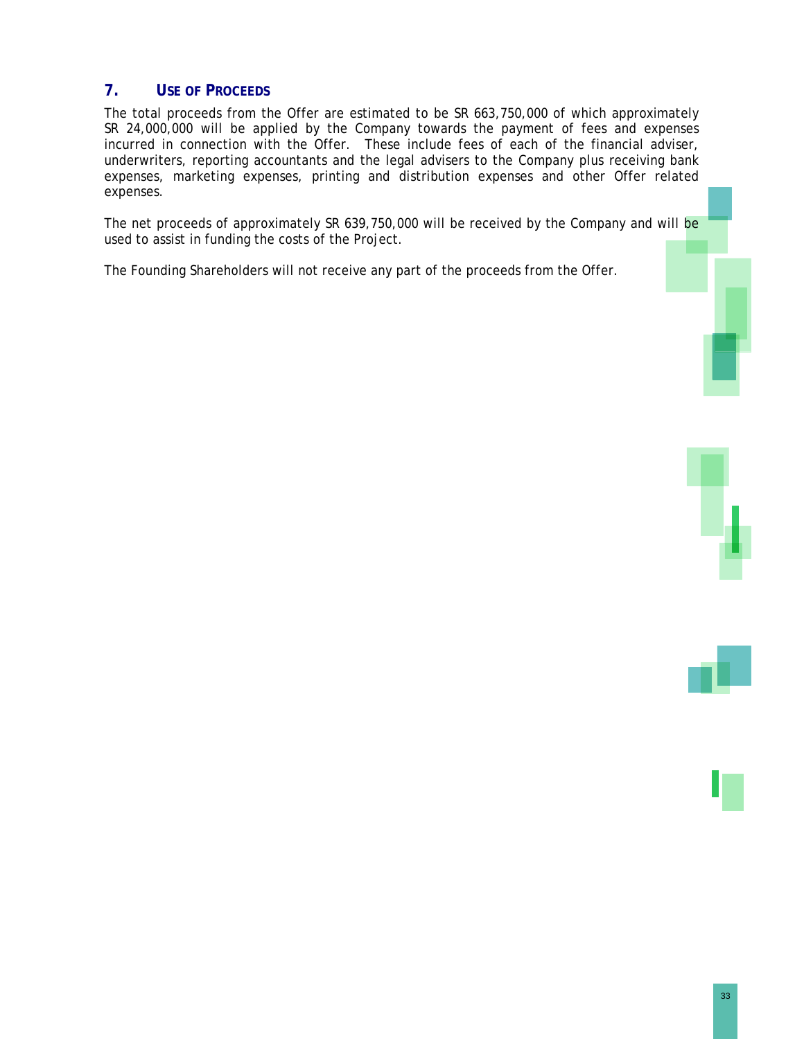# **7. USE OF PROCEEDS**

The total proceeds from the Offer are estimated to be SR 663,750,000 of which approximately SR 24,000,000 will be applied by the Company towards the payment of fees and expenses incurred in connection with the Offer. These include fees of each of the financial adviser, underwriters, reporting accountants and the legal advisers to the Company plus receiving bank expenses, marketing expenses, printing and distribution expenses and other Offer related expenses.

The net proceeds of approximately SR 639,750,000 will be received by the Company and will be used to assist in funding the costs of the Project.

The Founding Shareholders will not receive any part of the proceeds from the Offer.





33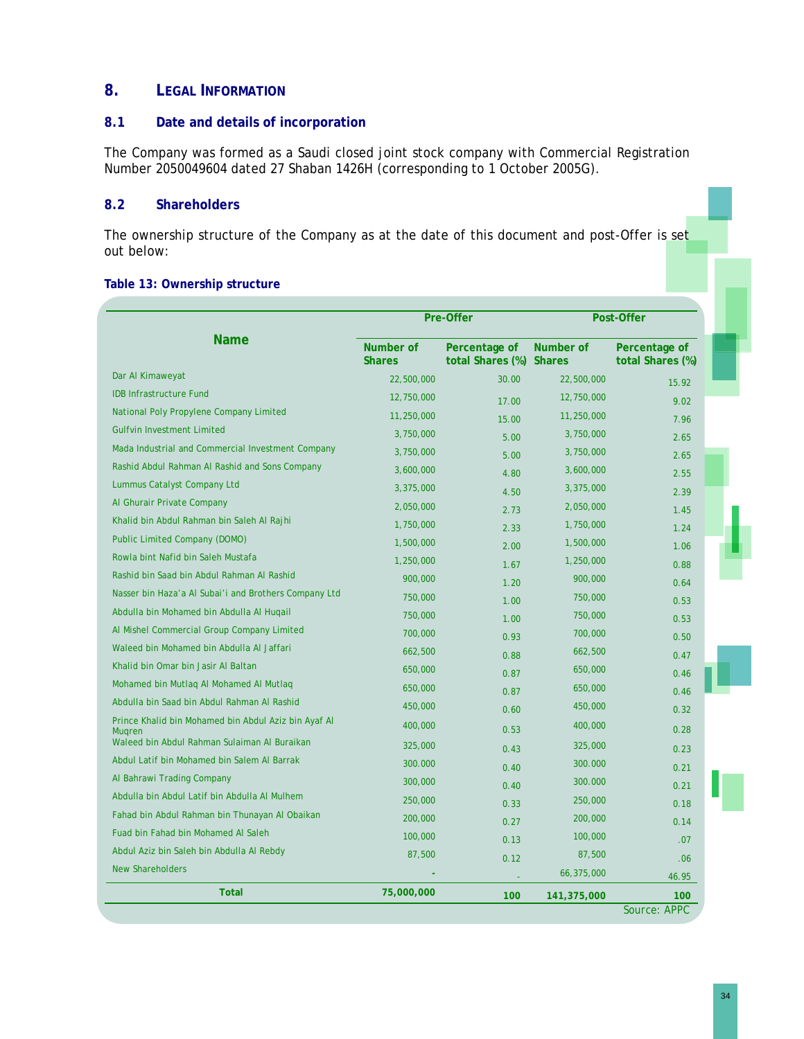# **8. LEGAL INFORMATION**

### **8.1 Date and details of incorporation**

The Company was formed as a Saudi closed joint stock company with Commercial Registration Number 2050049604 dated 27 Shaban 1426H (corresponding to 1 October 2005G).

# **8.2 Shareholders**

The ownership structure of the Company as at the date of this document and post-Offer is set out below:

#### **Table 13: Ownership structure**

|                                                                       |                            | Pre-Offer                                | Post-Offer  |                                   |
|-----------------------------------------------------------------------|----------------------------|------------------------------------------|-------------|-----------------------------------|
| <b>Name</b>                                                           | Number of<br><b>Shares</b> | Percentage of<br>total Shares (%) Shares | Number of   | Percentage of<br>total Shares (%) |
| Dar Al Kimaweyat                                                      | 22,500,000                 | 30.00                                    | 22,500,000  | 15.92                             |
| <b>IDB Infrastructure Fund</b>                                        | 12,750,000                 | 17.00                                    | 12,750,000  | 9.02                              |
| National Poly Propylene Company Limited                               | 11,250,000                 | 15.00                                    | 11,250,000  | 7.96                              |
| <b>Gulfvin Investment Limited</b>                                     | 3,750,000                  | 5.00                                     | 3,750,000   | 2.65                              |
| Mada Industrial and Commercial Investment Company                     | 3,750,000                  | 5.00                                     | 3,750,000   | 2.65                              |
| Rashid Abdul Rahman Al Rashid and Sons Company                        | 3,600,000                  | 4.80                                     | 3,600,000   | 2.55                              |
| Lummus Catalyst Company Ltd                                           | 3,375,000                  | 4.50                                     | 3,375,000   | 2.39                              |
| Al Ghurair Private Company                                            | 2,050,000                  | 2.73                                     | 2,050,000   | 1.45                              |
| Khalid bin Abdul Rahman bin Saleh Al Rajhi                            | 1,750,000                  | 2.33                                     | 1,750,000   | 1.24                              |
| Public Limited Company (DOMO)                                         | 1,500,000                  | 2.00                                     | 1,500,000   | 1.06                              |
| Rowla bint Nafid bin Saleh Mustafa                                    | 1,250,000                  | 1.67                                     | 1,250,000   | 0.88                              |
| Rashid bin Saad bin Abdul Rahman Al Rashid                            | 900,000                    | 1.20                                     | 900,000     | 0.64                              |
| Nasser bin Haza'a Al Subai'i and Brothers Company Ltd                 | 750,000                    | 1.00                                     | 750,000     | 0.53                              |
| Abdulla bin Mohamed bin Abdulla Al Huqail                             | 750,000                    | 1.00                                     | 750,000     | 0.53                              |
| Al Mishel Commercial Group Company Limited                            | 700,000                    | 0.93                                     | 700,000     | 0.50                              |
| Waleed bin Mohamed bin Abdulla Al Jaffari                             | 662,500                    | 0.88                                     | 662,500     | 0.47                              |
| Khalid bin Omar bin Jasir Al Baltan                                   | 650,000                    | 0.87                                     | 650,000     | 0.46                              |
| Mohamed bin Mutlag AI Mohamed AI Mutlag                               | 650,000                    | 0.87                                     | 650,000     | 0.46                              |
| Abdulla bin Saad bin Abdul Rahman Al Rashid                           | 450,000                    | 0.60                                     | 450,000     | 0.32                              |
| Prince Khalid bin Mohamed bin Abdul Aziz bin Ayaf Al<br><b>Muaren</b> | 400,000                    | 0.53                                     | 400,000     | 0.28                              |
| Waleed bin Abdul Rahman Sulaiman Al Buraikan                          | 325,000                    | 0.43                                     | 325,000     | 0.23                              |
| Abdul Latif bin Mohamed bin Salem Al Barrak                           | 300.000                    | 0.40                                     | 300.000     | 0.21                              |
| Al Bahrawi Trading Company                                            | 300,000                    | 0.40                                     | 300.000     | 0.21                              |
| Abdulla bin Abdul Latif bin Abdulla Al Mulhem                         | 250,000                    | 0.33                                     | 250,000     | 0.18                              |
| Fahad bin Abdul Rahman bin Thunayan Al Obaikan                        | 200,000                    | 0.27                                     | 200,000     | 0.14                              |
| Fuad bin Fahad bin Mohamed Al Saleh                                   | 100,000                    | 0.13                                     | 100,000     | .07                               |
| Abdul Aziz bin Saleh bin Abdulla Al Rebdy                             | 87,500                     | 0.12                                     | 87,500      | .06                               |
| <b>New Shareholders</b>                                               |                            |                                          | 66,375,000  | 46.95                             |
| <b>Total</b>                                                          | 75,000,000                 | 100                                      | 141,375,000 | 100<br>Source: APPC               |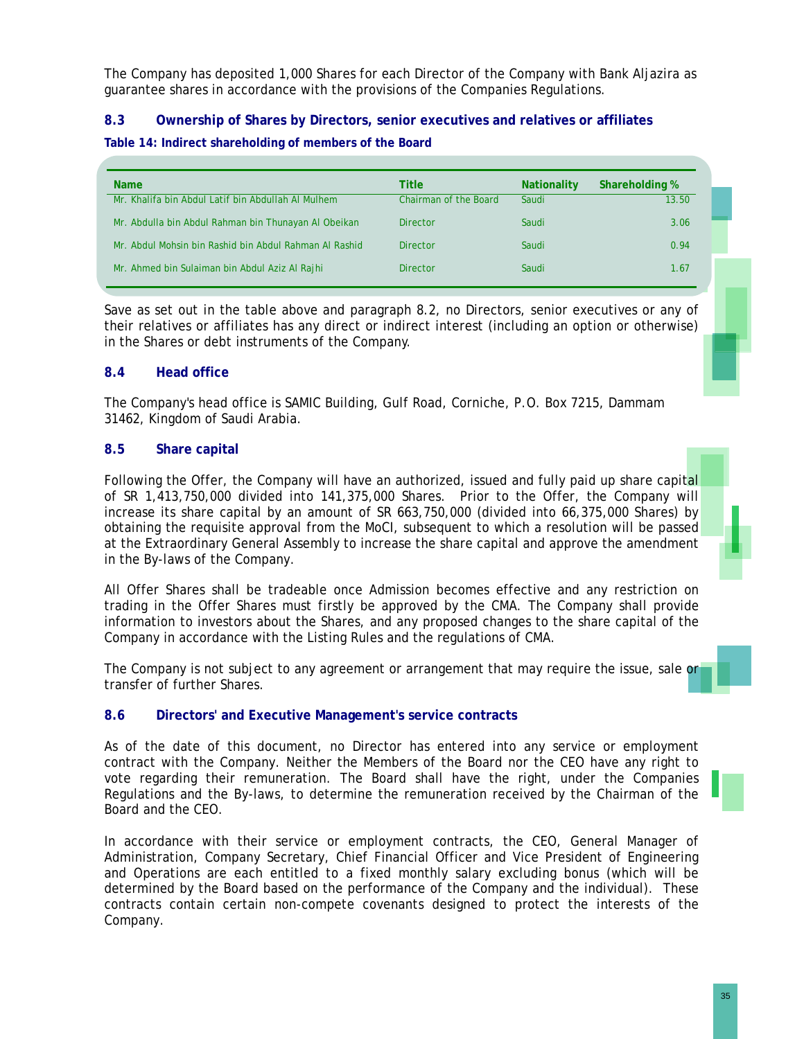The Company has deposited 1,000 Shares for each Director of the Company with Bank Aljazira as guarantee shares in accordance with the provisions of the Companies Regulations.

# **8.3 Ownership of Shares by Directors, senior executives and relatives or affiliates**

### **Table 14: Indirect shareholding of members of the Board**

| <b>Name</b>                                            | Title                        | <b>Nationality</b> | <b>Shareholding %</b> |
|--------------------------------------------------------|------------------------------|--------------------|-----------------------|
| Mr. Khalifa bin Abdul Latif bin Abdullah Al Mulhem     | <b>Chairman of the Board</b> | Saudi              | 13.50                 |
| Mr. Abdulla bin Abdul Rahman bin Thunayan Al Obeikan   | <b>Director</b>              | Saudi              | 3.06                  |
| Mr. Abdul Mohsin bin Rashid bin Abdul Rahman Al Rashid | <b>Director</b>              | Saudi              | 0.94                  |
| Mr. Ahmed bin Sulaiman bin Abdul Aziz Al Rajhi         | <b>Director</b>              | Saudi              | 1.67                  |

Save as set out in the table above and paragraph 8.2, no Directors, senior executives or any of their relatives or affiliates has any direct or indirect interest (including an option or otherwise) in the Shares or debt instruments of the Company.

# **8.4 Head office**

The Company's head office is SAMIC Building, Gulf Road, Corniche, P.O. Box 7215, Dammam 31462, Kingdom of Saudi Arabia.

# **8.5 Share capital**

Following the Offer, the Company will have an authorized, issued and fully paid up share capital of SR 1,413,750,000 divided into 141,375,000 Shares. Prior to the Offer, the Company will increase its share capital by an amount of SR 663,750,000 (divided into 66,375,000 Shares) by obtaining the requisite approval from the MoCI, subsequent to which a resolution will be passed at the Extraordinary General Assembly to increase the share capital and approve the amendment in the By-laws of the Company.

All Offer Shares shall be tradeable once Admission becomes effective and any restriction on trading in the Offer Shares must firstly be approved by the CMA. The Company shall provide information to investors about the Shares, and any proposed changes to the share capital of the Company in accordance with the Listing Rules and the regulations of CMA.

The Company is not subject to any agreement or arrangement that may require the issue, sale or transfer of further Shares.

# **8.6 Directors' and Executive Management's service contracts**

As of the date of this document, no Director has entered into any service or employment contract with the Company. Neither the Members of the Board nor the CEO have any right to vote regarding their remuneration. The Board shall have the right, under the Companies Regulations and the By-laws, to determine the remuneration received by the Chairman of the Board and the CEO.

In accordance with their service or employment contracts, the CEO, General Manager of Administration, Company Secretary, Chief Financial Officer and Vice President of Engineering and Operations are each entitled to a fixed monthly salary excluding bonus (which will be determined by the Board based on the performance of the Company and the individual). These contracts contain certain non-compete covenants designed to protect the interests of the Company.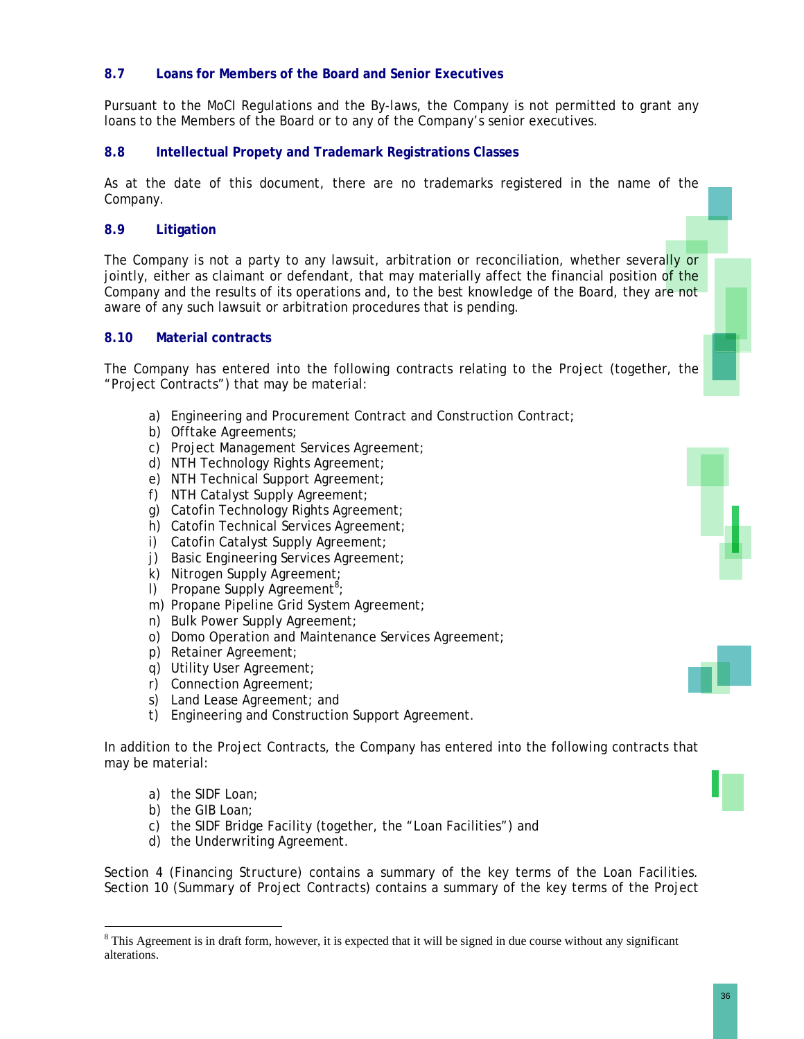# **8.7 Loans for Members of the Board and Senior Executives**

Pursuant to the MoCI Regulations and the By-laws, the Company is not permitted to grant any loans to the Members of the Board or to any of the Company's senior executives.

# **8.8 Intellectual Propety and Trademark Registrations Classes**

As at the date of this document, there are no trademarks registered in the name of the Company.

# **8.9 Litigation**

The Company is not a party to any lawsuit, arbitration or reconciliation, whether severally or jointly, either as claimant or defendant, that may materially affect the financial position of the Company and the results of its operations and, to the best knowledge of the Board, they are not aware of any such lawsuit or arbitration procedures that is pending.

# **8.10 Material contracts**

The Company has entered into the following contracts relating to the Project (together, the "Project Contracts") that may be material:

- a) Engineering and Procurement Contract and Construction Contract;
- b) Offtake Agreements;
- c) Project Management Services Agreement;
- d) NTH Technology Rights Agreement;
- e) NTH Technical Support Agreement;
- f) NTH Catalyst Supply Agreement;
- g) Catofin Technology Rights Agreement;
- h) Catofin Technical Services Agreement;
- i) Catofin Catalyst Supply Agreement;
- j) Basic Engineering Services Agreement;
- k) Nitrogen Supply Agreement;
- $I)$  Propane Supply Agreement<sup>8</sup>;
- m) Propane Pipeline Grid System Agreement;
- n) Bulk Power Supply Agreement;
- o) Domo Operation and Maintenance Services Agreement;
- p) Retainer Agreement;
- q) Utility User Agreement;
- r) Connection Agreement;
- s) Land Lease Agreement; and
- t) Engineering and Construction Support Agreement.

In addition to the Project Contracts, the Company has entered into the following contracts that may be material:

- a) the SIDF Loan;
- b) the GIB Loan;

 $\overline{a}$ 

- c) the SIDF Bridge Facility (together, the "Loan Facilities") and
- d) the Underwriting Agreement.

Section 4 (*Financing Structure*) contains a summary of the key terms of the Loan Facilities. Section 10 (*Summary of Project Contracts*) contains a summary of the key terms of the Project





 $8$  This Agreement is in draft form, however, it is expected that it will be signed in due course without any significant alterations.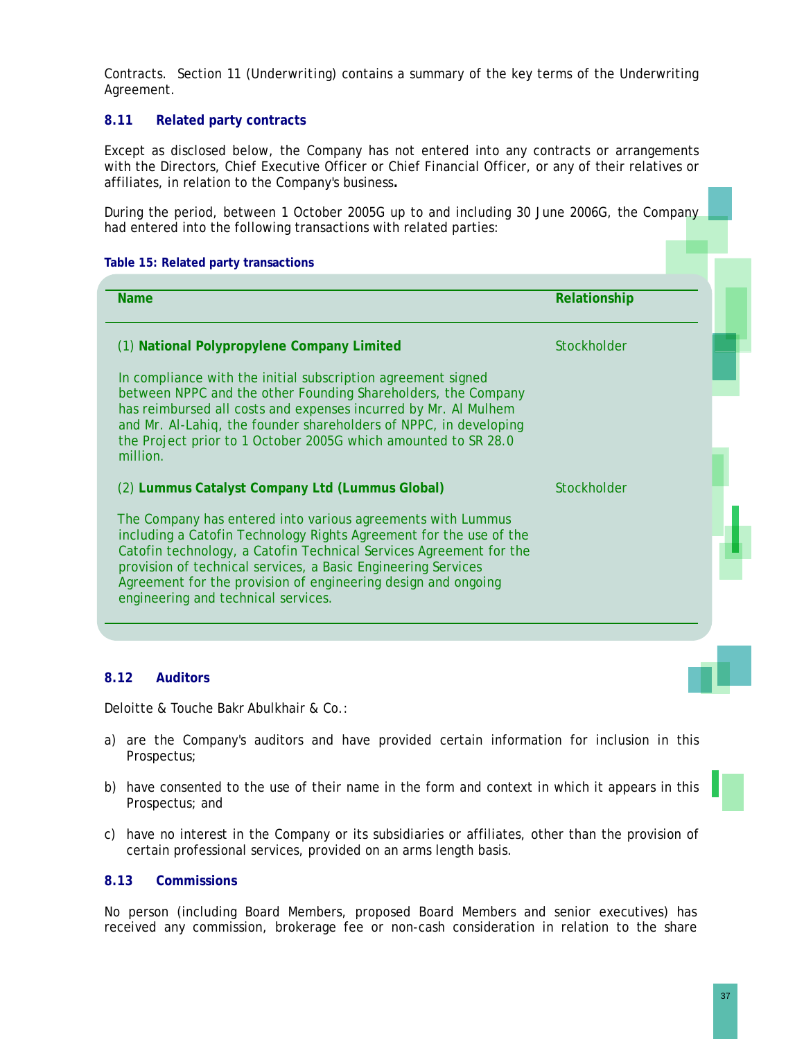Contracts. Section 11 (*Underwriting*) contains a summary of the key terms of the Underwriting Agreement.

# **8.11 Related party contracts**

Except as disclosed below, the Company has not entered into any contracts or arrangements with the Directors, Chief Executive Officer or Chief Financial Officer, or any of their relatives or affiliates, in relation to the Company's business**.** 

During the period, between 1 October 2005G up to and including 30 June 2006G, the Company had entered into the following transactions with related parties:

#### **Table 15: Related party transactions**

| <b>Name</b>                                                                                                                                                                                                                                                                                                                                                                      | Relationship |  |
|----------------------------------------------------------------------------------------------------------------------------------------------------------------------------------------------------------------------------------------------------------------------------------------------------------------------------------------------------------------------------------|--------------|--|
| (1) National Polypropylene Company Limited                                                                                                                                                                                                                                                                                                                                       | Stockholder  |  |
| In compliance with the initial subscription agreement signed<br>between NPPC and the other Founding Shareholders, the Company<br>has reimbursed all costs and expenses incurred by Mr. Al Mulhem<br>and Mr. Al-Lahiq, the founder shareholders of NPPC, in developing<br>the Project prior to 1 October 2005G which amounted to SR 28.0<br>million.                              |              |  |
| (2) Lummus Catalyst Company Ltd (Lummus Global)                                                                                                                                                                                                                                                                                                                                  | Stockholder  |  |
| The Company has entered into various agreements with Lummus<br>including a Catofin Technology Rights Agreement for the use of the<br>Catofin technology, a Catofin Technical Services Agreement for the<br>provision of technical services, a Basic Engineering Services<br>Agreement for the provision of engineering design and ongoing<br>engineering and technical services. |              |  |
|                                                                                                                                                                                                                                                                                                                                                                                  |              |  |

# **8.12 Auditors**

Deloitte & Touche Bakr Abulkhair & Co.:

- a) are the Company's auditors and have provided certain information for inclusion in this Prospectus;
- b) have consented to the use of their name in the form and context in which it appears in this Prospectus; and
- c) have no interest in the Company or its subsidiaries or affiliates, other than the provision of certain professional services, provided on an arms length basis.

# **8.13 Commissions**

No person (including Board Members, proposed Board Members and senior executives) has received any commission, brokerage fee or non-cash consideration in relation to the share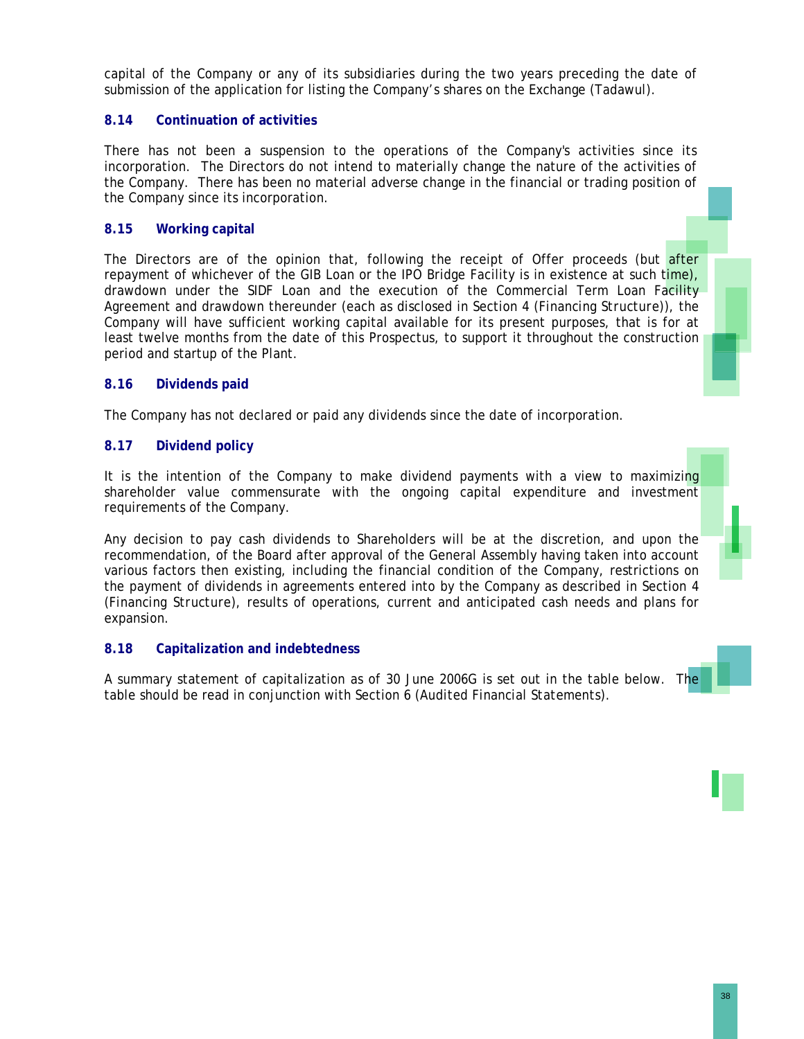capital of the Company or any of its subsidiaries during the two years preceding the date of submission of the application for listing the Company's shares on the Exchange (Tadawul).

# **8.14 Continuation of activities**

There has not been a suspension to the operations of the Company's activities since its incorporation. The Directors do not intend to materially change the nature of the activities of the Company. There has been no material adverse change in the financial or trading position of the Company since its incorporation.

# **8.15 Working capital**

The Directors are of the opinion that, following the receipt of Offer proceeds (but after repayment of whichever of the GIB Loan or the IPO Bridge Facility is in existence at such time), drawdown under the SIDF Loan and the execution of the Commercial Term Loan Facility Agreement and drawdown thereunder (each as disclosed in Section 4 (*Financing Structure*)), the Company will have sufficient working capital available for its present purposes, that is for at least twelve months from the date of this Prospectus, to support it throughout the construction period and startup of the Plant.

# **8.16 Dividends paid**

The Company has not declared or paid any dividends since the date of incorporation.

# **8.17 Dividend policy**

It is the intention of the Company to make dividend payments with a view to maximizing shareholder value commensurate with the ongoing capital expenditure and investment requirements of the Company.

Any decision to pay cash dividends to Shareholders will be at the discretion, and upon the recommendation, of the Board after approval of the General Assembly having taken into account various factors then existing, including the financial condition of the Company, restrictions on the payment of dividends in agreements entered into by the Company as described in Section 4 (*Financing Structure*), results of operations, current and anticipated cash needs and plans for expansion.

# **8.18 Capitalization and indebtedness**

A summary statement of capitalization as of 30 June 2006G is set out in the table below. The table should be read in conjunction with Section 6 *(Audited Financial Statements)*.



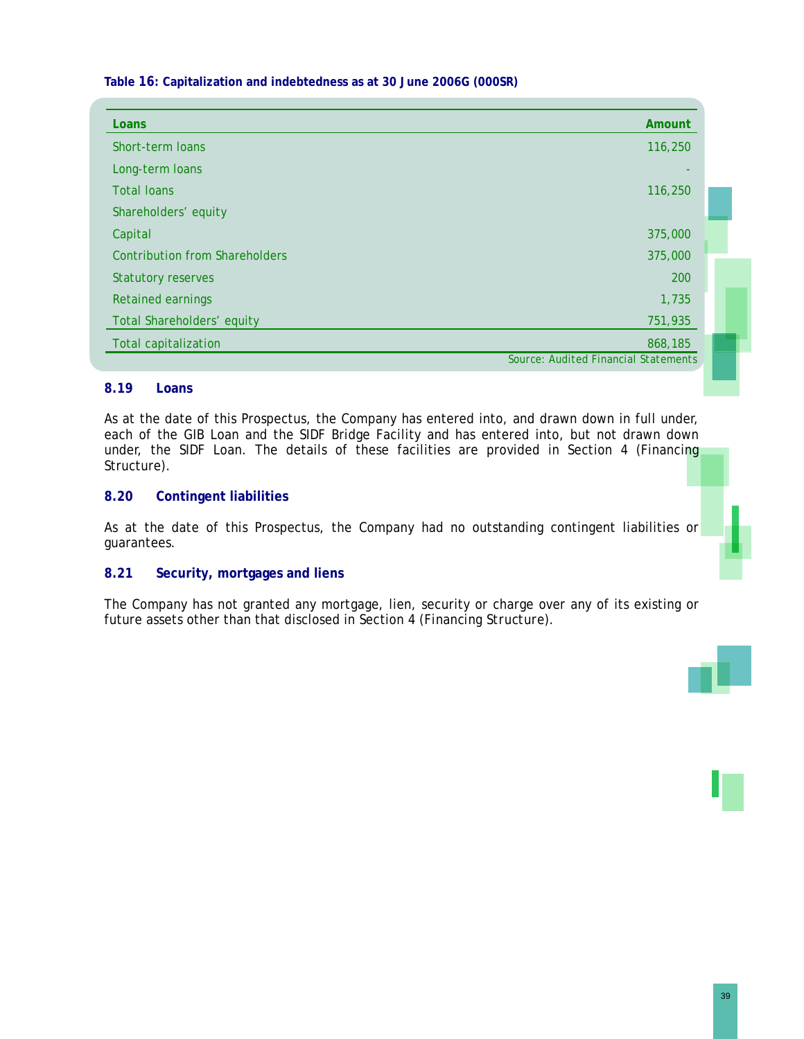**Table 16: Capitalization and indebtedness as at 30 June 2006G (000SR)** 

| Loans                                 | Amount                               |
|---------------------------------------|--------------------------------------|
| Short-term loans                      | 116,250                              |
| Long-term loans                       |                                      |
| <b>Total loans</b>                    | 116,250                              |
| Shareholders' equity                  |                                      |
| Capital                               | 375,000                              |
| <b>Contribution from Shareholders</b> | 375,000                              |
| <b>Statutory reserves</b>             | 200                                  |
| <b>Retained earnings</b>              | 1,735                                |
| Total Shareholders' equity            | 751,935                              |
| <b>Total capitalization</b>           | 868,185                              |
|                                       | Source: Audited Financial Statements |

# **8.19 Loans**

As at the date of this Prospectus, the Company has entered into, and drawn down in full under, each of the GIB Loan and the SIDF Bridge Facility and has entered into, but not drawn down under, the SIDF Loan. The details of these facilities are provided in Section 4 (Financing Structure).

# **8.20 Contingent liabilities**

As at the date of this Prospectus, the Company had no outstanding contingent liabilities or guarantees.

# **8.21 Security, mortgages and liens**

The Company has not granted any mortgage, lien, security or charge over any of its existing or future assets other than that disclosed in Section 4 *(Financing Structure)*.

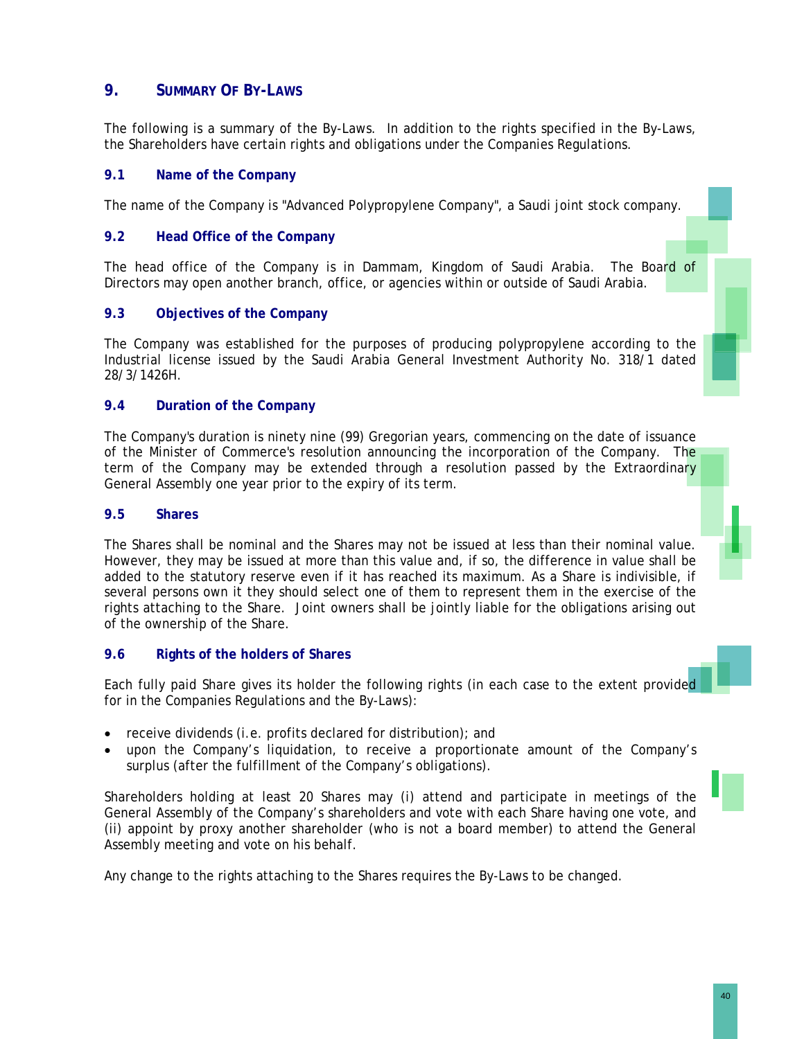# **9. SUMMARY OF BY-LAWS**

The following is a summary of the By-Laws. In addition to the rights specified in the By-Laws, the Shareholders have certain rights and obligations under the Companies Regulations.

# **9.1 Name of the Company**

The name of the Company is "Advanced Polypropylene Company", a Saudi joint stock company.

# **9.2 Head Office of the Company**

The head office of the Company is in Dammam, Kingdom of Saudi Arabia. The Board of Directors may open another branch, office, or agencies within or outside of Saudi Arabia.

# **9.3 Objectives of the Company**

The Company was established for the purposes of producing polypropylene according to the Industrial license issued by the Saudi Arabia General Investment Authority No. 318/1 dated 28/3/1426H.

# **9.4 Duration of the Company**

The Company's duration is ninety nine (99) Gregorian years, commencing on the date of issuance of the Minister of Commerce's resolution announcing the incorporation of the Company. The term of the Company may be extended through a resolution passed by the Extraordinary General Assembly one year prior to the expiry of its term.

# **9.5 Shares**

The Shares shall be nominal and the Shares may not be issued at less than their nominal value. However, they may be issued at more than this value and, if so, the difference in value shall be added to the statutory reserve even if it has reached its maximum. As a Share is indivisible, if several persons own it they should select one of them to represent them in the exercise of the rights attaching to the Share. Joint owners shall be jointly liable for the obligations arising out of the ownership of the Share.

### **9.6 Rights of the holders of Shares**

Each fully paid Share gives its holder the following rights (in each case to the extent provided for in the Companies Regulations and the By-Laws):

- receive dividends (i.e. profits declared for distribution); and
- upon the Company's liquidation, to receive a proportionate amount of the Company's surplus (after the fulfillment of the Company's obligations).

Shareholders holding at least 20 Shares may (i) attend and participate in meetings of the General Assembly of the Company's shareholders and vote with each Share having one vote, and (ii) appoint by proxy another shareholder (who is not a board member) to attend the General Assembly meeting and vote on his behalf.

Any change to the rights attaching to the Shares requires the By-Laws to be changed.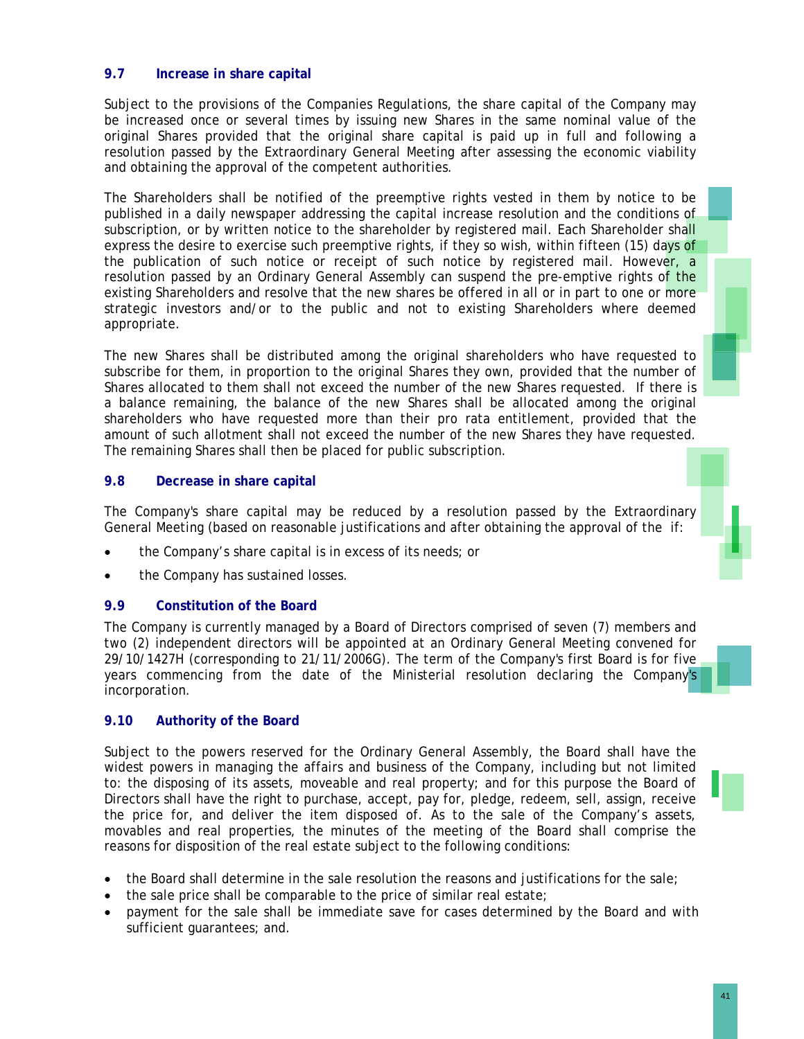# **9.7 Increase in share capital**

Subject to the provisions of the Companies Regulations, the share capital of the Company may be increased once or several times by issuing new Shares in the same nominal value of the original Shares provided that the original share capital is paid up in full and following a resolution passed by the Extraordinary General Meeting after assessing the economic viability and obtaining the approval of the competent authorities.

The Shareholders shall be notified of the preemptive rights vested in them by notice to be published in a daily newspaper addressing the capital increase resolution and the conditions of subscription, or by written notice to the shareholder by registered mail. Each Shareholder shall express the desire to exercise such preemptive rights, if they so wish, within fifteen (15) days of the publication of such notice or receipt of such notice by registered mail. However, a resolution passed by an Ordinary General Assembly can suspend the pre-emptive rights of the existing Shareholders and resolve that the new shares be offered in all or in part to one or more strategic investors and/or to the public and not to existing Shareholders where deemed appropriate.

The new Shares shall be distributed among the original shareholders who have requested to subscribe for them, in proportion to the original Shares they own, provided that the number of Shares allocated to them shall not exceed the number of the new Shares requested. If there is a balance remaining, the balance of the new Shares shall be allocated among the original shareholders who have requested more than their pro rata entitlement, provided that the amount of such allotment shall not exceed the number of the new Shares they have requested. The remaining Shares shall then be placed for public subscription.

# **9.8 Decrease in share capital**

The Company's share capital may be reduced by a resolution passed by the Extraordinary General Meeting (based on reasonable justifications and after obtaining the approval of the if:

- the Company's share capital is in excess of its needs; or
- the Company has sustained losses.

# **9.9 Constitution of the Board**

The Company is currently managed by a Board of Directors comprised of seven (7) members and two (2) independent directors will be appointed at an Ordinary General Meeting convened for 29/10/1427H (corresponding to 21/11/2006G). The term of the Company's first Board is for five years commencing from the date of the Ministerial resolution declaring the Company's incorporation.

# **9.10 Authority of the Board**

Subject to the powers reserved for the Ordinary General Assembly, the Board shall have the widest powers in managing the affairs and business of the Company, including but not limited to: the disposing of its assets, moveable and real property; and for this purpose the Board of Directors shall have the right to purchase, accept, pay for, pledge, redeem, sell, assign, receive the price for, and deliver the item disposed of. As to the sale of the Company's assets, movables and real properties, the minutes of the meeting of the Board shall comprise the reasons for disposition of the real estate subject to the following conditions:

- the Board shall determine in the sale resolution the reasons and justifications for the sale;
- the sale price shall be comparable to the price of similar real estate;
- payment for the sale shall be immediate save for cases determined by the Board and with sufficient guarantees; and.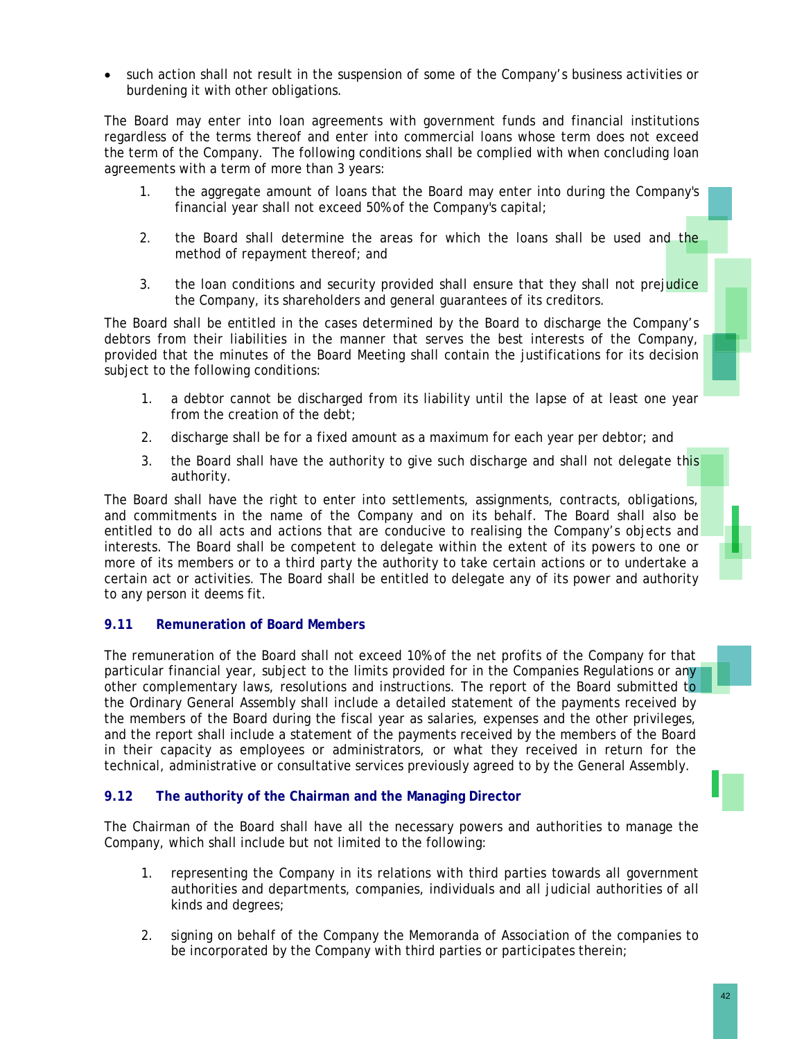• such action shall not result in the suspension of some of the Company's business activities or burdening it with other obligations.

The Board may enter into loan agreements with government funds and financial institutions regardless of the terms thereof and enter into commercial loans whose term does not exceed the term of the Company. The following conditions shall be complied with when concluding loan agreements with a term of more than 3 years:

- 1. the aggregate amount of loans that the Board may enter into during the Company's financial year shall not exceed 50% of the Company's capital;
- 2. the Board shall determine the areas for which the loans shall be used and the method of repayment thereof; and
- 3. the loan conditions and security provided shall ensure that they shall not prejudice the Company, its shareholders and general guarantees of its creditors.

The Board shall be entitled in the cases determined by the Board to discharge the Company's debtors from their liabilities in the manner that serves the best interests of the Company, provided that the minutes of the Board Meeting shall contain the justifications for its decision subject to the following conditions:

- 1. a debtor cannot be discharged from its liability until the lapse of at least one year from the creation of the debt;
- 2. discharge shall be for a fixed amount as a maximum for each year per debtor; and
- 3. the Board shall have the authority to give such discharge and shall not delegate this authority.

The Board shall have the right to enter into settlements, assignments, contracts, obligations, and commitments in the name of the Company and on its behalf. The Board shall also be entitled to do all acts and actions that are conducive to realising the Company's objects and interests. The Board shall be competent to delegate within the extent of its powers to one or more of its members or to a third party the authority to take certain actions or to undertake a certain act or activities. The Board shall be entitled to delegate any of its power and authority to any person it deems fit.

# **9.11 Remuneration of Board Members**

The remuneration of the Board shall not exceed 10% of the net profits of the Company for that particular financial year, subject to the limits provided for in the Companies Regulations or any other complementary laws, resolutions and instructions. The report of the Board submitted to the Ordinary General Assembly shall include a detailed statement of the payments received by the members of the Board during the fiscal year as salaries, expenses and the other privileges, and the report shall include a statement of the payments received by the members of the Board in their capacity as employees or administrators, or what they received in return for the technical, administrative or consultative services previously agreed to by the General Assembly.

# **9.12 The authority of the Chairman and the Managing Director**

The Chairman of the Board shall have all the necessary powers and authorities to manage the Company, which shall include but not limited to the following:

- 1. representing the Company in its relations with third parties towards all government authorities and departments, companies, individuals and all judicial authorities of all kinds and degrees;
- 2. signing on behalf of the Company the Memoranda of Association of the companies to be incorporated by the Company with third parties or participates therein;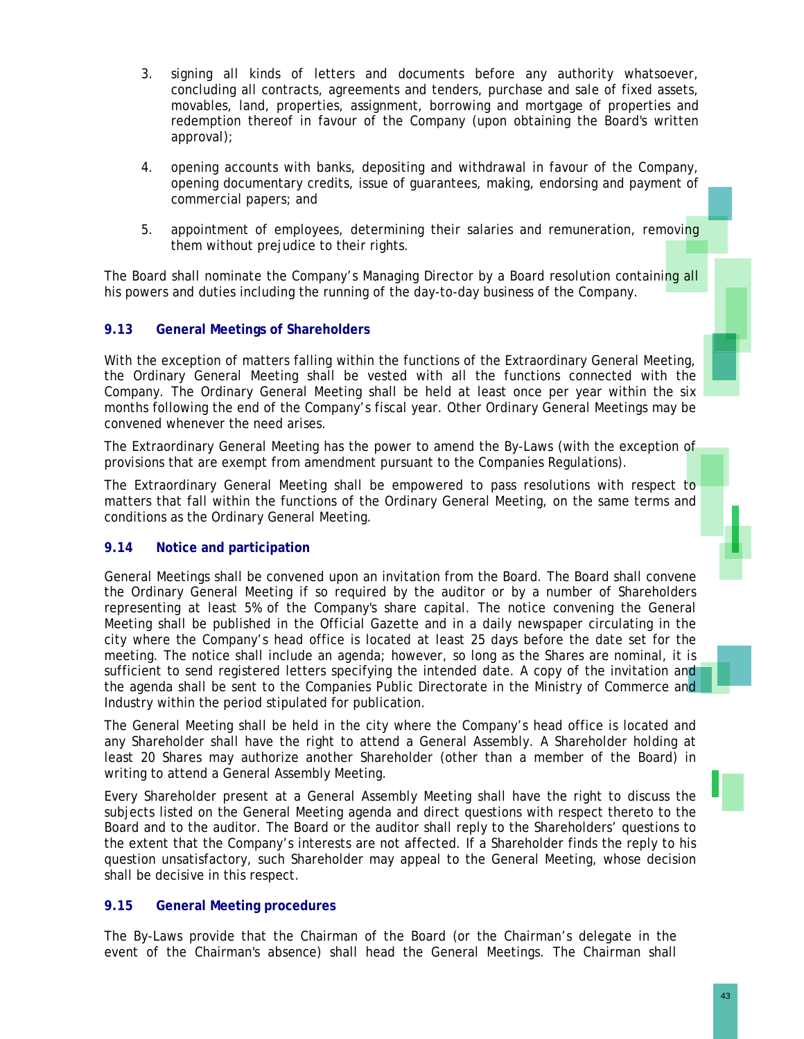- 3. signing all kinds of letters and documents before any authority whatsoever, concluding all contracts, agreements and tenders, purchase and sale of fixed assets, movables, land, properties, assignment, borrowing and mortgage of properties and redemption thereof in favour of the Company (upon obtaining the Board's written approval);
- 4. opening accounts with banks, depositing and withdrawal in favour of the Company, opening documentary credits, issue of guarantees, making, endorsing and payment of commercial papers; and
- 5. appointment of employees, determining their salaries and remuneration, removing them without prejudice to their rights.

The Board shall nominate the Company's Managing Director by a Board resolution containing all his powers and duties including the running of the day-to-day business of the Company.

# **9.13 General Meetings of Shareholders**

With the exception of matters falling within the functions of the Extraordinary General Meeting, the Ordinary General Meeting shall be vested with all the functions connected with the Company. The Ordinary General Meeting shall be held at least once per year within the six months following the end of the Company's fiscal year. Other Ordinary General Meetings may be convened whenever the need arises.

The Extraordinary General Meeting has the power to amend the By-Laws (with the exception of provisions that are exempt from amendment pursuant to the Companies Regulations).

The Extraordinary General Meeting shall be empowered to pass resolutions with respect to matters that fall within the functions of the Ordinary General Meeting, on the same terms and conditions as the Ordinary General Meeting.

# **9.14 Notice and participation**

General Meetings shall be convened upon an invitation from the Board. The Board shall convene the Ordinary General Meeting if so required by the auditor or by a number of Shareholders representing at least 5% of the Company's share capital. The notice convening the General Meeting shall be published in the Official Gazette and in a daily newspaper circulating in the city where the Company's head office is located at least 25 days before the date set for the meeting. The notice shall include an agenda; however, so long as the Shares are nominal, it is sufficient to send registered letters specifying the intended date. A copy of the invitation and the agenda shall be sent to the Companies Public Directorate in the Ministry of Commerce and Industry within the period stipulated for publication.

The General Meeting shall be held in the city where the Company's head office is located and any Shareholder shall have the right to attend a General Assembly. A Shareholder holding at least 20 Shares may authorize another Shareholder (other than a member of the Board) in writing to attend a General Assembly Meeting.

Every Shareholder present at a General Assembly Meeting shall have the right to discuss the subjects listed on the General Meeting agenda and direct questions with respect thereto to the Board and to the auditor. The Board or the auditor shall reply to the Shareholders' questions to the extent that the Company's interests are not affected. If a Shareholder finds the reply to his question unsatisfactory, such Shareholder may appeal to the General Meeting, whose decision shall be decisive in this respect.

# **9.15 General Meeting procedures**

The By-Laws provide that the Chairman of the Board (or the Chairman's delegate in the event of the Chairman's absence) shall head the General Meetings. The Chairman shall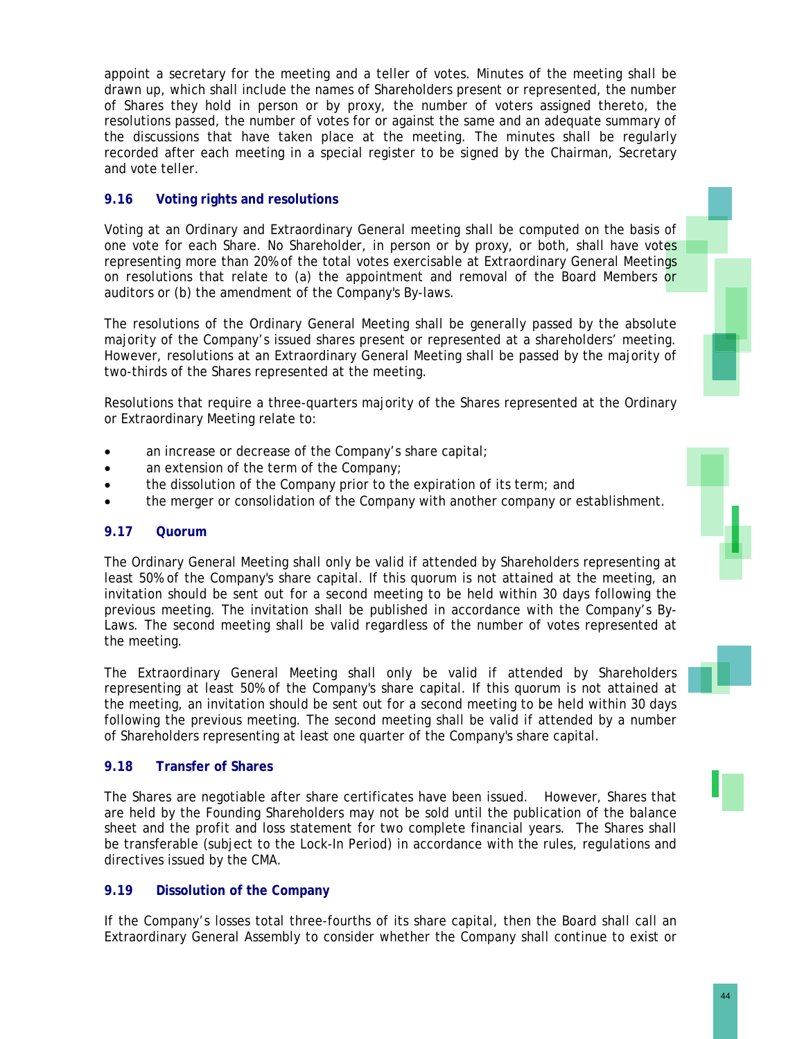appoint a secretary for the meeting and a teller of votes. Minutes of the meeting shall be drawn up, which shall include the names of Shareholders present or represented, the number of Shares they hold in person or by proxy, the number of voters assigned thereto, the resolutions passed, the number of votes for or against the same and an adequate summary of the discussions that have taken place at the meeting. The minutes shall be regularly recorded after each meeting in a special register to be signed by the Chairman, Secretary and vote teller.

# **9.16 Voting rights and resolutions**

Voting at an Ordinary and Extraordinary General meeting shall be computed on the basis of one vote for each Share. No Shareholder, in person or by proxy, or both, shall have votes representing more than 20% of the total votes exercisable at Extraordinary General Meetings on resolutions that relate to (a) the appointment and removal of the Board Members or auditors or (b) the amendment of the Company's By-laws.

The resolutions of the Ordinary General Meeting shall be generally passed by the absolute majority of the Company's issued shares present or represented at a shareholders' meeting. However, resolutions at an Extraordinary General Meeting shall be passed by the majority of two-thirds of the Shares represented at the meeting.

Resolutions that require a three-quarters majority of the Shares represented at the Ordinary or Extraordinary Meeting relate to:

- an increase or decrease of the Company's share capital;
- an extension of the term of the Company;
- the dissolution of the Company prior to the expiration of its term; and
- the merger or consolidation of the Company with another company or establishment.

# **9.17 Quorum**

The Ordinary General Meeting shall only be valid if attended by Shareholders representing at least 50% of the Company's share capital. If this quorum is not attained at the meeting, an invitation should be sent out for a second meeting to be held within 30 days following the previous meeting. The invitation shall be published in accordance with the Company's By-Laws. The second meeting shall be valid regardless of the number of votes represented at the meeting.

The Extraordinary General Meeting shall only be valid if attended by Shareholders representing at least 50% of the Company's share capital. If this quorum is not attained at the meeting, an invitation should be sent out for a second meeting to be held within 30 days following the previous meeting. The second meeting shall be valid if attended by a number of Shareholders representing at least one quarter of the Company's share capital.

# **9.18 Transfer of Shares**

The Shares are negotiable after share certificates have been issued. However, Shares that are held by the Founding Shareholders may not be sold until the publication of the balance sheet and the profit and loss statement for two complete financial years. The Shares shall be transferable (subject to the Lock-In Period) in accordance with the rules, regulations and directives issued by the CMA.

# **9.19 Dissolution of the Company**

If the Company's losses total three-fourths of its share capital, then the Board shall call an Extraordinary General Assembly to consider whether the Company shall continue to exist or



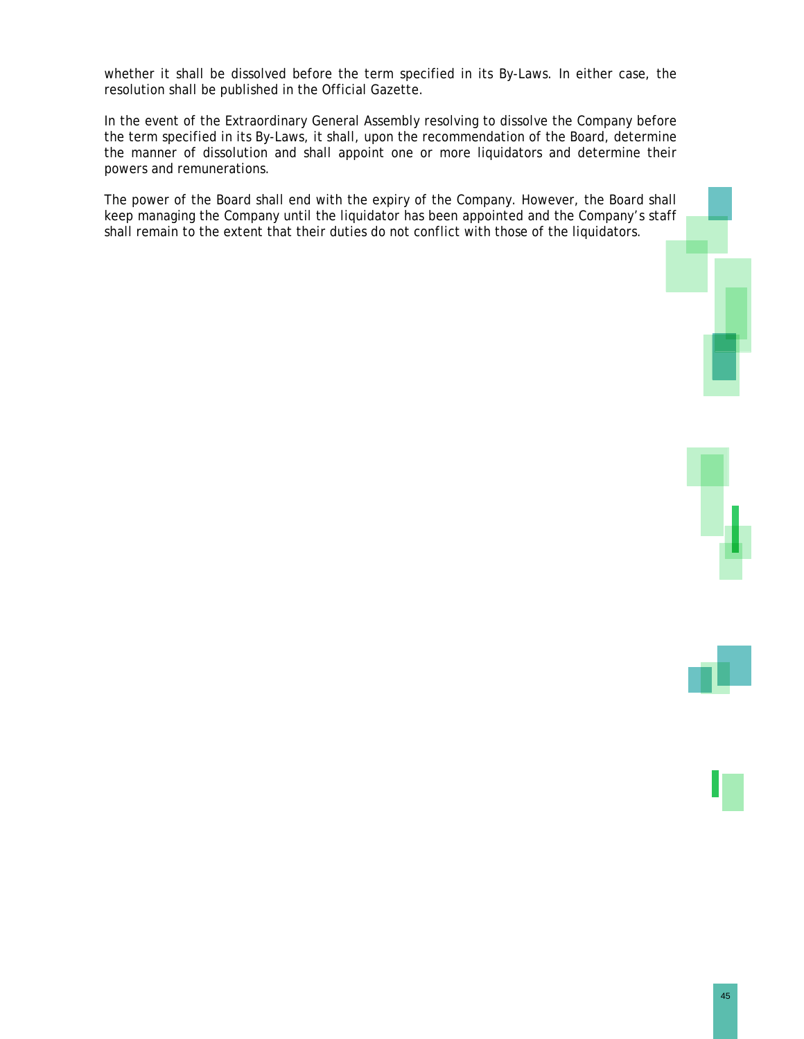whether it shall be dissolved before the term specified in its By-Laws. In either case, the resolution shall be published in the Official Gazette.

In the event of the Extraordinary General Assembly resolving to dissolve the Company before the term specified in its By-Laws, it shall, upon the recommendation of the Board, determine the manner of dissolution and shall appoint one or more liquidators and determine their powers and remunerations.

The power of the Board shall end with the expiry of the Company. However, the Board shall keep managing the Company until the liquidator has been appointed and the Company's staff shall remain to the extent that their duties do not conflict with those of the liquidators.



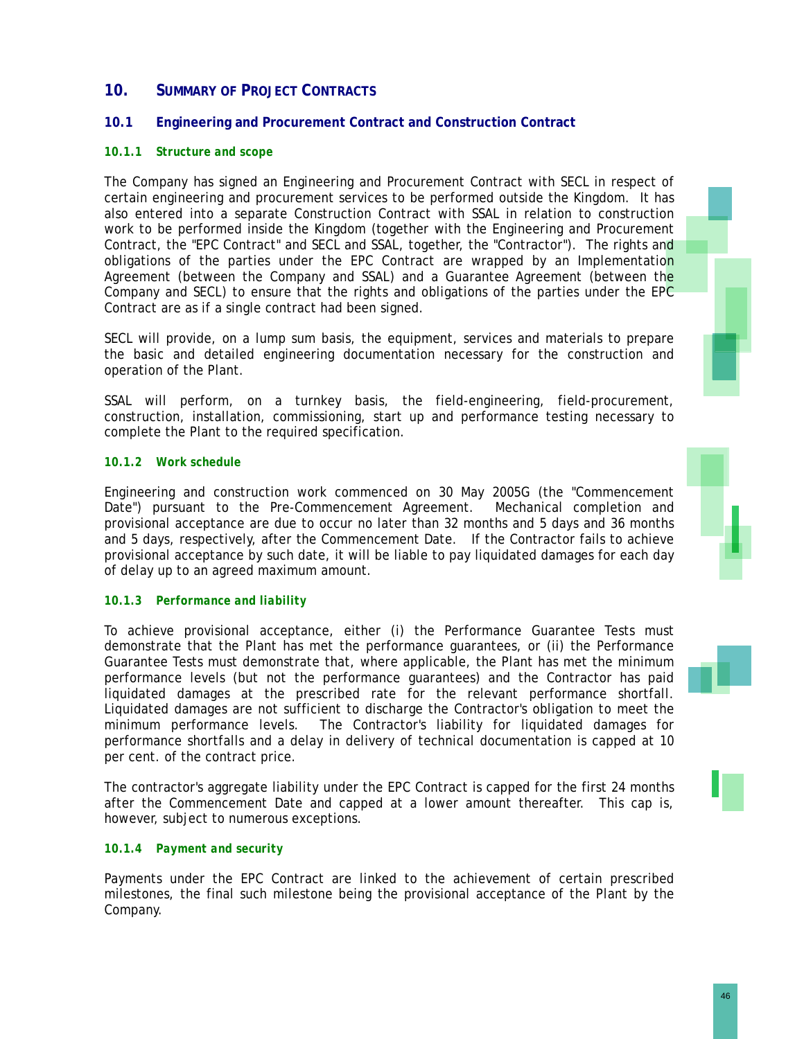# **10. SUMMARY OF PROJECT CONTRACTS**

# **10.1 Engineering and Procurement Contract and Construction Contract**

# *10.1.1 Structure and scope*

The Company has signed an Engineering and Procurement Contract with SECL in respect of certain engineering and procurement services to be performed outside the Kingdom. It has also entered into a separate Construction Contract with SSAL in relation to construction work to be performed inside the Kingdom (together with the Engineering and Procurement Contract, the "EPC Contract" and SECL and SSAL, together, the "Contractor"). The rights and obligations of the parties under the EPC Contract are wrapped by an Implementation Agreement (between the Company and SSAL) and a Guarantee Agreement (between the Company and SECL) to ensure that the rights and obligations of the parties under the EPC Contract are as if a single contract had been signed.

SECL will provide, on a lump sum basis, the equipment, services and materials to prepare the basic and detailed engineering documentation necessary for the construction and operation of the Plant.

SSAL will perform, on a turnkey basis, the field-engineering, field-procurement, construction, installation, commissioning, start up and performance testing necessary to complete the Plant to the required specification.

# *10.1.2 Work schedule*

Engineering and construction work commenced on 30 May 2005G (the "Commencement Date") pursuant to the Pre-Commencement Agreement. Mechanical completion and provisional acceptance are due to occur no later than 32 months and 5 days and 36 months and 5 days, respectively, after the Commencement Date. If the Contractor fails to achieve provisional acceptance by such date, it will be liable to pay liquidated damages for each day of delay up to an agreed maximum amount.

### *10.1.3 Performance and liability*

To achieve provisional acceptance, either (i) the Performance Guarantee Tests must demonstrate that the Plant has met the performance guarantees, or (ii) the Performance Guarantee Tests must demonstrate that, where applicable, the Plant has met the minimum performance levels (but not the performance guarantees) and the Contractor has paid liquidated damages at the prescribed rate for the relevant performance shortfall. Liquidated damages are not sufficient to discharge the Contractor's obligation to meet the minimum performance levels. The Contractor's liability for liquidated damages for performance shortfalls and a delay in delivery of technical documentation is capped at 10 per cent. of the contract price.

The contractor's aggregate liability under the EPC Contract is capped for the first 24 months after the Commencement Date and capped at a lower amount thereafter. This cap is, however, subject to numerous exceptions.

### *10.1.4 Payment and security*

Payments under the EPC Contract are linked to the achievement of certain prescribed milestones, the final such milestone being the provisional acceptance of the Plant by the Company.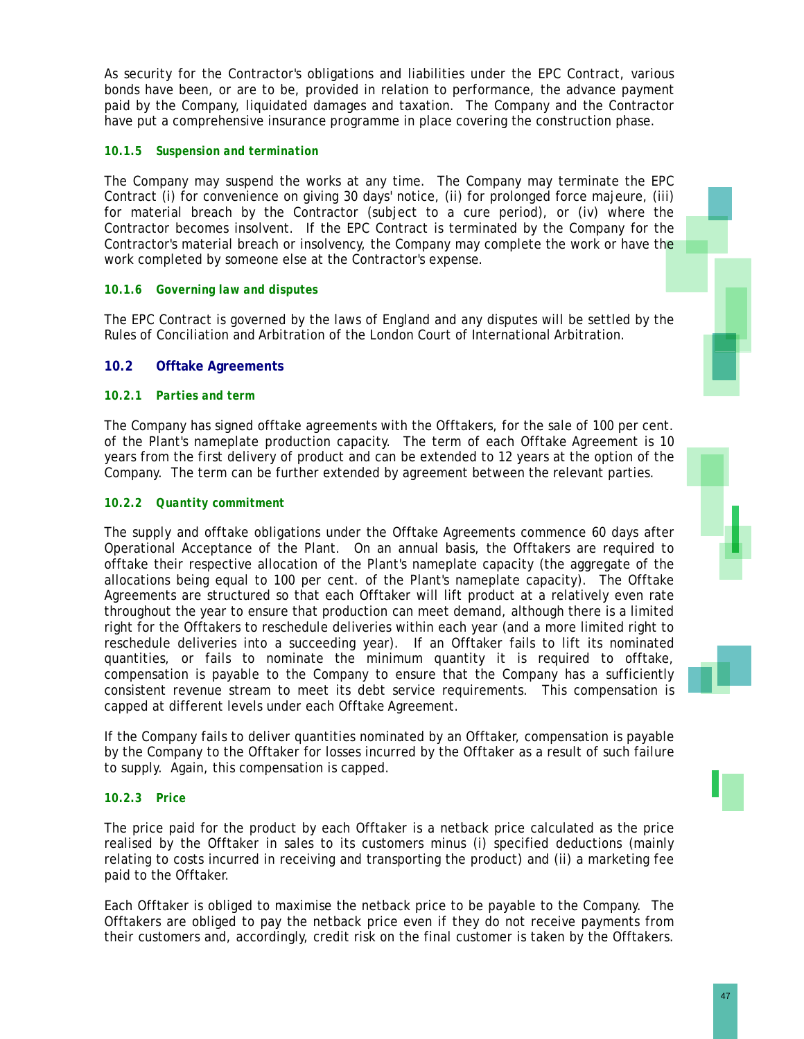As security for the Contractor's obligations and liabilities under the EPC Contract, various bonds have been, or are to be, provided in relation to performance, the advance payment paid by the Company, liquidated damages and taxation. The Company and the Contractor have put a comprehensive insurance programme in place covering the construction phase.

# *10.1.5 Suspension and termination*

The Company may suspend the works at any time. The Company may terminate the EPC Contract (i) for convenience on giving 30 days' notice, (ii) for prolonged force majeure, (iii) for material breach by the Contractor (subject to a cure period), or (iv) where the Contractor becomes insolvent. If the EPC Contract is terminated by the Company for the Contractor's material breach or insolvency, the Company may complete the work or have the work completed by someone else at the Contractor's expense.

### *10.1.6 Governing law and disputes*

The EPC Contract is governed by the laws of England and any disputes will be settled by the Rules of Conciliation and Arbitration of the London Court of International Arbitration.

# **10.2 Offtake Agreements**

### *10.2.1 Parties and term*

The Company has signed offtake agreements with the Offtakers, for the sale of 100 per cent. of the Plant's nameplate production capacity. The term of each Offtake Agreement is 10 years from the first delivery of product and can be extended to 12 years at the option of the Company. The term can be further extended by agreement between the relevant parties.

### *10.2.2 Quantity commitment*

The supply and offtake obligations under the Offtake Agreements commence 60 days after Operational Acceptance of the Plant. On an annual basis, the Offtakers are required to offtake their respective allocation of the Plant's nameplate capacity (the aggregate of the allocations being equal to 100 per cent. of the Plant's nameplate capacity). The Offtake Agreements are structured so that each Offtaker will lift product at a relatively even rate throughout the year to ensure that production can meet demand, although there is a limited right for the Offtakers to reschedule deliveries within each year (and a more limited right to reschedule deliveries into a succeeding year). If an Offtaker fails to lift its nominated quantities, or fails to nominate the minimum quantity it is required to offtake, compensation is payable to the Company to ensure that the Company has a sufficiently consistent revenue stream to meet its debt service requirements. This compensation is capped at different levels under each Offtake Agreement.

If the Company fails to deliver quantities nominated by an Offtaker, compensation is payable by the Company to the Offtaker for losses incurred by the Offtaker as a result of such failure to supply. Again, this compensation is capped.

### *10.2.3 Price*

The price paid for the product by each Offtaker is a netback price calculated as the price realised by the Offtaker in sales to its customers minus (i) specified deductions (mainly relating to costs incurred in receiving and transporting the product) and (ii) a marketing fee paid to the Offtaker.

Each Offtaker is obliged to maximise the netback price to be payable to the Company. The Offtakers are obliged to pay the netback price even if they do not receive payments from their customers and, accordingly, credit risk on the final customer is taken by the Offtakers.





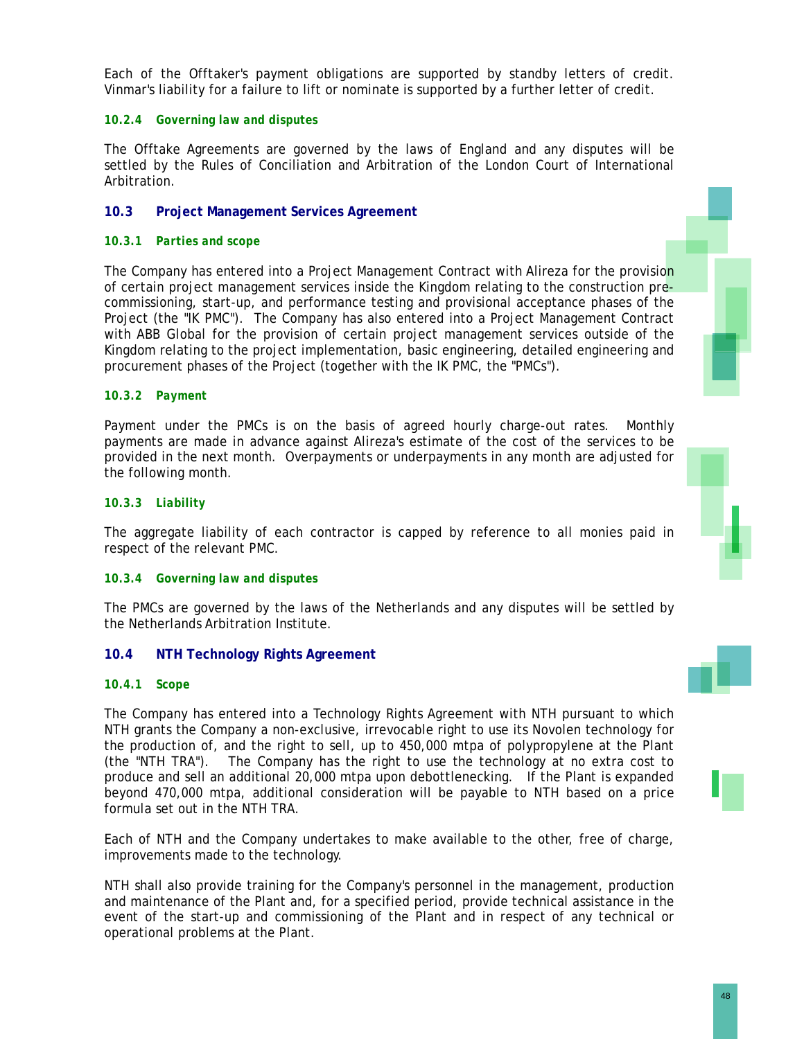Each of the Offtaker's payment obligations are supported by standby letters of credit. Vinmar's liability for a failure to lift or nominate is supported by a further letter of credit.

### *10.2.4 Governing law and disputes*

The Offtake Agreements are governed by the laws of England and any disputes will be settled by the Rules of Conciliation and Arbitration of the London Court of International Arbitration.

# **10.3 Project Management Services Agreement**

### *10.3.1 Parties and scope*

The Company has entered into a Project Management Contract with Alireza for the provision of certain project management services inside the Kingdom relating to the construction precommissioning, start-up, and performance testing and provisional acceptance phases of the Project (the "IK PMC"). The Company has also entered into a Project Management Contract with ABB Global for the provision of certain project management services outside of the Kingdom relating to the project implementation, basic engineering, detailed engineering and procurement phases of the Project (together with the IK PMC, the "PMCs").

### *10.3.2 Payment*

Payment under the PMCs is on the basis of agreed hourly charge-out rates. Monthly payments are made in advance against Alireza's estimate of the cost of the services to be provided in the next month. Overpayments or underpayments in any month are adjusted for the following month.

#### *10.3.3 Liability*

The aggregate liability of each contractor is capped by reference to all monies paid in respect of the relevant PMC.

### *10.3.4 Governing law and disputes*

The PMCs are governed by the laws of the Netherlands and any disputes will be settled by the Netherlands Arbitration Institute.

### **10.4 NTH Technology Rights Agreement**

#### *10.4.1 Scope*

The Company has entered into a Technology Rights Agreement with NTH pursuant to which NTH grants the Company a non-exclusive, irrevocable right to use its Novolen technology for the production of, and the right to sell, up to 450,000 mtpa of polypropylene at the Plant (the "NTH TRA"). The Company has the right to use the technology at no extra cost to produce and sell an additional 20,000 mtpa upon debottlenecking. If the Plant is expanded beyond 470,000 mtpa, additional consideration will be payable to NTH based on a price formula set out in the NTH TRA.

Each of NTH and the Company undertakes to make available to the other, free of charge, improvements made to the technology.

NTH shall also provide training for the Company's personnel in the management, production and maintenance of the Plant and, for a specified period, provide technical assistance in the event of the start-up and commissioning of the Plant and in respect of any technical or operational problems at the Plant.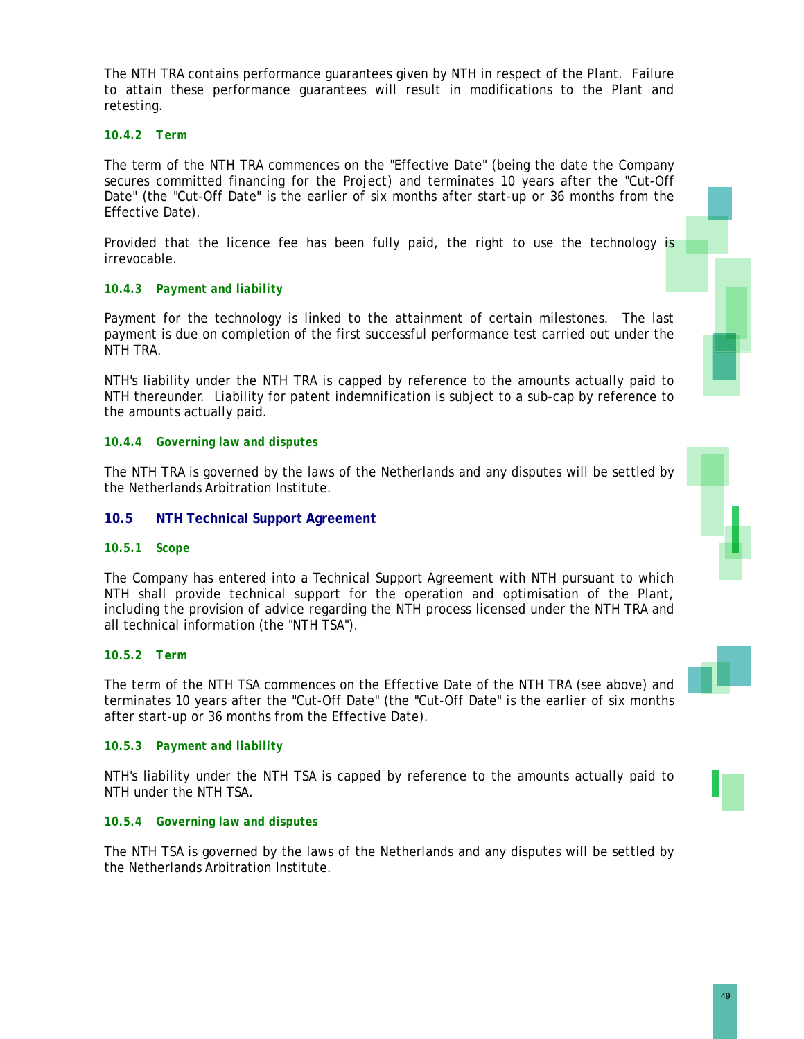The NTH TRA contains performance guarantees given by NTH in respect of the Plant. Failure to attain these performance guarantees will result in modifications to the Plant and retesting.

### *10.4.2 Term*

The term of the NTH TRA commences on the "Effective Date" (being the date the Company secures committed financing for the Project) and terminates 10 years after the "Cut-Off Date" (the "Cut-Off Date" is the earlier of six months after start-up or 36 months from the Effective Date).

Provided that the licence fee has been fully paid, the right to use the technology is irrevocable.

# *10.4.3 Payment and liability*

Payment for the technology is linked to the attainment of certain milestones. The last payment is due on completion of the first successful performance test carried out under the NTH TRA.

NTH's liability under the NTH TRA is capped by reference to the amounts actually paid to NTH thereunder. Liability for patent indemnification is subject to a sub-cap by reference to the amounts actually paid.

### *10.4.4 Governing law and disputes*

The NTH TRA is governed by the laws of the Netherlands and any disputes will be settled by the Netherlands Arbitration Institute.

### **10.5 NTH Technical Support Agreement**

### *10.5.1 Scope*

The Company has entered into a Technical Support Agreement with NTH pursuant to which NTH shall provide technical support for the operation and optimisation of the Plant, including the provision of advice regarding the NTH process licensed under the NTH TRA and all technical information (the "NTH TSA").

#### *10.5.2 Term*

The term of the NTH TSA commences on the Effective Date of the NTH TRA (see above) and terminates 10 years after the "Cut-Off Date" (the "Cut-Off Date" is the earlier of six months after start-up or 36 months from the Effective Date).

### *10.5.3 Payment and liability*

NTH's liability under the NTH TSA is capped by reference to the amounts actually paid to NTH under the NTH TSA.

#### *10.5.4 Governing law and disputes*

The NTH TSA is governed by the laws of the Netherlands and any disputes will be settled by the Netherlands Arbitration Institute.

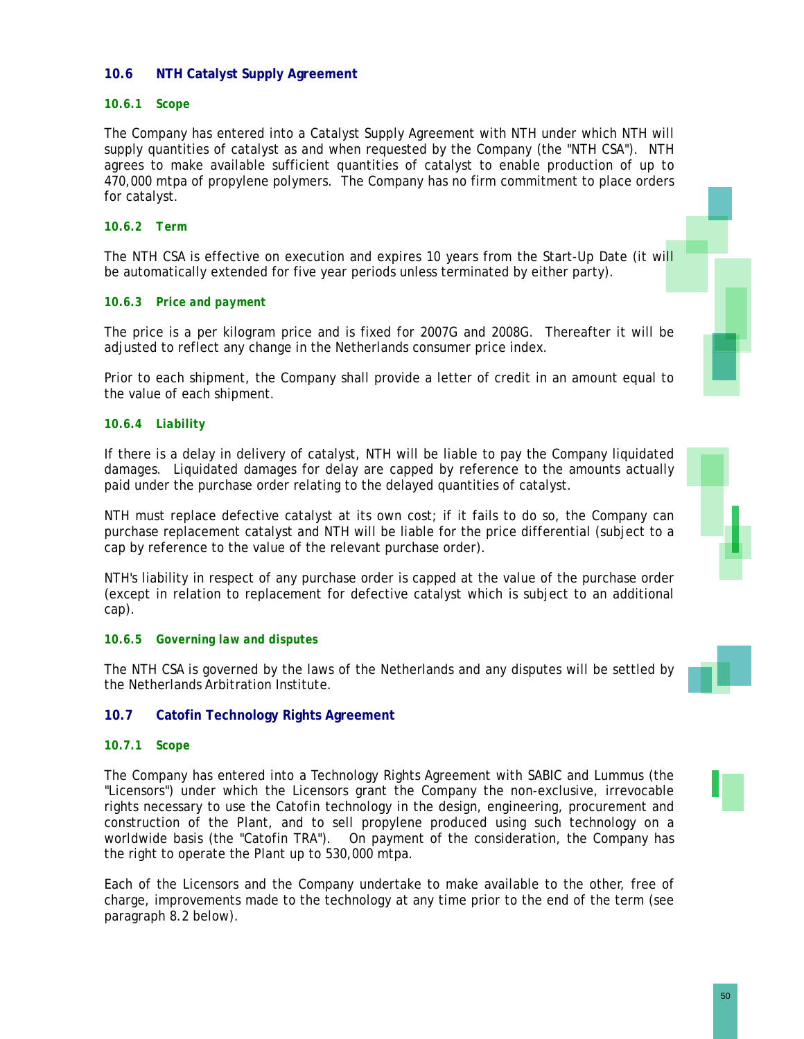# **10.6 NTH Catalyst Supply Agreement**

### *10.6.1 Scope*

The Company has entered into a Catalyst Supply Agreement with NTH under which NTH will supply quantities of catalyst as and when requested by the Company (the "NTH CSA"). NTH agrees to make available sufficient quantities of catalyst to enable production of up to 470,000 mtpa of propylene polymers. The Company has no firm commitment to place orders for catalyst.

# *10.6.2 Term*

The NTH CSA is effective on execution and expires 10 years from the Start-Up Date (it will be automatically extended for five year periods unless terminated by either party).

### *10.6.3 Price and payment*

The price is a per kilogram price and is fixed for 2007G and 2008G. Thereafter it will be adjusted to reflect any change in the Netherlands consumer price index.

Prior to each shipment, the Company shall provide a letter of credit in an amount equal to the value of each shipment.

### *10.6.4 Liability*

If there is a delay in delivery of catalyst, NTH will be liable to pay the Company liquidated damages. Liquidated damages for delay are capped by reference to the amounts actually paid under the purchase order relating to the delayed quantities of catalyst.

NTH must replace defective catalyst at its own cost; if it fails to do so, the Company can purchase replacement catalyst and NTH will be liable for the price differential (subject to a cap by reference to the value of the relevant purchase order).

NTH's liability in respect of any purchase order is capped at the value of the purchase order (except in relation to replacement for defective catalyst which is subject to an additional cap).

#### *10.6.5 Governing law and disputes*

The NTH CSA is governed by the laws of the Netherlands and any disputes will be settled by the Netherlands Arbitration Institute.



### **10.7 Catofin Technology Rights Agreement**

### *10.7.1 Scope*

The Company has entered into a Technology Rights Agreement with SABIC and Lummus (the "Licensors") under which the Licensors grant the Company the non-exclusive, irrevocable rights necessary to use the Catofin technology in the design, engineering, procurement and construction of the Plant, and to sell propylene produced using such technology on a worldwide basis (the "Catofin TRA"). On payment of the consideration, the Company has the right to operate the Plant up to 530,000 mtpa.

Each of the Licensors and the Company undertake to make available to the other, free of charge, improvements made to the technology at any time prior to the end of the term (see paragraph 8.2 below).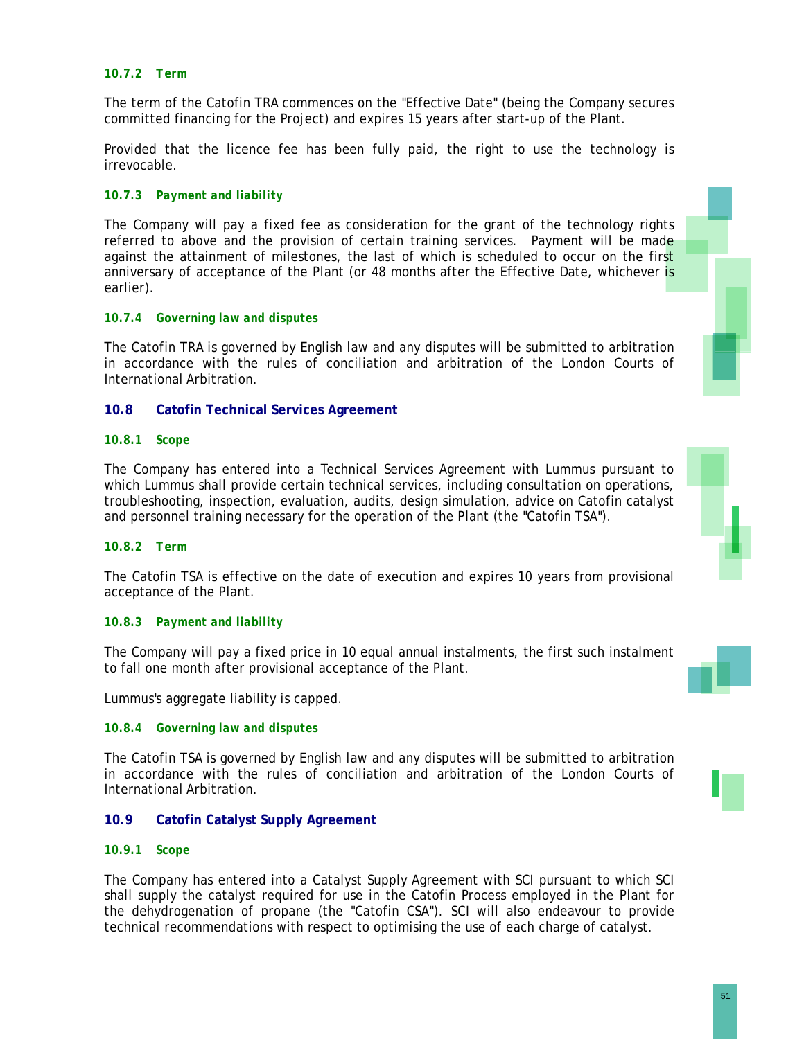### *10.7.2 Term*

The term of the Catofin TRA commences on the "Effective Date" (being the Company secures committed financing for the Project) and expires 15 years after start-up of the Plant.

Provided that the licence fee has been fully paid, the right to use the technology is irrevocable.

### *10.7.3 Payment and liability*

The Company will pay a fixed fee as consideration for the grant of the technology rights referred to above and the provision of certain training services. Payment will be made against the attainment of milestones, the last of which is scheduled to occur on the first anniversary of acceptance of the Plant (or 48 months after the Effective Date, whichever is earlier).

### *10.7.4 Governing law and disputes*

The Catofin TRA is governed by English law and any disputes will be submitted to arbitration in accordance with the rules of conciliation and arbitration of the London Courts of International Arbitration.

#### **10.8 Catofin Technical Services Agreement**

#### *10.8.1 Scope*

The Company has entered into a Technical Services Agreement with Lummus pursuant to which Lummus shall provide certain technical services, including consultation on operations, troubleshooting, inspection, evaluation, audits, design simulation, advice on Catofin catalyst and personnel training necessary for the operation of the Plant (the "Catofin TSA").

#### *10.8.2 Term*

The Catofin TSA is effective on the date of execution and expires 10 years from provisional acceptance of the Plant.

#### *10.8.3 Payment and liability*

The Company will pay a fixed price in 10 equal annual instalments, the first such instalment to fall one month after provisional acceptance of the Plant.

Lummus's aggregate liability is capped.

#### *10.8.4 Governing law and disputes*

The Catofin TSA is governed by English law and any disputes will be submitted to arbitration in accordance with the rules of conciliation and arbitration of the London Courts of International Arbitration.

#### **10.9 Catofin Catalyst Supply Agreement**

#### *10.9.1 Scope*

The Company has entered into a Catalyst Supply Agreement with SCI pursuant to which SCI shall supply the catalyst required for use in the Catofin Process employed in the Plant for the dehydrogenation of propane (the "Catofin CSA"). SCI will also endeavour to provide technical recommendations with respect to optimising the use of each charge of catalyst.





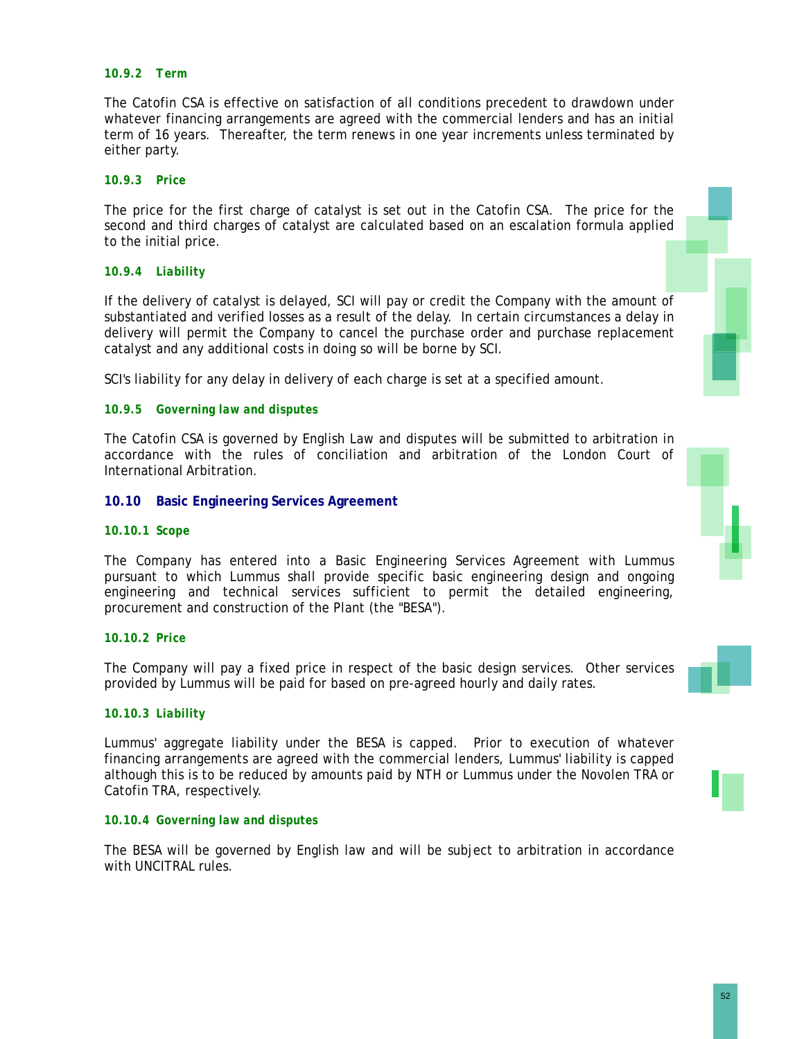### *10.9.2 Term*

The Catofin CSA is effective on satisfaction of all conditions precedent to drawdown under whatever financing arrangements are agreed with the commercial lenders and has an initial term of 16 years. Thereafter, the term renews in one year increments unless terminated by either party.

#### *10.9.3 Price*

The price for the first charge of catalyst is set out in the Catofin CSA. The price for the second and third charges of catalyst are calculated based on an escalation formula applied to the initial price.

### *10.9.4 Liability*

If the delivery of catalyst is delayed, SCI will pay or credit the Company with the amount of substantiated and verified losses as a result of the delay. In certain circumstances a delay in delivery will permit the Company to cancel the purchase order and purchase replacement catalyst and any additional costs in doing so will be borne by SCI.

SCI's liability for any delay in delivery of each charge is set at a specified amount.

#### *10.9.5 Governing law and disputes*

The Catofin CSA is governed by English Law and disputes will be submitted to arbitration in accordance with the rules of conciliation and arbitration of the London Court of International Arbitration.

#### **10.10 Basic Engineering Services Agreement**

#### *10.10.1 Scope*

The Company has entered into a Basic Engineering Services Agreement with Lummus pursuant to which Lummus shall provide specific basic engineering design and ongoing engineering and technical services sufficient to permit the detailed engineering, procurement and construction of the Plant (the "BESA").

### *10.10.2 Price*

The Company will pay a fixed price in respect of the basic design services. Other services provided by Lummus will be paid for based on pre-agreed hourly and daily rates.

### *10.10.3 Liability*

Lummus' aggregate liability under the BESA is capped. Prior to execution of whatever financing arrangements are agreed with the commercial lenders, Lummus' liability is capped although this is to be reduced by amounts paid by NTH or Lummus under the Novolen TRA or Catofin TRA, respectively.

#### *10.10.4 Governing law and disputes*

The BESA will be governed by English law and will be subject to arbitration in accordance with UNCITRAL rules.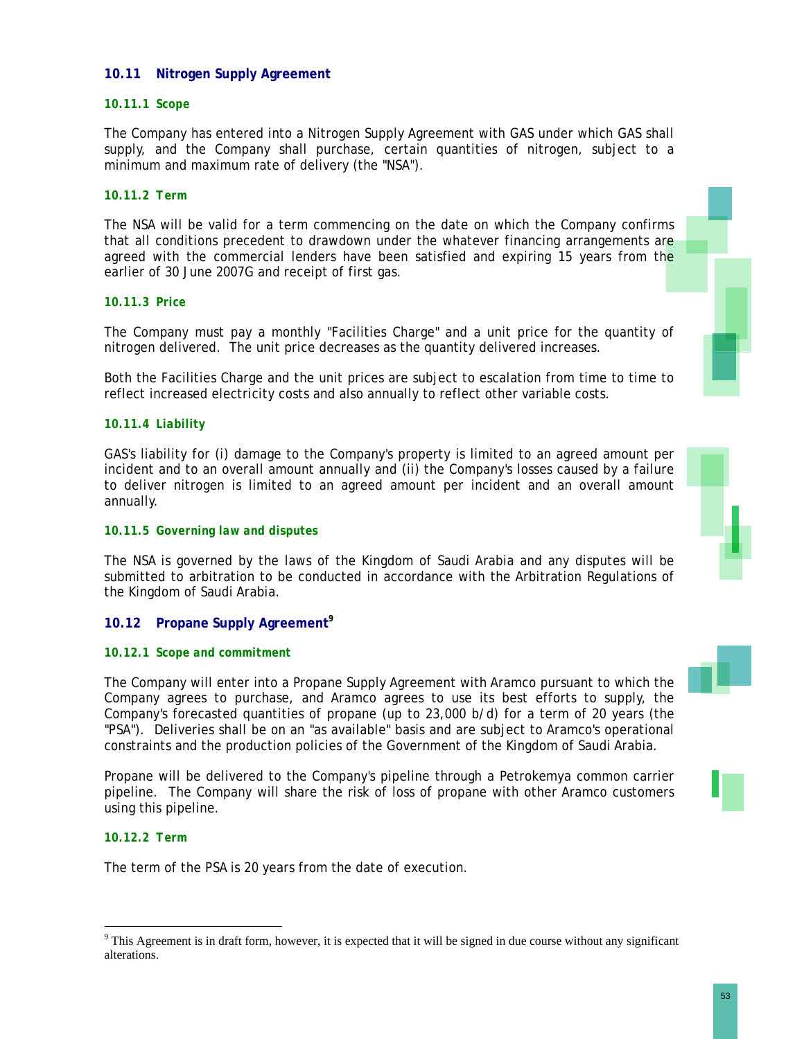### **10.11 Nitrogen Supply Agreement**

### *10.11.1 Scope*

The Company has entered into a Nitrogen Supply Agreement with GAS under which GAS shall supply, and the Company shall purchase, certain quantities of nitrogen, subject to a minimum and maximum rate of delivery (the "NSA").

### *10.11.2 Term*

The NSA will be valid for a term commencing on the date on which the Company confirms that all conditions precedent to drawdown under the whatever financing arrangements are agreed with the commercial lenders have been satisfied and expiring 15 years from the earlier of 30 June 2007G and receipt of first gas.

### *10.11.3 Price*

The Company must pay a monthly "Facilities Charge" and a unit price for the quantity of nitrogen delivered. The unit price decreases as the quantity delivered increases.

Both the Facilities Charge and the unit prices are subject to escalation from time to time to reflect increased electricity costs and also annually to reflect other variable costs.

### *10.11.4 Liability*

GAS's liability for (i) damage to the Company's property is limited to an agreed amount per incident and to an overall amount annually and (ii) the Company's losses caused by a failure to deliver nitrogen is limited to an agreed amount per incident and an overall amount annually.

### *10.11.5 Governing law and disputes*

The NSA is governed by the laws of the Kingdom of Saudi Arabia and any disputes will be submitted to arbitration to be conducted in accordance with the Arbitration Regulations of the Kingdom of Saudi Arabia.

### **10.12 Propane Supply Agreement<sup>9</sup>**

### *10.12.1 Scope and commitment*

The Company will enter into a Propane Supply Agreement with Aramco pursuant to which the Company agrees to purchase, and Aramco agrees to use its best efforts to supply, the Company's forecasted quantities of propane (up to 23,000 b/d) for a term of 20 years (the "PSA"). Deliveries shall be on an "as available" basis and are subject to Aramco's operational constraints and the production policies of the Government of the Kingdom of Saudi Arabia.

Propane will be delivered to the Company's pipeline through a Petrokemya common carrier pipeline. The Company will share the risk of loss of propane with other Aramco customers using this pipeline.

### *10.12.2 Term*

 $\overline{a}$ 

The term of the PSA is 20 years from the date of execution.



 $9$  This Agreement is in draft form, however, it is expected that it will be signed in due course without any significant alterations.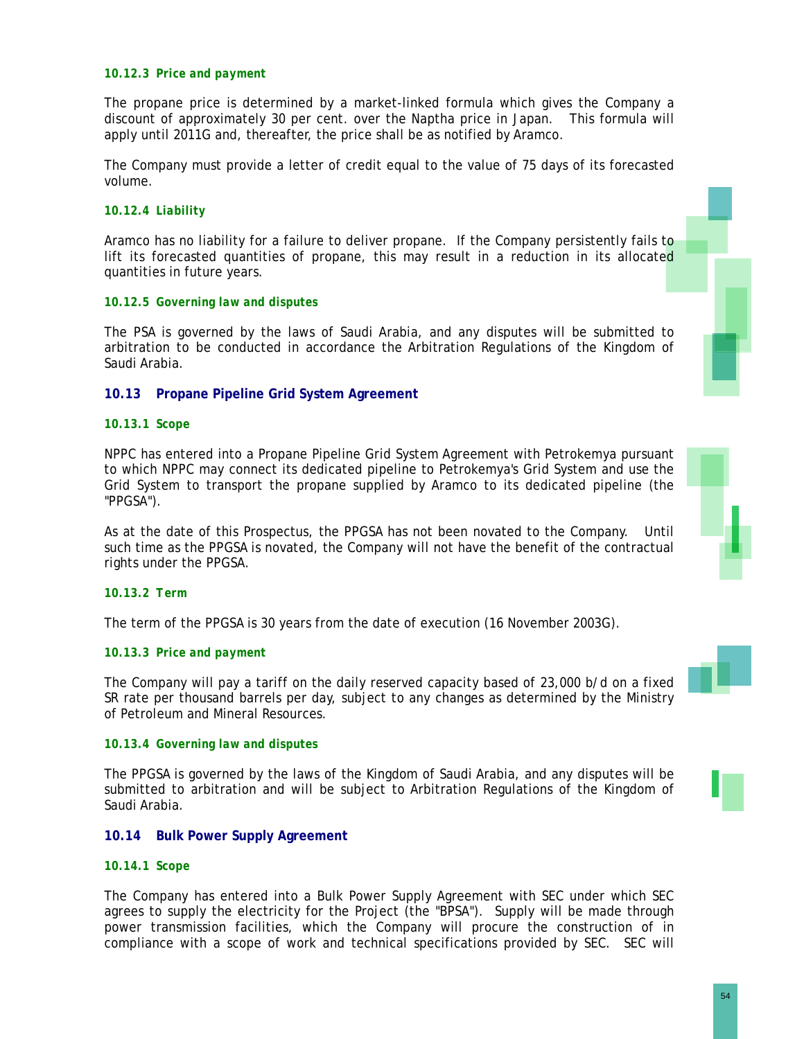#### *10.12.3 Price and payment*

The propane price is determined by a market-linked formula which gives the Company a discount of approximately 30 per cent. over the Naptha price in Japan. This formula will apply until 2011G and, thereafter, the price shall be as notified by Aramco.

The Company must provide a letter of credit equal to the value of 75 days of its forecasted volume.

### *10.12.4 Liability*

Aramco has no liability for a failure to deliver propane. If the Company persistently fails to lift its forecasted quantities of propane, this may result in a reduction in its allocated quantities in future years.

#### *10.12.5 Governing law and disputes*

The PSA is governed by the laws of Saudi Arabia, and any disputes will be submitted to arbitration to be conducted in accordance the Arbitration Regulations of the Kingdom of Saudi Arabia.

### **10.13 Propane Pipeline Grid System Agreement**

#### *10.13.1 Scope*

NPPC has entered into a Propane Pipeline Grid System Agreement with Petrokemya pursuant to which NPPC may connect its dedicated pipeline to Petrokemya's Grid System and use the Grid System to transport the propane supplied by Aramco to its dedicated pipeline (the "PPGSA").

As at the date of this Prospectus, the PPGSA has not been novated to the Company. Until such time as the PPGSA is novated, the Company will not have the benefit of the contractual rights under the PPGSA.

#### *10.13.2 Term*

The term of the PPGSA is 30 years from the date of execution (16 November 2003G).

### *10.13.3 Price and payment*

The Company will pay a tariff on the daily reserved capacity based of 23,000 b/d on a fixed SR rate per thousand barrels per day, subject to any changes as determined by the Ministry of Petroleum and Mineral Resources.

#### *10.13.4 Governing law and disputes*

The PPGSA is governed by the laws of the Kingdom of Saudi Arabia, and any disputes will be submitted to arbitration and will be subject to Arbitration Regulations of the Kingdom of Saudi Arabia.

#### **10.14 Bulk Power Supply Agreement**

#### *10.14.1 Scope*

The Company has entered into a Bulk Power Supply Agreement with SEC under which SEC agrees to supply the electricity for the Project (the "BPSA"). Supply will be made through power transmission facilities, which the Company will procure the construction of in compliance with a scope of work and technical specifications provided by SEC. SEC will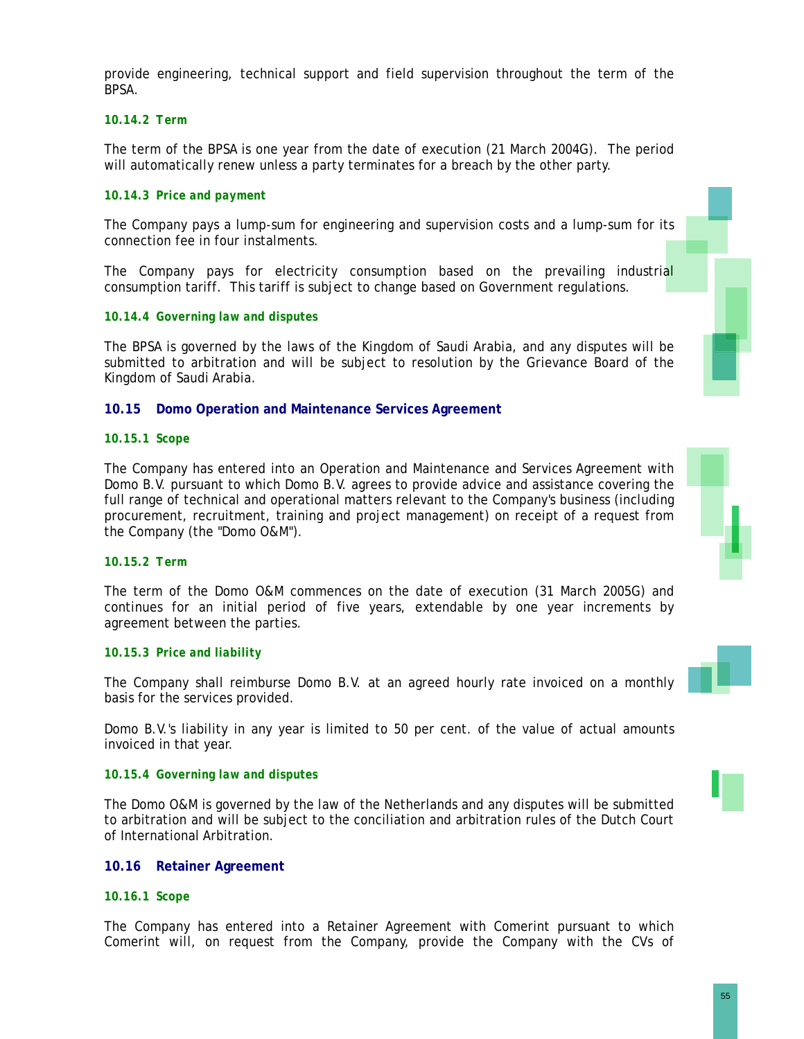provide engineering, technical support and field supervision throughout the term of the BPSA.

### *10.14.2 Term*

The term of the BPSA is one year from the date of execution (21 March 2004G). The period will automatically renew unless a party terminates for a breach by the other party.

### *10.14.3 Price and payment*

The Company pays a lump-sum for engineering and supervision costs and a lump-sum for its connection fee in four instalments.

The Company pays for electricity consumption based on the prevailing industrial consumption tariff. This tariff is subject to change based on Government regulations.

### *10.14.4 Governing law and disputes*

The BPSA is governed by the laws of the Kingdom of Saudi Arabia, and any disputes will be submitted to arbitration and will be subject to resolution by the Grievance Board of the Kingdom of Saudi Arabia.

### **10.15 Domo Operation and Maintenance Services Agreement**

#### *10.15.1 Scope*

The Company has entered into an Operation and Maintenance and Services Agreement with Domo B.V. pursuant to which Domo B.V. agrees to provide advice and assistance covering the full range of technical and operational matters relevant to the Company's business (including procurement, recruitment, training and project management) on receipt of a request from the Company (the "Domo O&M").

#### *10.15.2 Term*

The term of the Domo O&M commences on the date of execution (31 March 2005G) and continues for an initial period of five years, extendable by one year increments by agreement between the parties.

#### *10.15.3 Price and liability*

The Company shall reimburse Domo B.V. at an agreed hourly rate invoiced on a monthly basis for the services provided.

Domo B.V.'s liability in any year is limited to 50 per cent. of the value of actual amounts invoiced in that year.

#### *10.15.4 Governing law and disputes*

The Domo O&M is governed by the law of the Netherlands and any disputes will be submitted to arbitration and will be subject to the conciliation and arbitration rules of the Dutch Court of International Arbitration.

#### **10.16 Retainer Agreement**

#### *10.16.1 Scope*

The Company has entered into a Retainer Agreement with Comerint pursuant to which Comerint will, on request from the Company, provide the Company with the CVs of

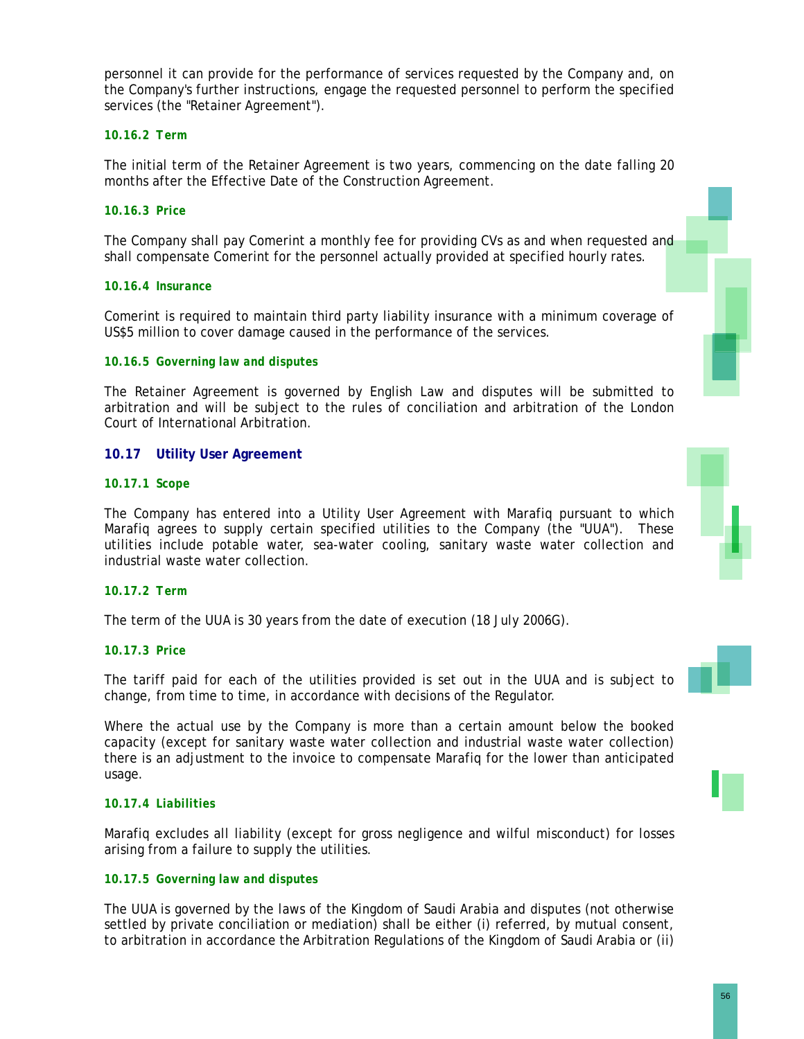personnel it can provide for the performance of services requested by the Company and, on the Company's further instructions, engage the requested personnel to perform the specified services (the "Retainer Agreement").

### *10.16.2 Term*

The initial term of the Retainer Agreement is two years, commencing on the date falling 20 months after the Effective Date of the Construction Agreement.

### *10.16.3 Price*

The Company shall pay Comerint a monthly fee for providing CVs as and when requested and shall compensate Comerint for the personnel actually provided at specified hourly rates.

#### *10.16.4 Insurance*

Comerint is required to maintain third party liability insurance with a minimum coverage of US\$5 million to cover damage caused in the performance of the services.

### *10.16.5 Governing law and disputes*

The Retainer Agreement is governed by English Law and disputes will be submitted to arbitration and will be subject to the rules of conciliation and arbitration of the London Court of International Arbitration.

### **10.17 Utility User Agreement**

#### *10.17.1 Scope*

The Company has entered into a Utility User Agreement with Marafiq pursuant to which Marafiq agrees to supply certain specified utilities to the Company (the "UUA"). These utilities include potable water, sea-water cooling, sanitary waste water collection and industrial waste water collection.

#### *10.17.2 Term*

The term of the UUA is 30 years from the date of execution (18 July 2006G).

### *10.17.3 Price*

The tariff paid for each of the utilities provided is set out in the UUA and is subject to change, from time to time, in accordance with decisions of the Regulator.

Where the actual use by the Company is more than a certain amount below the booked capacity (except for sanitary waste water collection and industrial waste water collection) there is an adjustment to the invoice to compensate Marafiq for the lower than anticipated usage.

### *10.17.4 Liabilities*

Marafiq excludes all liability (except for gross negligence and wilful misconduct) for losses arising from a failure to supply the utilities.

### *10.17.5 Governing law and disputes*

The UUA is governed by the laws of the Kingdom of Saudi Arabia and disputes (not otherwise settled by private conciliation or mediation) shall be either (i) referred, by mutual consent, to arbitration in accordance the Arbitration Regulations of the Kingdom of Saudi Arabia or (ii)



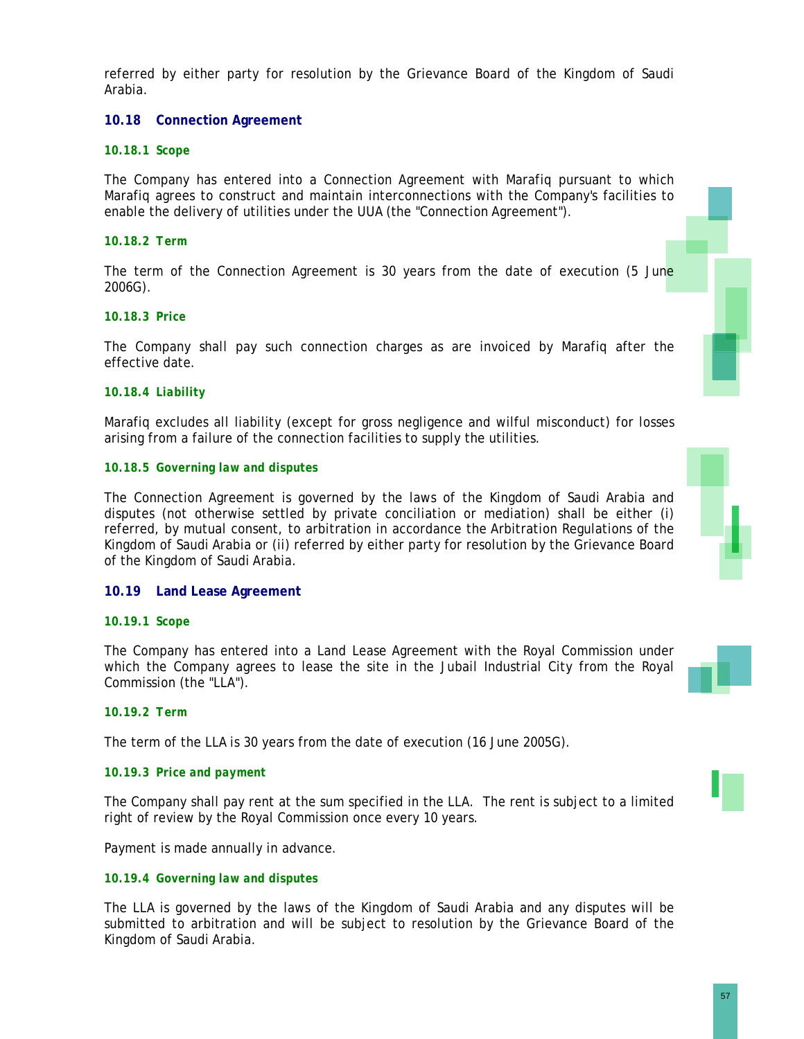referred by either party for resolution by the Grievance Board of the Kingdom of Saudi Arabia.

### **10.18 Connection Agreement**

### *10.18.1 Scope*

The Company has entered into a Connection Agreement with Marafiq pursuant to which Marafiq agrees to construct and maintain interconnections with the Company's facilities to enable the delivery of utilities under the UUA (the "Connection Agreement").

### *10.18.2 Term*

The term of the Connection Agreement is 30 years from the date of execution (5 June 2006G).

### *10.18.3 Price*

The Company shall pay such connection charges as are invoiced by Marafiq after the effective date.

#### *10.18.4 Liability*

Marafiq excludes all liability (except for gross negligence and wilful misconduct) for losses arising from a failure of the connection facilities to supply the utilities.

#### *10.18.5 Governing law and disputes*

The Connection Agreement is governed by the laws of the Kingdom of Saudi Arabia and disputes (not otherwise settled by private conciliation or mediation) shall be either (i) referred, by mutual consent, to arbitration in accordance the Arbitration Regulations of the Kingdom of Saudi Arabia or (ii) referred by either party for resolution by the Grievance Board of the Kingdom of Saudi Arabia.

### **10.19 Land Lease Agreement**

### *10.19.1 Scope*

The Company has entered into a Land Lease Agreement with the Royal Commission under which the Company agrees to lease the site in the Jubail Industrial City from the Royal Commission (the "LLA").

### *10.19.2 Term*

The term of the LLA is 30 years from the date of execution (16 June 2005G).

#### *10.19.3 Price and payment*

The Company shall pay rent at the sum specified in the LLA. The rent is subject to a limited right of review by the Royal Commission once every 10 years.

Payment is made annually in advance.

#### *10.19.4 Governing law and disputes*

The LLA is governed by the laws of the Kingdom of Saudi Arabia and any disputes will be submitted to arbitration and will be subject to resolution by the Grievance Board of the Kingdom of Saudi Arabia.

57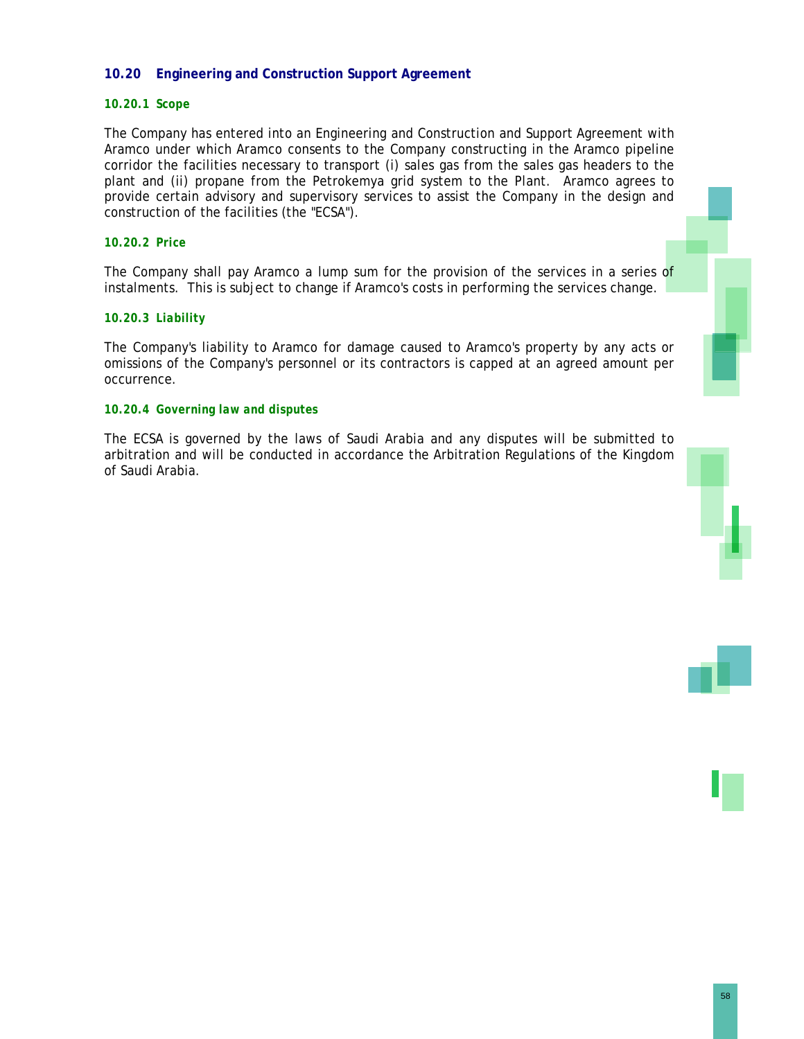### **10.20 Engineering and Construction Support Agreement**

### *10.20.1 Scope*

The Company has entered into an Engineering and Construction and Support Agreement with Aramco under which Aramco consents to the Company constructing in the Aramco pipeline corridor the facilities necessary to transport (i) sales gas from the sales gas headers to the plant and (ii) propane from the Petrokemya grid system to the Plant. Aramco agrees to provide certain advisory and supervisory services to assist the Company in the design and construction of the facilities (the "ECSA").

#### *10.20.2 Price*

The Company shall pay Aramco a lump sum for the provision of the services in a series of instalments. This is subject to change if Aramco's costs in performing the services change.

### *10.20.3 Liability*

The Company's liability to Aramco for damage caused to Aramco's property by any acts or omissions of the Company's personnel or its contractors is capped at an agreed amount per occurrence.

#### *10.20.4 Governing law and disputes*

The ECSA is governed by the laws of Saudi Arabia and any disputes will be submitted to arbitration and will be conducted in accordance the Arbitration Regulations of the Kingdom of Saudi Arabia.



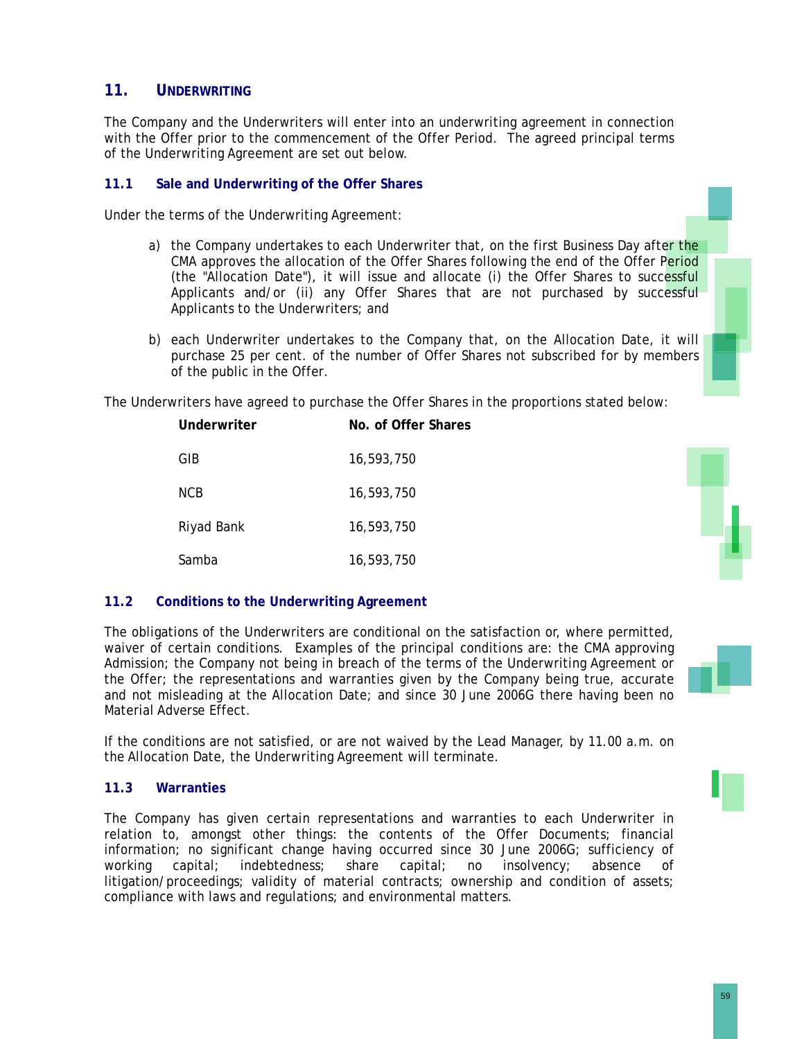### **11. UNDERWRITING**

The Company and the Underwriters will enter into an underwriting agreement in connection with the Offer prior to the commencement of the Offer Period. The agreed principal terms of the Underwriting Agreement are set out below.

### **11.1 Sale and Underwriting of the Offer Shares**

Under the terms of the Underwriting Agreement:

- a) the Company undertakes to each Underwriter that, on the first Business Day after the CMA approves the allocation of the Offer Shares following the end of the Offer Period (the "Allocation Date"), it will issue and allocate (i) the Offer Shares to successful Applicants and/or (ii) any Offer Shares that are not purchased by successful Applicants to the Underwriters; and
- b) each Underwriter undertakes to the Company that, on the Allocation Date, it will purchase 25 per cent. of the number of Offer Shares not subscribed for by members of the public in the Offer.

The Underwriters have agreed to purchase the Offer Shares in the proportions stated below:

| Underwriter | No. of Offer Shares |
|-------------|---------------------|
| GIB         | 16,593,750          |
| <b>NCB</b>  | 16,593,750          |
| Riyad Bank  | 16,593,750          |
| Samba       | 16,593,750          |



### **11.2 Conditions to the Underwriting Agreement**

The obligations of the Underwriters are conditional on the satisfaction or, where permitted, waiver of certain conditions. Examples of the principal conditions are: the CMA approving Admission; the Company not being in breach of the terms of the Underwriting Agreement or the Offer; the representations and warranties given by the Company being true, accurate and not misleading at the Allocation Date; and since 30 June 2006G there having been no Material Adverse Effect.

If the conditions are not satisfied, or are not waived by the Lead Manager, by 11.00 a.m. on the Allocation Date, the Underwriting Agreement will terminate.

### **11.3 Warranties**

The Company has given certain representations and warranties to each Underwriter in relation to, amongst other things: the contents of the Offer Documents; financial information; no significant change having occurred since 30 June 2006G; sufficiency of working capital; indebtedness; share capital; no insolvency; absence of litigation/proceedings; validity of material contracts; ownership and condition of assets; compliance with laws and regulations; and environmental matters.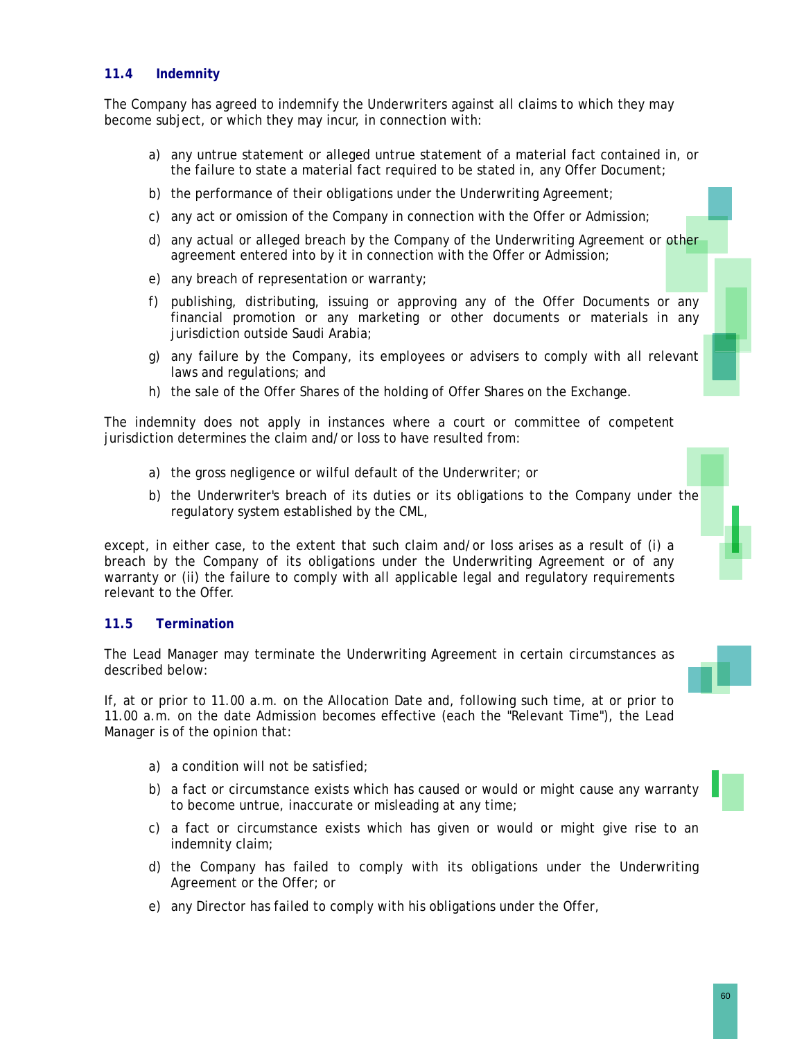### **11.4 Indemnity**

The Company has agreed to indemnify the Underwriters against all claims to which they may become subject, or which they may incur, in connection with:

- a) any untrue statement or alleged untrue statement of a material fact contained in, or the failure to state a material fact required to be stated in, any Offer Document;
- b) the performance of their obligations under the Underwriting Agreement;
- c) any act or omission of the Company in connection with the Offer or Admission;
- d) any actual or alleged breach by the Company of the Underwriting Agreement or other agreement entered into by it in connection with the Offer or Admission;
- e) any breach of representation or warranty;
- f) publishing, distributing, issuing or approving any of the Offer Documents or any financial promotion or any marketing or other documents or materials in any jurisdiction outside Saudi Arabia;
- g) any failure by the Company, its employees or advisers to comply with all relevant laws and regulations; and
- h) the sale of the Offer Shares of the holding of Offer Shares on the Exchange.

The indemnity does not apply in instances where a court or committee of competent jurisdiction determines the claim and/or loss to have resulted from:

- a) the gross negligence or wilful default of the Underwriter; or
- b) the Underwriter's breach of its duties or its obligations to the Company under the regulatory system established by the CML,

except, in either case, to the extent that such claim and/or loss arises as a result of (i) a breach by the Company of its obligations under the Underwriting Agreement or of any warranty or (ii) the failure to comply with all applicable legal and regulatory requirements relevant to the Offer.

### **11.5 Termination**

The Lead Manager may terminate the Underwriting Agreement in certain circumstances as described below:

If, at or prior to 11.00 a.m. on the Allocation Date and, following such time, at or prior to 11.00 a.m. on the date Admission becomes effective (each the "Relevant Time"), the Lead Manager is of the opinion that:

- a) a condition will not be satisfied;
- b) a fact or circumstance exists which has caused or would or might cause any warranty to become untrue, inaccurate or misleading at any time;
- c) a fact or circumstance exists which has given or would or might give rise to an indemnity claim;
- d) the Company has failed to comply with its obligations under the Underwriting Agreement or the Offer; or
- e) any Director has failed to comply with his obligations under the Offer,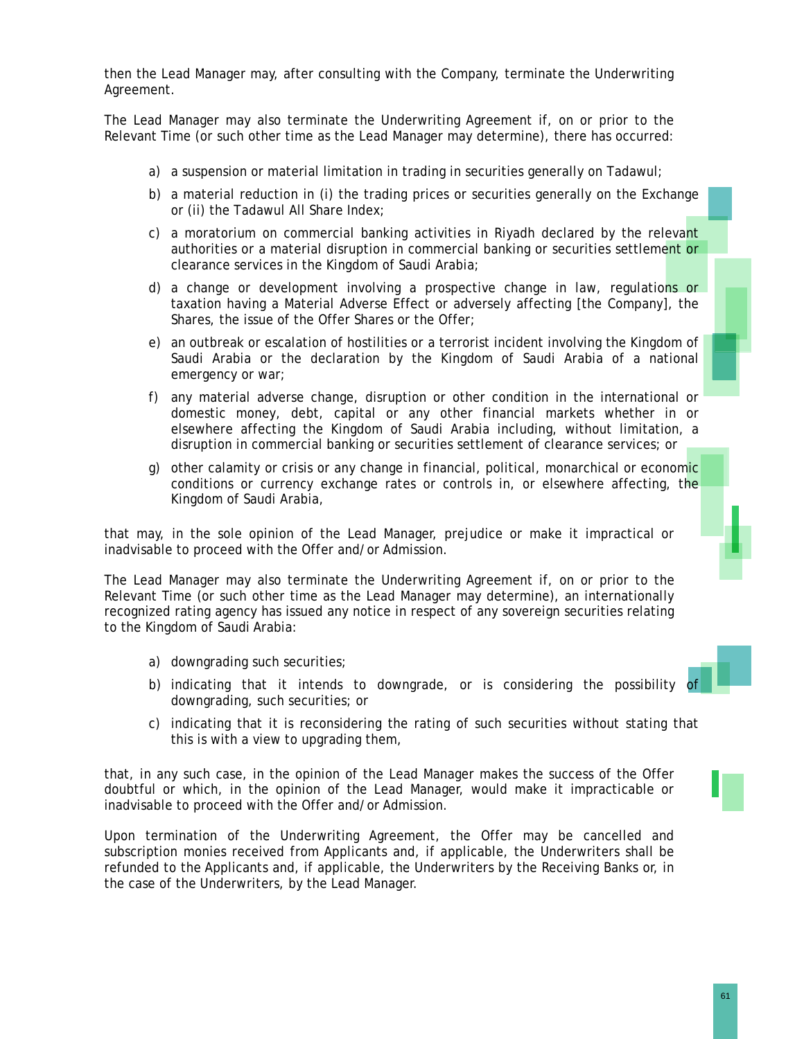then the Lead Manager may, after consulting with the Company, terminate the Underwriting Agreement.

The Lead Manager may also terminate the Underwriting Agreement if, on or prior to the Relevant Time (or such other time as the Lead Manager may determine), there has occurred:

- a) a suspension or material limitation in trading in securities generally on Tadawul;
- b) a material reduction in (i) the trading prices or securities generally on the Exchange or (ii) the Tadawul All Share Index;
- c) a moratorium on commercial banking activities in Riyadh declared by the relevant authorities or a material disruption in commercial banking or securities settlement or clearance services in the Kingdom of Saudi Arabia;
- d) a change or development involving a prospective change in law, regulations or taxation having a Material Adverse Effect or adversely affecting [the Company], the Shares, the issue of the Offer Shares or the Offer;
- e) an outbreak or escalation of hostilities or a terrorist incident involving the Kingdom of Saudi Arabia or the declaration by the Kingdom of Saudi Arabia of a national emergency or war;
- f) any material adverse change, disruption or other condition in the international or domestic money, debt, capital or any other financial markets whether in or elsewhere affecting the Kingdom of Saudi Arabia including, without limitation, a disruption in commercial banking or securities settlement of clearance services; or
- g) other calamity or crisis or any change in financial, political, monarchical or economic conditions or currency exchange rates or controls in, or elsewhere affecting, the Kingdom of Saudi Arabia,

that may, in the sole opinion of the Lead Manager, prejudice or make it impractical or inadvisable to proceed with the Offer and/or Admission.

The Lead Manager may also terminate the Underwriting Agreement if, on or prior to the Relevant Time (or such other time as the Lead Manager may determine), an internationally recognized rating agency has issued any notice in respect of any sovereign securities relating to the Kingdom of Saudi Arabia:

- a) downgrading such securities;
- b) indicating that it intends to downgrade, or is considering the possibility of downgrading, such securities; or
- c) indicating that it is reconsidering the rating of such securities without stating that this is with a view to upgrading them,

that, in any such case, in the opinion of the Lead Manager makes the success of the Offer doubtful or which, in the opinion of the Lead Manager, would make it impracticable or inadvisable to proceed with the Offer and/or Admission.

Upon termination of the Underwriting Agreement, the Offer may be cancelled and subscription monies received from Applicants and, if applicable, the Underwriters shall be refunded to the Applicants and, if applicable, the Underwriters by the Receiving Banks or, in the case of the Underwriters, by the Lead Manager.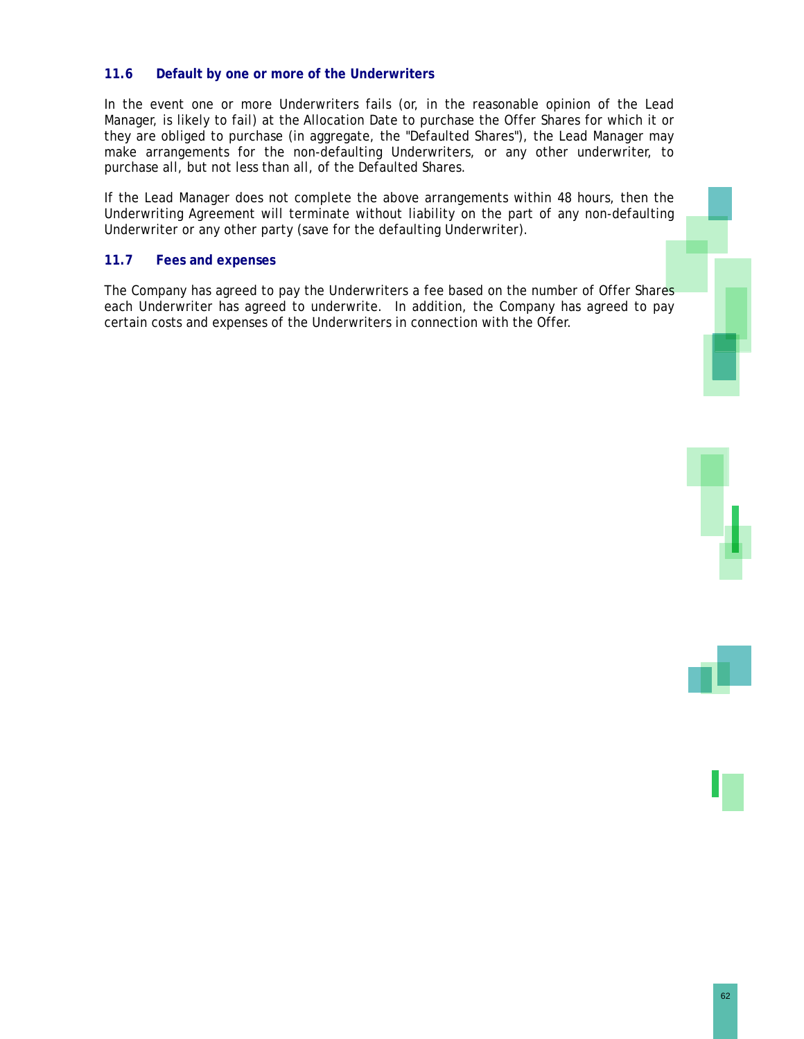### **11.6 Default by one or more of the Underwriters**

In the event one or more Underwriters fails (or, in the reasonable opinion of the Lead Manager, is likely to fail) at the Allocation Date to purchase the Offer Shares for which it or they are obliged to purchase (in aggregate, the "Defaulted Shares"), the Lead Manager may make arrangements for the non-defaulting Underwriters, or any other underwriter, to purchase all, but not less than all, of the Defaulted Shares.

If the Lead Manager does not complete the above arrangements within 48 hours, then the Underwriting Agreement will terminate without liability on the part of any non-defaulting Underwriter or any other party (save for the defaulting Underwriter).

### **11.7 Fees and expenses**

The Company has agreed to pay the Underwriters a fee based on the number of Offer Shares each Underwriter has agreed to underwrite. In addition, the Company has agreed to pay certain costs and expenses of the Underwriters in connection with the Offer.

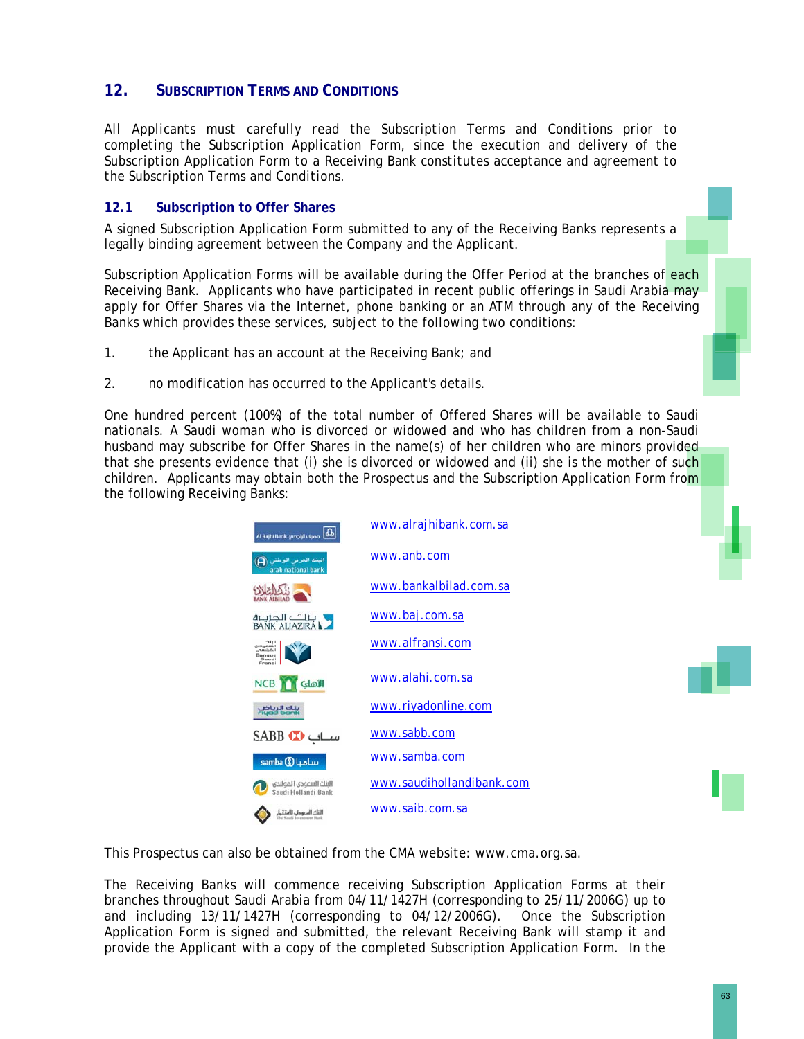## **12. SUBSCRIPTION TERMS AND CONDITIONS**

*All Applicants must carefully read the Subscription Terms and Conditions prior to completing the Subscription Application Form, since the execution and delivery of the Subscription Application Form to a Receiving Bank constitutes acceptance and agreement to the Subscription Terms and Conditions.* 

### **12.1 Subscription to Offer Shares**

A signed Subscription Application Form submitted to any of the Receiving Banks represents a legally binding agreement between the Company and the Applicant.

Subscription Application Forms will be available during the Offer Period at the branches of each Receiving Bank. Applicants who have participated in recent public offerings in Saudi Arabia may apply for Offer Shares via the Internet, phone banking or an ATM through any of the Receiving Banks which provides these services, subject to the following two conditions:

- 1. the Applicant has an account at the Receiving Bank; and
- 2. no modification has occurred to the Applicant's details.

One hundred percent (100%) of the total number of Offered Shares will be available to Saudi nationals. A Saudi woman who is divorced or widowed and who has children from a non-Saudi husband may subscribe for Offer Shares in the name(s) of her children who are minors provided that she presents evidence that (i) she is divorced or widowed and (ii) she is the mother of such children. Applicants may obtain both the Prospectus and the Subscription Application Form from the following Receiving Banks:

| Al Rajhi Bank crooldluspoo                           | www.alrajhibank.com.sa    |
|------------------------------------------------------|---------------------------|
| $\Box$<br>البنك العربى الوطش<br>arab national bank   | www.anb.com               |
| <b>ALBILAD</b>                                       | www.bankalbilad.com.sa    |
| ل بالگ الجزيرة<br>BANK ALIAZIRA                      | www.baj.com.sa            |
| البنث<br>السعوده<br><b>Ratura</b><br>Saudi           | www.alfransi.com          |
| <b>NCB Gloull</b>                                    | www.alahi.com.sa          |
| بنك الرياض<br>ناددنا أحدت                            | www.riyadonline.com       |
| سـاب SABB                                            | www.sabb.com              |
| samba (8) Luoluv                                     | www.samba.com             |
| البنك السعودى الهولندى<br>Saudi Hollandi Bank        | www.saudihollandibank.com |
| البتاك السعودي، للاستقبار<br>The Sand Imperment Hank | www.saib.com.sa           |

This Prospectus can also be obtained from the CMA website: www.cma.org.sa.

The Receiving Banks will commence receiving Subscription Application Forms at their branches throughout Saudi Arabia from 04/11/1427H (corresponding to 25/11/2006G) up to and including 13/11/1427H (corresponding to 04/12/2006G). Once the Subscription Application Form is signed and submitted, the relevant Receiving Bank will stamp it and provide the Applicant with a copy of the completed Subscription Application Form. In the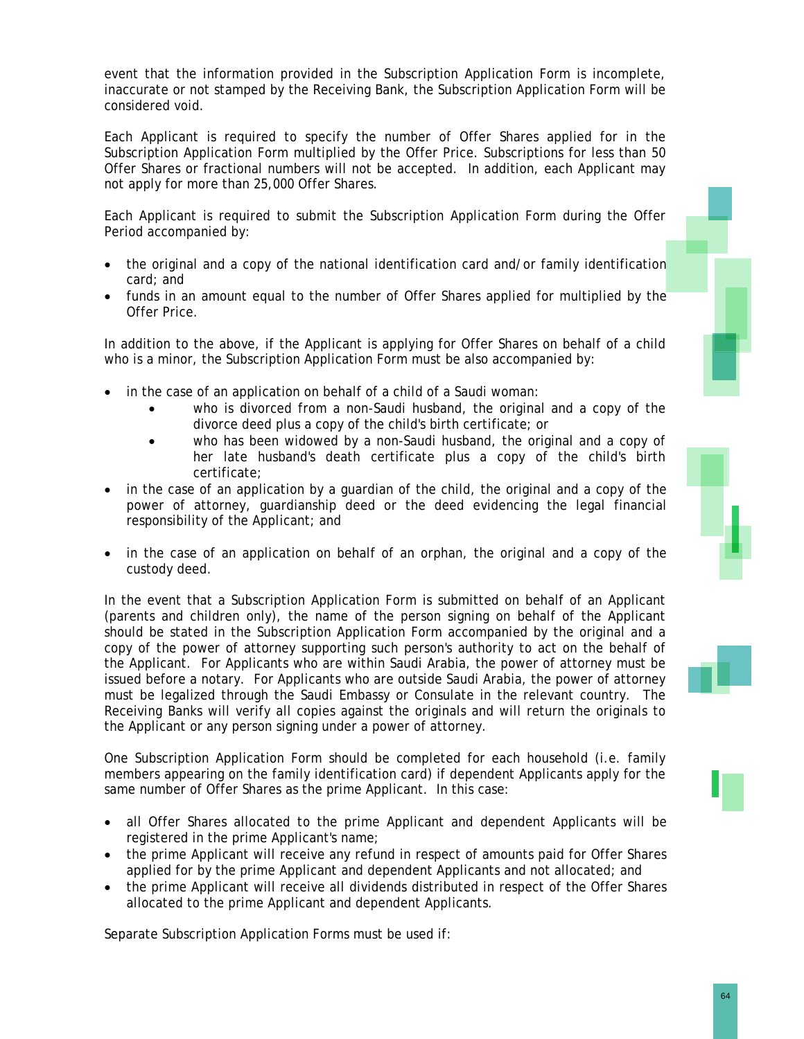event that the information provided in the Subscription Application Form is incomplete, inaccurate or not stamped by the Receiving Bank, the Subscription Application Form will be considered void.

Each Applicant is required to specify the number of Offer Shares applied for in the Subscription Application Form multiplied by the Offer Price. Subscriptions for less than 50 Offer Shares or fractional numbers will not be accepted. In addition, each Applicant may not apply for more than 25,000 Offer Shares.

Each Applicant is required to submit the Subscription Application Form during the Offer Period accompanied by:

- the original and a copy of the national identification card and/or family identification card; and
- funds in an amount equal to the number of Offer Shares applied for multiplied by the Offer Price.

In addition to the above, if the Applicant is applying for Offer Shares on behalf of a child who is a minor, the Subscription Application Form must be also accompanied by:

- in the case of an application on behalf of a child of a Saudi woman:
	- who is divorced from a non-Saudi husband, the original and a copy of the divorce deed plus a copy of the child's birth certificate; or
	- who has been widowed by a non-Saudi husband, the original and a copy of her late husband's death certificate plus a copy of the child's birth certificate;
- in the case of an application by a guardian of the child, the original and a copy of the power of attorney, guardianship deed or the deed evidencing the legal financial responsibility of the Applicant; and
- in the case of an application on behalf of an orphan, the original and a copy of the custody deed.

In the event that a Subscription Application Form is submitted on behalf of an Applicant (parents and children only), the name of the person signing on behalf of the Applicant should be stated in the Subscription Application Form accompanied by the original and a copy of the power of attorney supporting such person's authority to act on the behalf of the Applicant. For Applicants who are within Saudi Arabia, the power of attorney must be issued before a notary. For Applicants who are outside Saudi Arabia, the power of attorney must be legalized through the Saudi Embassy or Consulate in the relevant country. The Receiving Banks will verify all copies against the originals and will return the originals to the Applicant or any person signing under a power of attorney.

One Subscription Application Form should be completed for each household (i.e. family members appearing on the family identification card) if dependent Applicants apply for the same number of Offer Shares as the prime Applicant. In this case:

- all Offer Shares allocated to the prime Applicant and dependent Applicants will be registered in the prime Applicant's name;
- the prime Applicant will receive any refund in respect of amounts paid for Offer Shares applied for by the prime Applicant and dependent Applicants and not allocated; and
- the prime Applicant will receive all dividends distributed in respect of the Offer Shares allocated to the prime Applicant and dependent Applicants.

Separate Subscription Application Forms must be used if:





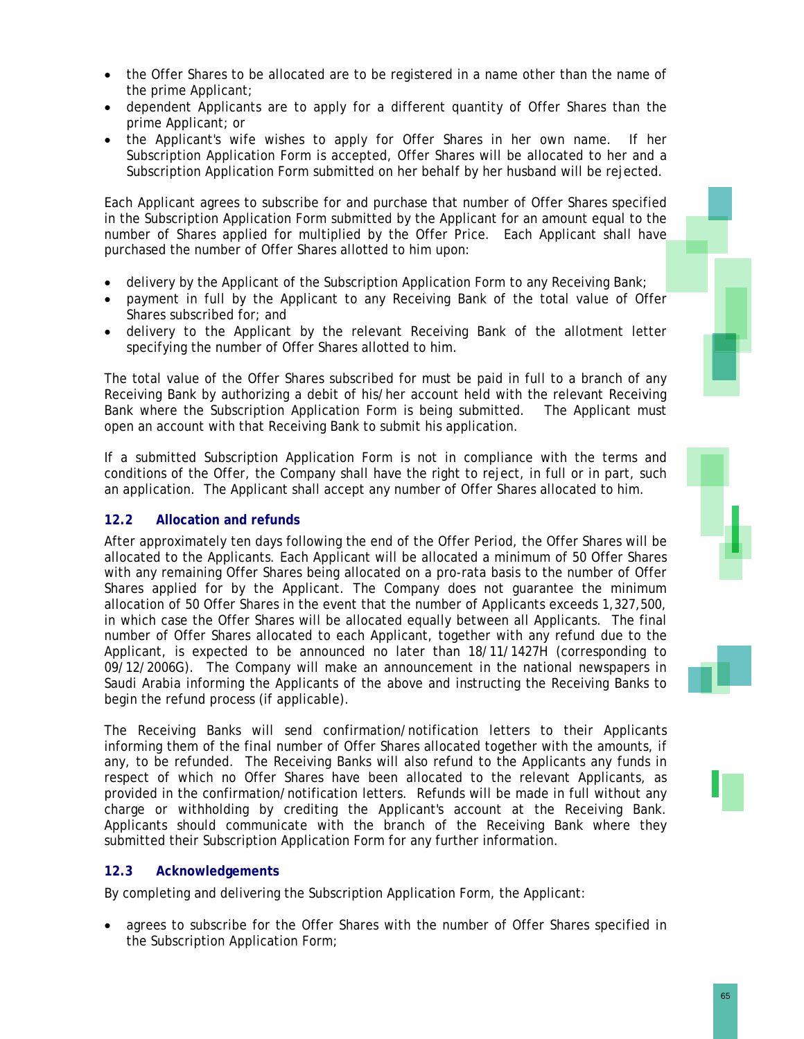- the Offer Shares to be allocated are to be registered in a name other than the name of the prime Applicant;
- dependent Applicants are to apply for a different quantity of Offer Shares than the prime Applicant; or
- the Applicant's wife wishes to apply for Offer Shares in her own name. If her Subscription Application Form is accepted, Offer Shares will be allocated to her and a Subscription Application Form submitted on her behalf by her husband will be rejected.

Each Applicant agrees to subscribe for and purchase that number of Offer Shares specified in the Subscription Application Form submitted by the Applicant for an amount equal to the number of Shares applied for multiplied by the Offer Price. Each Applicant shall have purchased the number of Offer Shares allotted to him upon:

- delivery by the Applicant of the Subscription Application Form to any Receiving Bank;
- payment in full by the Applicant to any Receiving Bank of the total value of Offer Shares subscribed for; and
- delivery to the Applicant by the relevant Receiving Bank of the allotment letter specifying the number of Offer Shares allotted to him.

The total value of the Offer Shares subscribed for must be paid in full to a branch of any Receiving Bank by authorizing a debit of his/her account held with the relevant Receiving Bank where the Subscription Application Form is being submitted. The Applicant must open an account with that Receiving Bank to submit his application.

If a submitted Subscription Application Form is not in compliance with the terms and conditions of the Offer, the Company shall have the right to reject, in full or in part, such an application. The Applicant shall accept any number of Offer Shares allocated to him.

### **12.2 Allocation and refunds**

After approximately ten days following the end of the Offer Period, the Offer Shares will be allocated to the Applicants. Each Applicant will be allocated a minimum of 50 Offer Shares with any remaining Offer Shares being allocated on a pro-rata basis to the number of Offer Shares applied for by the Applicant. The Company does not guarantee the minimum allocation of 50 Offer Shares in the event that the number of Applicants exceeds 1,327,500, in which case the Offer Shares will be allocated equally between all Applicants. The final number of Offer Shares allocated to each Applicant, together with any refund due to the Applicant, is expected to be announced no later than 18/11/1427H (corresponding to 09/12/2006G). The Company will make an announcement in the national newspapers in Saudi Arabia informing the Applicants of the above and instructing the Receiving Banks to begin the refund process (if applicable).

The Receiving Banks will send confirmation/notification letters to their Applicants informing them of the final number of Offer Shares allocated together with the amounts, if any, to be refunded. The Receiving Banks will also refund to the Applicants any funds in respect of which no Offer Shares have been allocated to the relevant Applicants, as provided in the confirmation/notification letters. Refunds will be made in full without any charge or withholding by crediting the Applicant's account at the Receiving Bank. Applicants should communicate with the branch of the Receiving Bank where they submitted their Subscription Application Form for any further information.

### **12.3 Acknowledgements**

By completing and delivering the Subscription Application Form, the Applicant:

• agrees to subscribe for the Offer Shares with the number of Offer Shares specified in the Subscription Application Form;





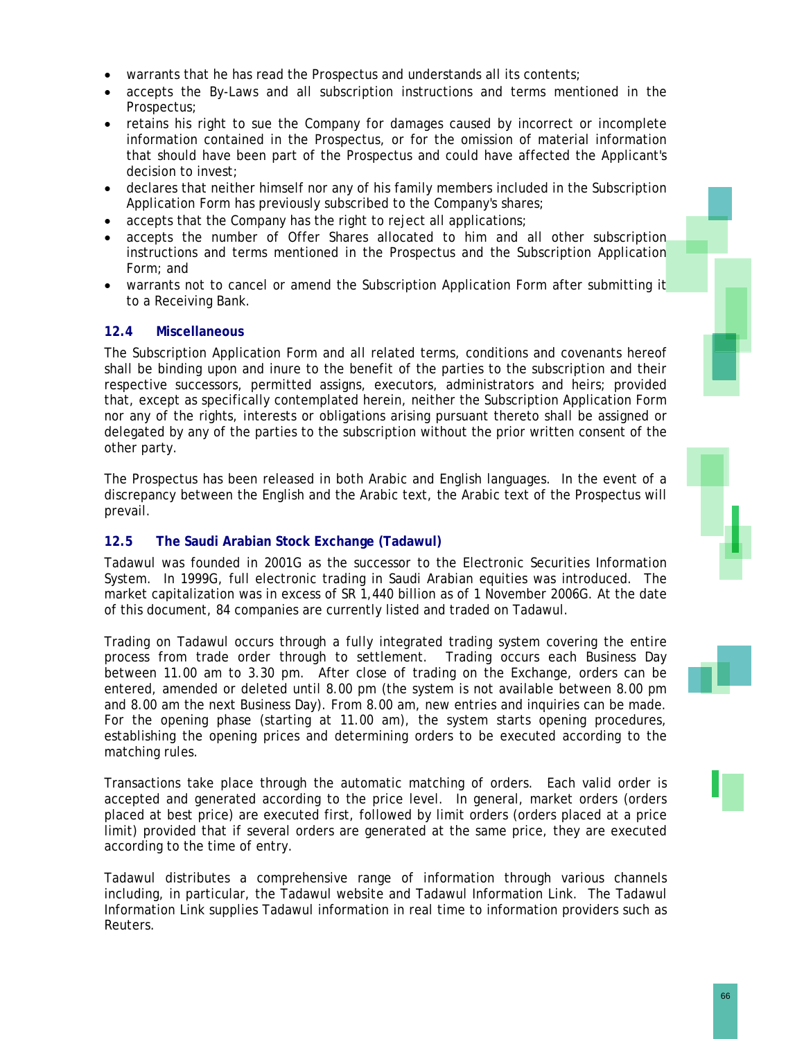- warrants that he has read the Prospectus and understands all its contents;
- accepts the By-Laws and all subscription instructions and terms mentioned in the Prospectus;
- retains his right to sue the Company for damages caused by incorrect or incomplete information contained in the Prospectus, or for the omission of material information that should have been part of the Prospectus and could have affected the Applicant's decision to invest;
- declares that neither himself nor any of his family members included in the Subscription Application Form has previously subscribed to the Company's shares;
- accepts that the Company has the right to reject all applications;
- accepts the number of Offer Shares allocated to him and all other subscription instructions and terms mentioned in the Prospectus and the Subscription Application Form; and
- warrants not to cancel or amend the Subscription Application Form after submitting it to a Receiving Bank.

### **12.4 Miscellaneous**

The Subscription Application Form and all related terms, conditions and covenants hereof shall be binding upon and inure to the benefit of the parties to the subscription and their respective successors, permitted assigns, executors, administrators and heirs; provided that, except as specifically contemplated herein, neither the Subscription Application Form nor any of the rights, interests or obligations arising pursuant thereto shall be assigned or delegated by any of the parties to the subscription without the prior written consent of the other party.

The Prospectus has been released in both Arabic and English languages. In the event of a discrepancy between the English and the Arabic text, the Arabic text of the Prospectus will prevail.

### **12.5 The Saudi Arabian Stock Exchange (Tadawul)**

Tadawul was founded in 2001G as the successor to the Electronic Securities Information System. In 1999G, full electronic trading in Saudi Arabian equities was introduced. The market capitalization was in excess of SR 1,440 billion as of 1 November 2006G. At the date of this document, 84 companies are currently listed and traded on Tadawul.

Trading on Tadawul occurs through a fully integrated trading system covering the entire process from trade order through to settlement. Trading occurs each Business Day between 11.00 am to 3.30 pm. After close of trading on the Exchange, orders can be entered, amended or deleted until 8.00 pm (the system is not available between 8.00 pm and 8.00 am the next Business Day). From 8.00 am, new entries and inquiries can be made. For the opening phase (starting at 11.00 am), the system starts opening procedures, establishing the opening prices and determining orders to be executed according to the matching rules.

Transactions take place through the automatic matching of orders. Each valid order is accepted and generated according to the price level. In general, market orders (orders placed at best price) are executed first, followed by limit orders (orders placed at a price limit) provided that if several orders are generated at the same price, they are executed according to the time of entry.

Tadawul distributes a comprehensive range of information through various channels including, in particular, the Tadawul website and Tadawul Information Link. The Tadawul Information Link supplies Tadawul information in real time to information providers such as Reuters.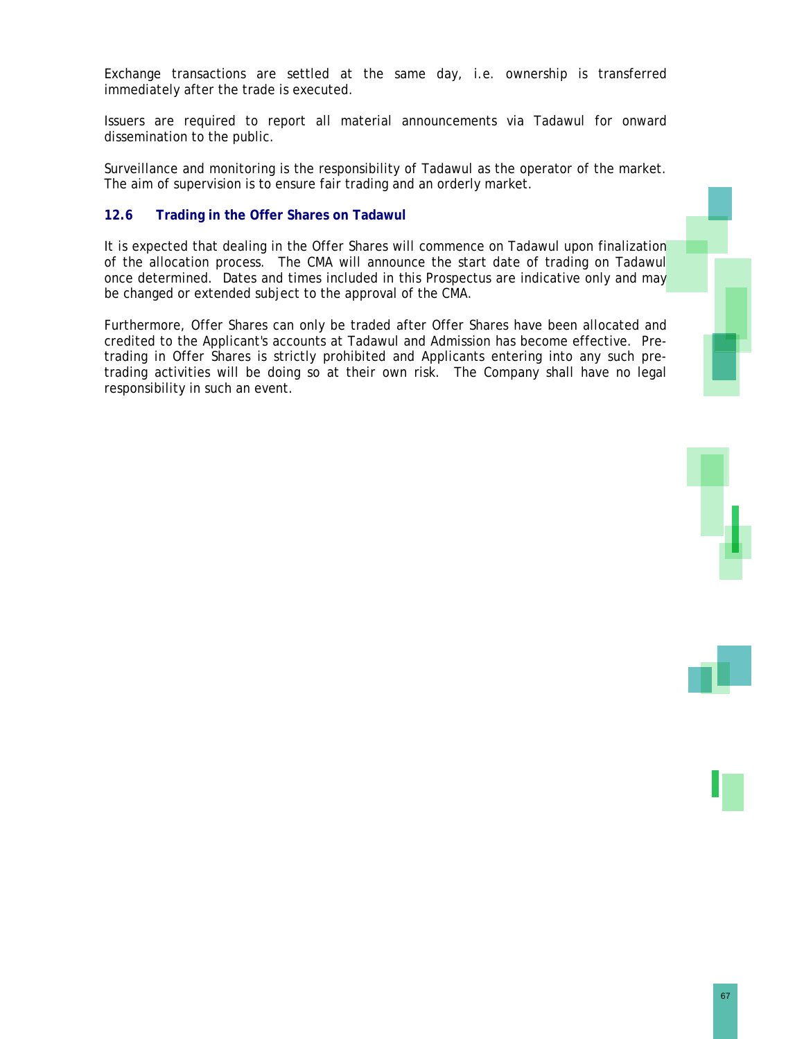Exchange transactions are settled at the same day, i.e. ownership is transferred immediately after the trade is executed.

Issuers are required to report all material announcements via Tadawul for onward dissemination to the public.

Surveillance and monitoring is the responsibility of Tadawul as the operator of the market. The aim of supervision is to ensure fair trading and an orderly market.

### **12.6 Trading in the Offer Shares on Tadawul**

It is expected that dealing in the Offer Shares will commence on Tadawul upon finalization of the allocation process. The CMA will announce the start date of trading on Tadawul once determined. Dates and times included in this Prospectus are indicative only and may be changed or extended subject to the approval of the CMA.

Furthermore, Offer Shares can only be traded after Offer Shares have been allocated and credited to the Applicant's accounts at Tadawul and Admission has become effective. Pretrading in Offer Shares is strictly prohibited and Applicants entering into any such pretrading activities will be doing so at their own risk. The Company shall have no legal responsibility in such an event.



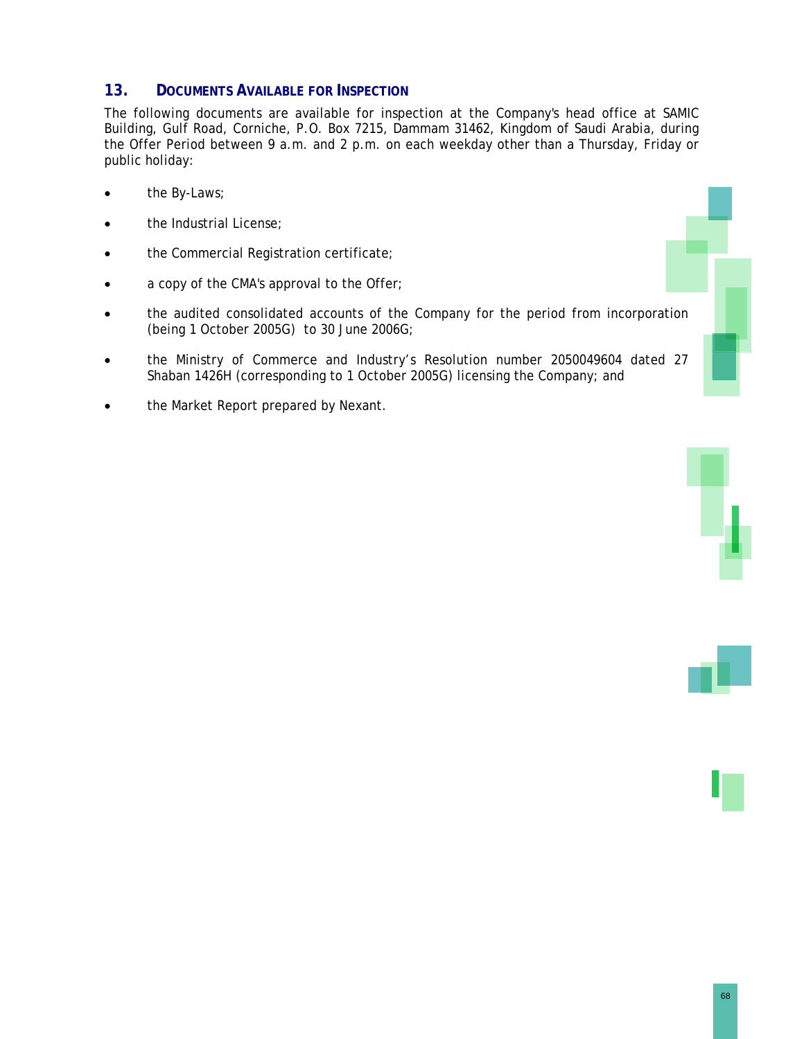### **13. DOCUMENTS AVAILABLE FOR INSPECTION**

The following documents are available for inspection at the Company's head office at SAMIC Building, Gulf Road, Corniche, P.O. Box 7215, Dammam 31462, Kingdom of Saudi Arabia, during the Offer Period between 9 a.m. and 2 p.m. on each weekday other than a Thursday, Friday or public holiday:

- the By-Laws;
- the Industrial License;
- the Commercial Registration certificate;
- a copy of the CMA's approval to the Offer;
- the audited consolidated accounts of the Company for the period from incorporation (being 1 October 2005G) to 30 June 2006G;
- the Ministry of Commerce and Industry's Resolution number 2050049604 dated 27 Shaban 1426H (corresponding to 1 October 2005G) licensing the Company; and
- the Market Report prepared by Nexant.



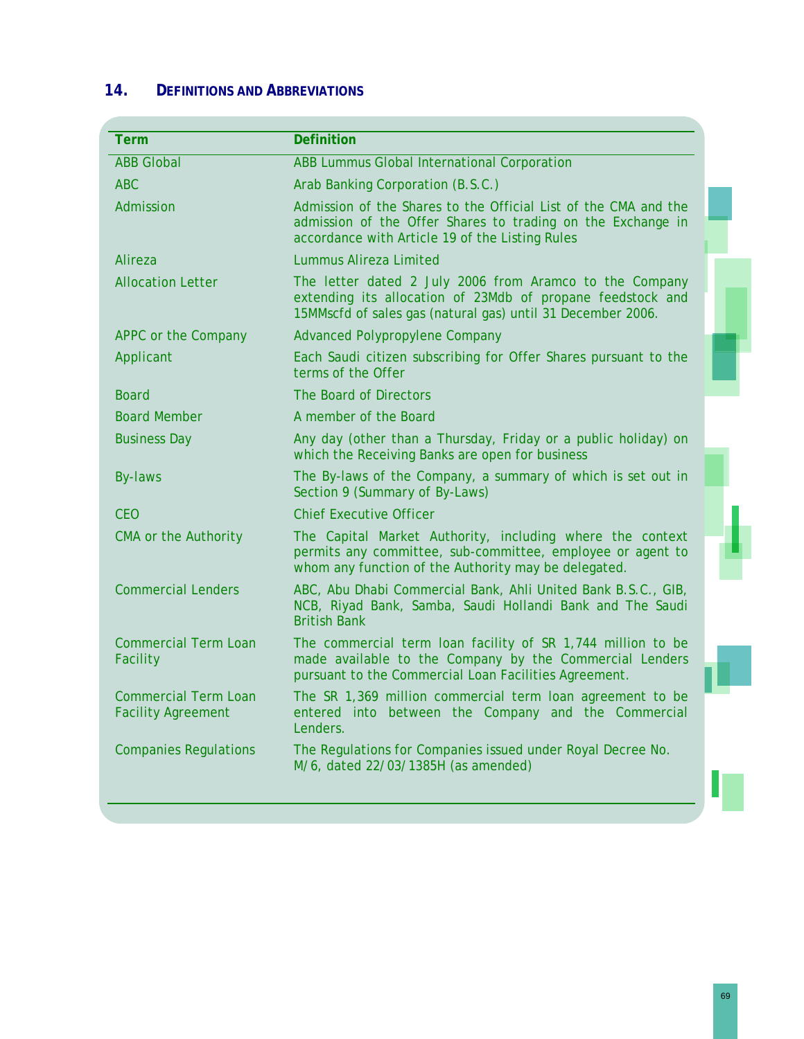# **14. DEFINITIONS AND ABBREVIATIONS**

| <b>Term</b>                                       | <b>Definition</b>                                                                                                                                                                    |
|---------------------------------------------------|--------------------------------------------------------------------------------------------------------------------------------------------------------------------------------------|
| <b>ABB Global</b>                                 | ABB Lummus Global International Corporation                                                                                                                                          |
| <b>ABC</b>                                        | Arab Banking Corporation (B.S.C.)                                                                                                                                                    |
| Admission                                         | Admission of the Shares to the Official List of the CMA and the<br>admission of the Offer Shares to trading on the Exchange in<br>accordance with Article 19 of the Listing Rules    |
| Alireza                                           | Lummus Alireza Limited                                                                                                                                                               |
| <b>Allocation Letter</b>                          | The letter dated 2 July 2006 from Aramco to the Company<br>extending its allocation of 23Mdb of propane feedstock and<br>15MMscfd of sales gas (natural gas) until 31 December 2006. |
| APPC or the Company                               | <b>Advanced Polypropylene Company</b>                                                                                                                                                |
| Applicant                                         | Each Saudi citizen subscribing for Offer Shares pursuant to the<br>terms of the Offer                                                                                                |
| <b>Board</b>                                      | The Board of Directors                                                                                                                                                               |
| <b>Board Member</b>                               | A member of the Board                                                                                                                                                                |
| <b>Business Day</b>                               | Any day (other than a Thursday, Friday or a public holiday) on<br>which the Receiving Banks are open for business                                                                    |
| By-laws                                           | The By-laws of the Company, a summary of which is set out in<br>Section 9 (Summary of By-Laws)                                                                                       |
| <b>CEO</b>                                        | <b>Chief Executive Officer</b>                                                                                                                                                       |
| <b>CMA or the Authority</b>                       | The Capital Market Authority, including where the context<br>permits any committee, sub-committee, employee or agent to<br>whom any function of the Authority may be delegated.      |
| <b>Commercial Lenders</b>                         | ABC, Abu Dhabi Commercial Bank, Ahli United Bank B.S.C., GIB,<br>NCB, Riyad Bank, Samba, Saudi Hollandi Bank and The Saudi<br><b>British Bank</b>                                    |
| <b>Commercial Term Loan</b><br>Facility           | The commercial term loan facility of SR 1,744 million to be<br>made available to the Company by the Commercial Lenders<br>pursuant to the Commercial Loan Facilities Agreement.      |
| Commercial Term Loan<br><b>Facility Agreement</b> | The SR 1,369 million commercial term loan agreement to be<br>entered into between the Company and the Commercial<br>Lenders.                                                         |
| <b>Companies Regulations</b>                      | The Regulations for Companies issued under Royal Decree No.<br>M/6, dated 22/03/1385H (as amended)                                                                                   |
|                                                   |                                                                                                                                                                                      |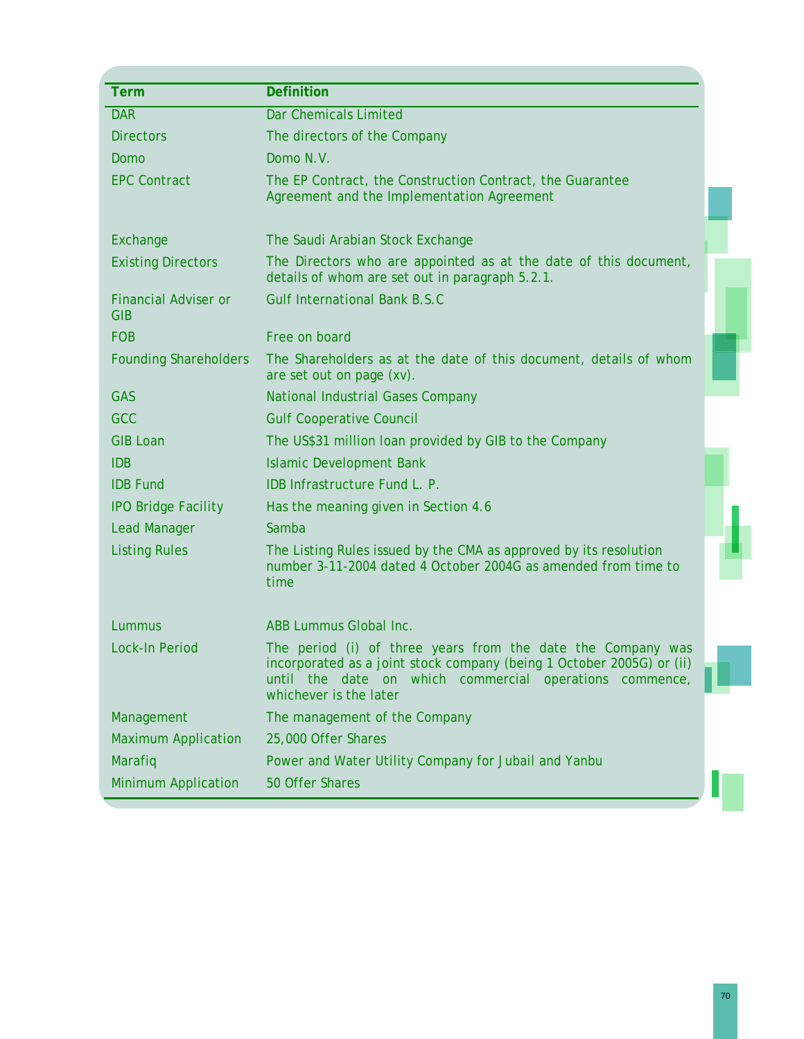| <b>Term</b>                               | <b>Definition</b>                                                                                                                                                                                                         |
|-------------------------------------------|---------------------------------------------------------------------------------------------------------------------------------------------------------------------------------------------------------------------------|
| <b>DAR</b>                                | <b>Dar Chemicals Limited</b>                                                                                                                                                                                              |
| <b>Directors</b>                          | The directors of the Company                                                                                                                                                                                              |
| Domo                                      | Domo N.V.                                                                                                                                                                                                                 |
| <b>EPC Contract</b>                       | The EP Contract, the Construction Contract, the Guarantee<br>Agreement and the Implementation Agreement                                                                                                                   |
| Exchange                                  | The Saudi Arabian Stock Exchange                                                                                                                                                                                          |
| <b>Existing Directors</b>                 | The Directors who are appointed as at the date of this document,<br>details of whom are set out in paragraph 5.2.1.                                                                                                       |
| <b>Financial Adviser or</b><br><b>GIB</b> | <b>Gulf International Bank B.S.C</b>                                                                                                                                                                                      |
| <b>FOB</b>                                | Free on board                                                                                                                                                                                                             |
| <b>Founding Shareholders</b>              | The Shareholders as at the date of this document, details of whom<br>are set out on page (xv).                                                                                                                            |
| <b>GAS</b>                                | <b>National Industrial Gases Company</b>                                                                                                                                                                                  |
| <b>GCC</b>                                | <b>Gulf Cooperative Council</b>                                                                                                                                                                                           |
| <b>GIB Loan</b>                           | The US\$31 million loan provided by GIB to the Company                                                                                                                                                                    |
| <b>IDB</b>                                | <b>Islamic Development Bank</b>                                                                                                                                                                                           |
| <b>IDB Fund</b>                           | IDB Infrastructure Fund L. P.                                                                                                                                                                                             |
| <b>IPO Bridge Facility</b>                | Has the meaning given in Section 4.6                                                                                                                                                                                      |
| <b>Lead Manager</b>                       | Samba                                                                                                                                                                                                                     |
| <b>Listing Rules</b>                      | The Listing Rules issued by the CMA as approved by its resolution<br>number 3-11-2004 dated 4 October 2004G as amended from time to<br>time                                                                               |
| Lummus                                    | ABB Lummus Global Inc.                                                                                                                                                                                                    |
| <b>Lock-In Period</b>                     | The period (i) of three years from the date the Company was<br>incorporated as a joint stock company (being 1 October 2005G) or (ii)<br>until the date on which commercial operations commence,<br>whichever is the later |
| Management                                | The management of the Company                                                                                                                                                                                             |
| <b>Maximum Application</b>                | 25,000 Offer Shares                                                                                                                                                                                                       |
| Marafiq                                   | Power and Water Utility Company for Jubail and Yanbu                                                                                                                                                                      |
| <b>Minimum Application</b>                | 50 Offer Shares                                                                                                                                                                                                           |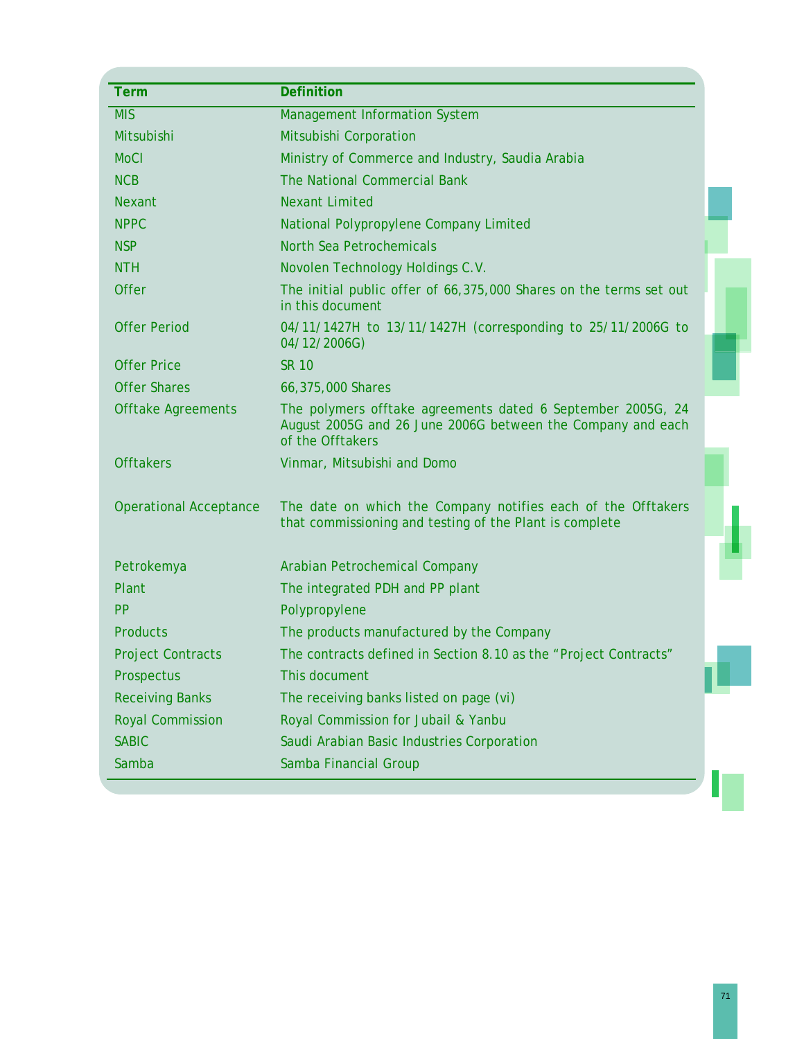| <b>Term</b>                   | <b>Definition</b>                                                                                                                              |  |
|-------------------------------|------------------------------------------------------------------------------------------------------------------------------------------------|--|
| <b>MIS</b>                    | <b>Management Information System</b>                                                                                                           |  |
| Mitsubishi                    | Mitsubishi Corporation                                                                                                                         |  |
| <b>MoCI</b>                   | Ministry of Commerce and Industry, Saudia Arabia                                                                                               |  |
| <b>NCB</b>                    | The National Commercial Bank                                                                                                                   |  |
| <b>Nexant</b>                 | <b>Nexant Limited</b>                                                                                                                          |  |
| <b>NPPC</b>                   | National Polypropylene Company Limited                                                                                                         |  |
| <b>NSP</b>                    | North Sea Petrochemicals                                                                                                                       |  |
| <b>NTH</b>                    | Novolen Technology Holdings C.V.                                                                                                               |  |
| <b>Offer</b>                  | The initial public offer of 66,375,000 Shares on the terms set out<br>in this document                                                         |  |
| <b>Offer Period</b>           | 04/11/1427H to 13/11/1427H (corresponding to 25/11/2006G to<br>04/12/2006G)                                                                    |  |
| <b>Offer Price</b>            | <b>SR 10</b>                                                                                                                                   |  |
| <b>Offer Shares</b>           | 66,375,000 Shares                                                                                                                              |  |
| <b>Offtake Agreements</b>     | The polymers offtake agreements dated 6 September 2005G, 24<br>August 2005G and 26 June 2006G between the Company and each<br>of the Offtakers |  |
| <b>Offtakers</b>              | Vinmar, Mitsubishi and Domo                                                                                                                    |  |
| <b>Operational Acceptance</b> | The date on which the Company notifies each of the Offtakers<br>that commissioning and testing of the Plant is complete                        |  |
| Petrokemya                    | Arabian Petrochemical Company                                                                                                                  |  |
| Plant                         | The integrated PDH and PP plant                                                                                                                |  |
| <b>PP</b>                     | Polypropylene                                                                                                                                  |  |
| <b>Products</b>               | The products manufactured by the Company                                                                                                       |  |
| <b>Project Contracts</b>      | The contracts defined in Section 8.10 as the "Project Contracts"                                                                               |  |
| Prospectus                    | This document                                                                                                                                  |  |
| <b>Receiving Banks</b>        | The receiving banks listed on page (vi)                                                                                                        |  |
| <b>Royal Commission</b>       | Royal Commission for Jubail & Yanbu                                                                                                            |  |
| <b>SABIC</b>                  | Saudi Arabian Basic Industries Corporation                                                                                                     |  |
|                               |                                                                                                                                                |  |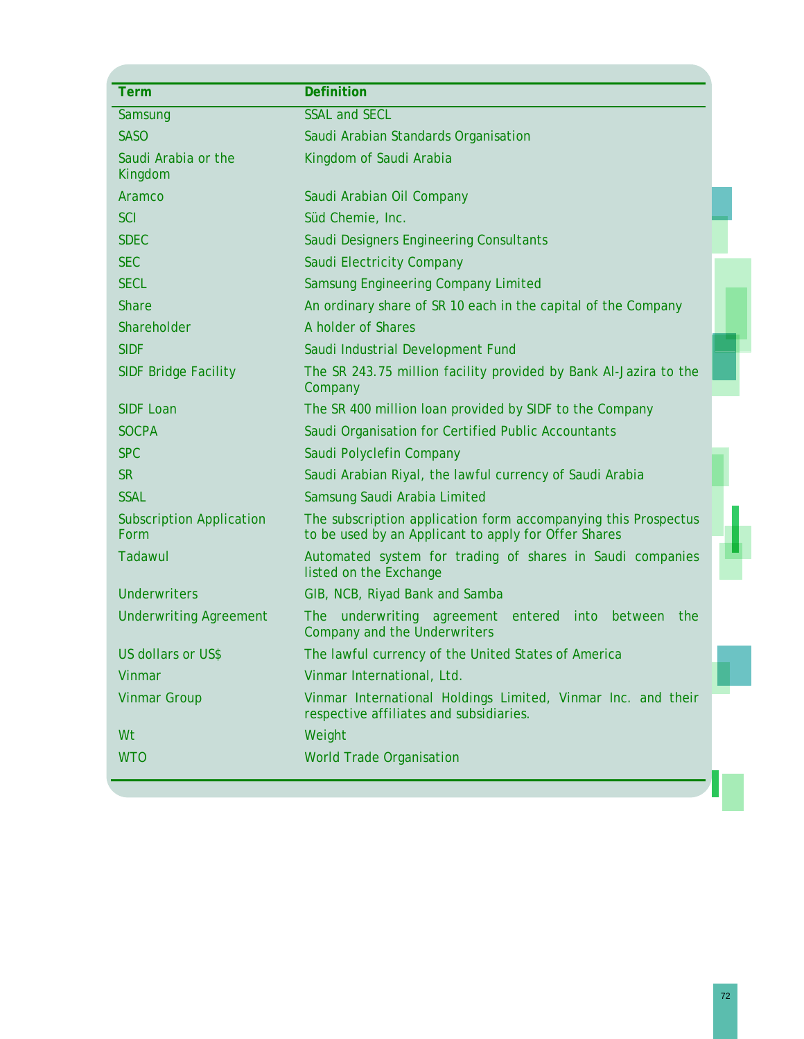| <b>Term</b>                             | <b>Definition</b>                                                                                                      |
|-----------------------------------------|------------------------------------------------------------------------------------------------------------------------|
| Samsung                                 | <b>SSAL and SECL</b>                                                                                                   |
| <b>SASO</b>                             | Saudi Arabian Standards Organisation                                                                                   |
| Saudi Arabia or the<br>Kingdom          | Kingdom of Saudi Arabia                                                                                                |
| Aramco                                  | Saudi Arabian Oil Company                                                                                              |
| <b>SCI</b>                              | Süd Chemie, Inc.                                                                                                       |
| <b>SDEC</b>                             | Saudi Designers Engineering Consultants                                                                                |
| <b>SEC</b>                              | Saudi Electricity Company                                                                                              |
| <b>SECL</b>                             | Samsung Engineering Company Limited                                                                                    |
| <b>Share</b>                            | An ordinary share of SR 10 each in the capital of the Company                                                          |
| Shareholder                             | A holder of Shares                                                                                                     |
| <b>SIDF</b>                             | Saudi Industrial Development Fund                                                                                      |
| <b>SIDF Bridge Facility</b>             | The SR 243.75 million facility provided by Bank Al-Jazira to the<br>Company                                            |
| <b>SIDF Loan</b>                        | The SR 400 million loan provided by SIDF to the Company                                                                |
| <b>SOCPA</b>                            | Saudi Organisation for Certified Public Accountants                                                                    |
| <b>SPC</b>                              | Saudi Polyclefin Company                                                                                               |
| <b>SR</b>                               | Saudi Arabian Riyal, the lawful currency of Saudi Arabia                                                               |
| <b>SSAL</b>                             | Samsung Saudi Arabia Limited                                                                                           |
| <b>Subscription Application</b><br>Form | The subscription application form accompanying this Prospectus<br>to be used by an Applicant to apply for Offer Shares |
| Tadawul                                 | Automated system for trading of shares in Saudi companies<br>listed on the Exchange                                    |
| <b>Underwriters</b>                     | GIB, NCB, Riyad Bank and Samba                                                                                         |
| <b>Underwriting Agreement</b>           | underwriting agreement<br>entered<br>between<br><b>The</b><br>into<br>the<br><b>Company and the Underwriters</b>       |
| US dollars or US\$                      | The lawful currency of the United States of America                                                                    |
| <b>Vinmar</b>                           | Vinmar International, Ltd.                                                                                             |
| <b>Vinmar Group</b>                     | Vinmar International Holdings Limited, Vinmar Inc. and their<br>respective affiliates and subsidiaries.                |
| Wt                                      | Weight                                                                                                                 |
| <b>WTO</b>                              | <b>World Trade Organisation</b>                                                                                        |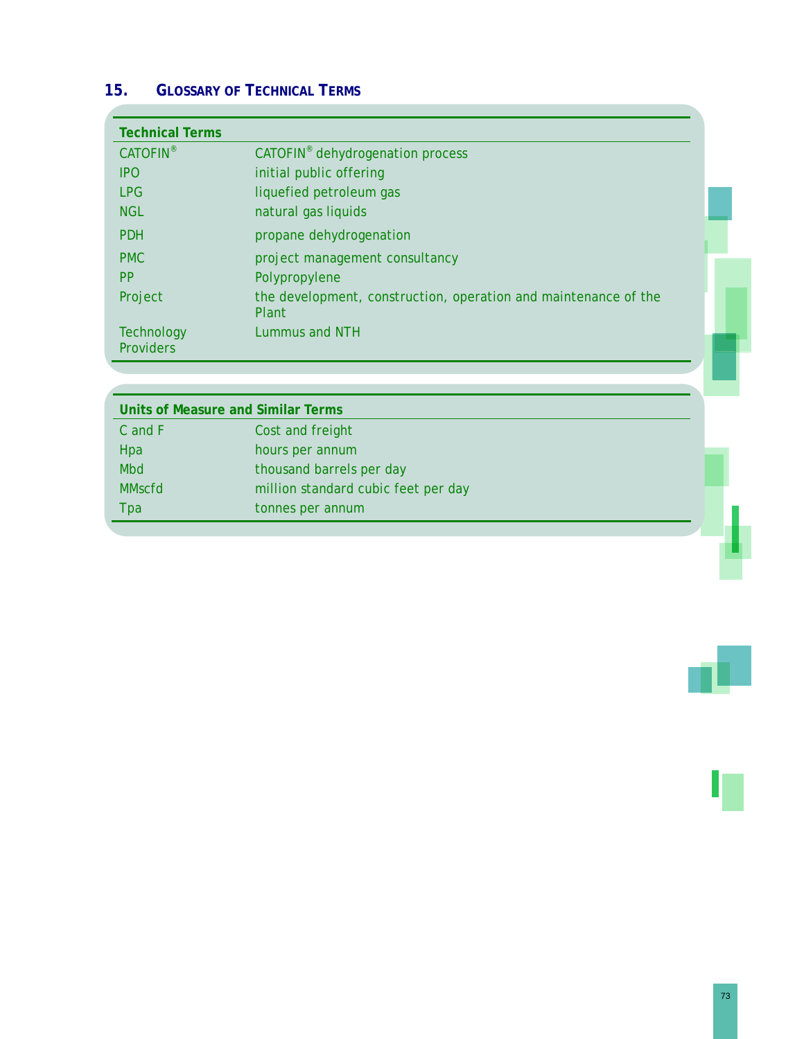# **15. GLOSSARY OF TECHNICAL TERMS**

| <b>Technical Terms</b>                |                                                                          |  |
|---------------------------------------|--------------------------------------------------------------------------|--|
| <b>CATOFIN®</b>                       | CATOFIN <sup>®</sup> dehydrogenation process                             |  |
| <b>IPO</b>                            | initial public offering                                                  |  |
| <b>LPG</b>                            | liquefied petroleum gas                                                  |  |
| <b>NGL</b>                            | natural gas liquids                                                      |  |
| <b>PDH</b>                            | propane dehydrogenation                                                  |  |
| <b>PMC</b>                            | project management consultancy                                           |  |
| <b>PP</b>                             | Polypropylene                                                            |  |
| Project                               | the development, construction, operation and maintenance of the<br>Plant |  |
| <b>Technology</b><br><b>Providers</b> | Lummus and NTH                                                           |  |

|               | Units of Measure and Similar Terms  |  |
|---------------|-------------------------------------|--|
| C and F       | Cost and freight                    |  |
| Hpa           | hours per annum                     |  |
| <b>Mbd</b>    | thousand barrels per day            |  |
| <b>MMscfd</b> | million standard cubic feet per day |  |
| Tpa           | tonnes per annum                    |  |
|               |                                     |  |

73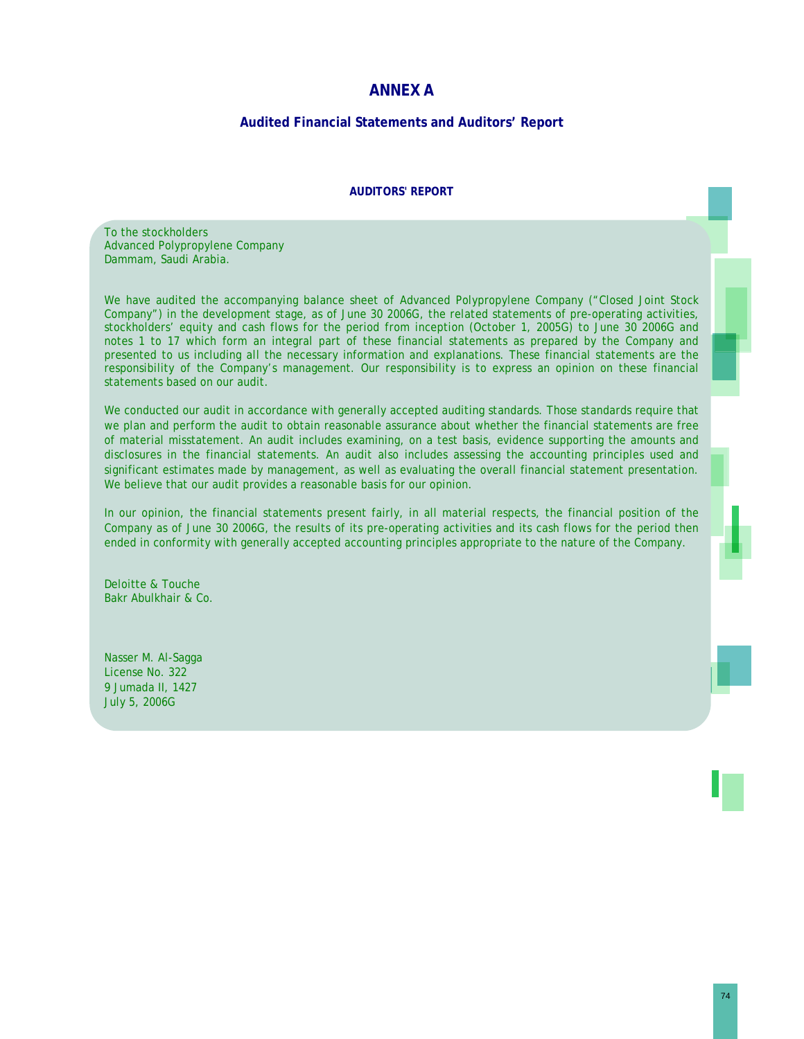### **ANNEX A**

### **Audited Financial Statements and Auditors' Report**

#### **AUDITORS' REPORT**

To the stockholders Advanced Polypropylene Company Dammam, Saudi Arabia.

We have audited the accompanying balance sheet of Advanced Polypropylene Company ("Closed Joint Stock") Company") in the development stage, as of June 30 2006G, the related statements of pre-operating activities, stockholders' equity and cash flows for the period from inception (October 1, 2005G) to June 30 2006G and notes 1 to 17 which form an integral part of these financial statements as prepared by the Company and presented to us including all the necessary information and explanations. These financial statements are the responsibility of the Company's management. Our responsibility is to express an opinion on these financial statements based on our audit.

We conducted our audit in accordance with generally accepted auditing standards. Those standards require that we plan and perform the audit to obtain reasonable assurance about whether the financial statements are free of material misstatement. An audit includes examining, on a test basis, evidence supporting the amounts and disclosures in the financial statements. An audit also includes assessing the accounting principles used and significant estimates made by management, as well as evaluating the overall financial statement presentation. We believe that our audit provides a reasonable basis for our opinion.

In our opinion, the financial statements present fairly, in all material respects, the financial position of the Company as of June 30 2006G, the results of its pre-operating activities and its cash flows for the period then ended in conformity with generally accepted accounting principles appropriate to the nature of the Company.

Deloitte & Touche Bakr Abulkhair & Co.

Nasser M. Al-Sagga License No. 322 9 Jumada II, 1427 July 5, 2006G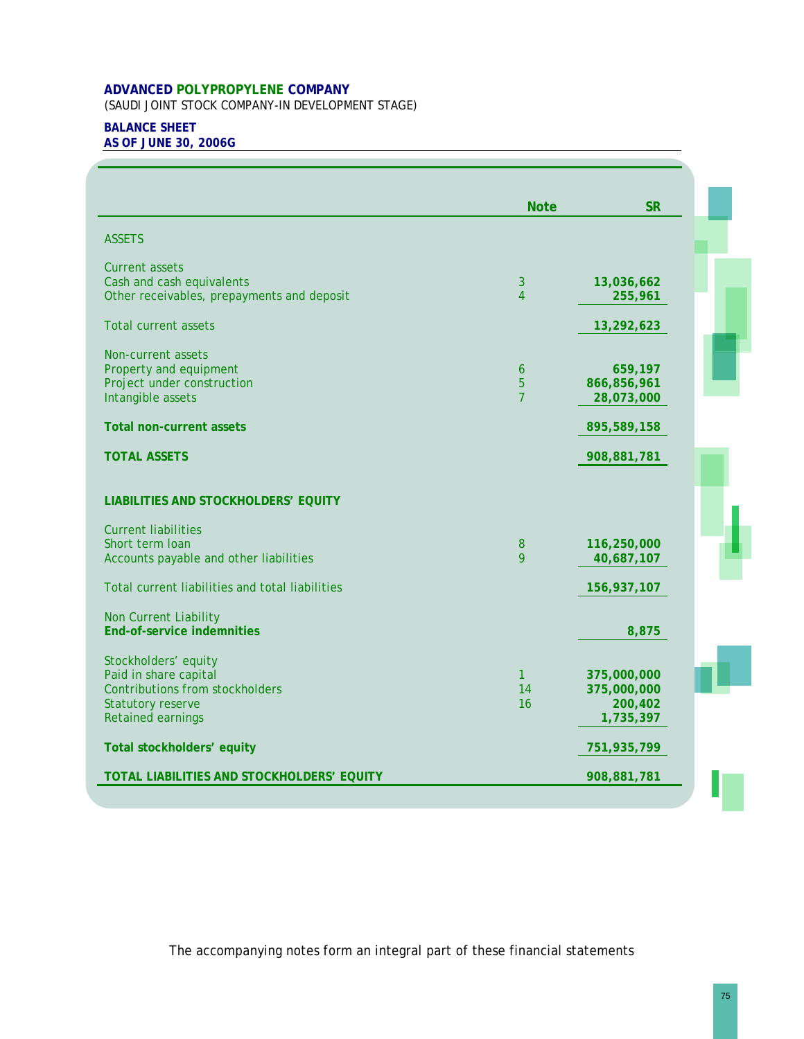(SAUDI JOINT STOCK COMPANY-IN DEVELOPMENT STAGE)

## **BALANCE SHEET**

**AS OF JUNE 30, 2006G** 

|                                                                         | <b>Note</b>       | <b>SR</b>             |
|-------------------------------------------------------------------------|-------------------|-----------------------|
| <b>ASSETS</b>                                                           |                   |                       |
| <b>Current assets</b>                                                   |                   |                       |
| Cash and cash equivalents<br>Other receivables, prepayments and deposit | $\mathbf{3}$<br>4 | 13,036,662<br>255,961 |
| <b>Total current assets</b>                                             |                   | 13,292,623            |
|                                                                         |                   |                       |
| Non-current assets<br>Property and equipment                            | 6                 | 659,197               |
| Project under construction                                              | 5                 | 866,856,961           |
| Intangible assets                                                       | $\overline{7}$    | 28,073,000            |
| <b>Total non-current assets</b>                                         |                   | 895,589,158           |
| <b>TOTAL ASSETS</b>                                                     |                   | 908,881,781           |
| LIABILITIES AND STOCKHOLDERS' EQUITY                                    |                   |                       |
| <b>Current liabilities</b>                                              |                   |                       |
| Short term loan                                                         | $\bf 8$           | 116,250,000           |
| Accounts payable and other liabilities                                  | 9                 | 40,687,107            |
| Total current liabilities and total liabilities                         |                   | 156,937,107           |
| Non Current Liability                                                   |                   |                       |
| <b>End-of-service indemnities</b>                                       |                   | 8,875                 |
| Stockholders' equity                                                    |                   |                       |
| Paid in share capital                                                   | $\mathbf{1}$      | 375,000,000           |
| <b>Contributions from stockholders</b>                                  | 14                | 375,000,000           |
| <b>Statutory reserve</b><br>Retained earnings                           | 16                | 200,402<br>1,735,397  |
|                                                                         |                   |                       |
| Total stockholders' equity                                              |                   | 751,935,799           |
| TOTAL LIABILITIES AND STOCKHOLDERS' EQUITY                              |                   | 908,881,781           |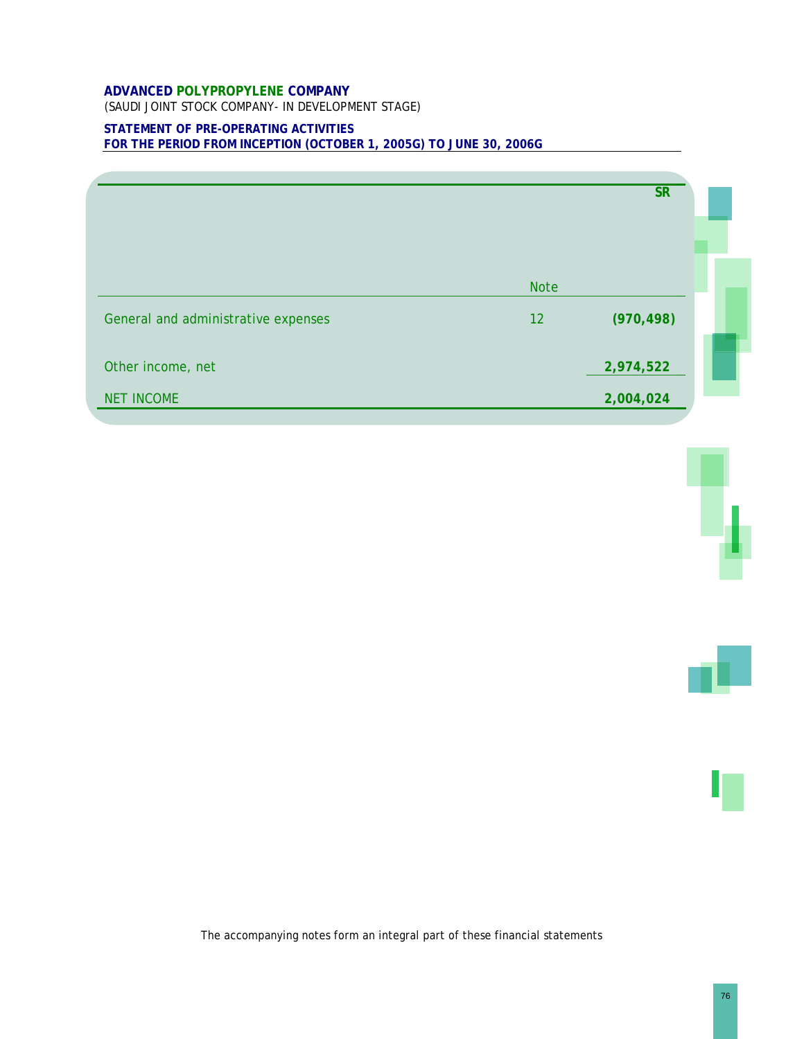(SAUDI JOINT STOCK COMPANY- IN DEVELOPMENT STAGE)

### **STATEMENT OF PRE-OPERATING ACTIVITIES FOR THE PERIOD FROM INCEPTION (OCTOBER 1, 2005G) TO JUNE 30, 2006G**

|                                        |                   | <b>SR</b>              |  |
|----------------------------------------|-------------------|------------------------|--|
| General and administrative expenses    | <b>Note</b><br>12 | (970, 498)             |  |
| Other income, net<br><b>NET INCOME</b> |                   | 2,974,522<br>2,004,024 |  |



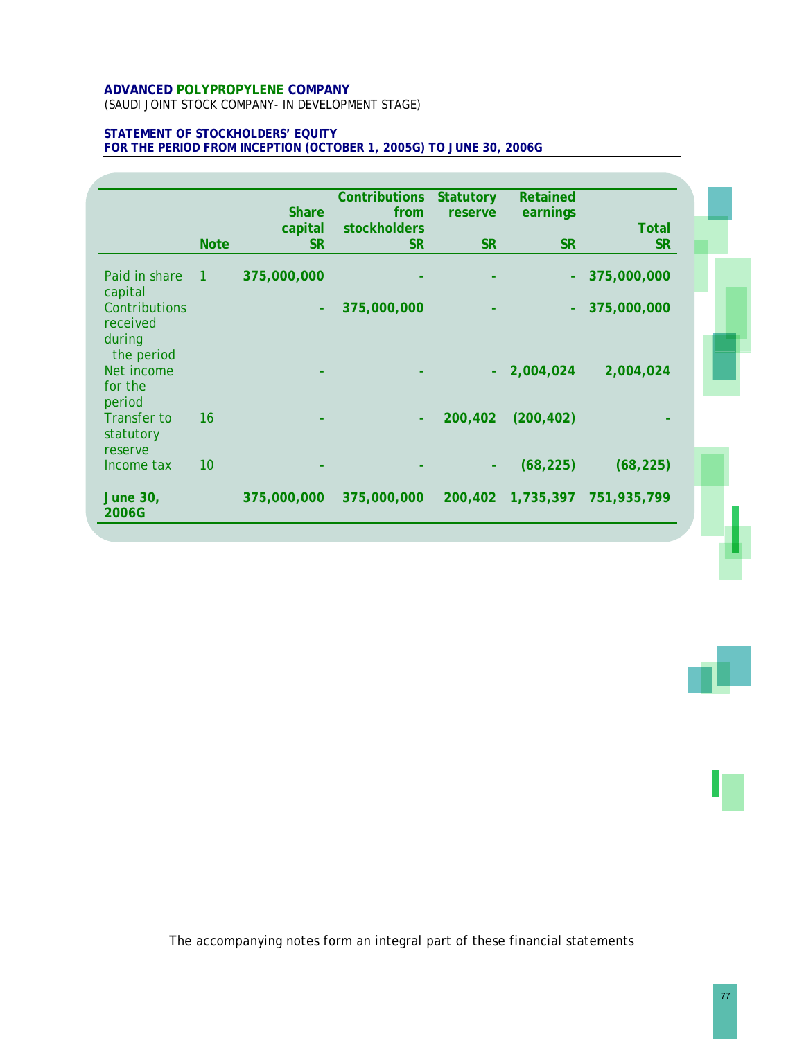(SAUDI JOINT STOCK COMPANY- IN DEVELOPMENT STAGE)

### **STATEMENT OF STOCKHOLDERS' EQUITY FOR THE PERIOD FROM INCEPTION (OCTOBER 1, 2005G) TO JUNE 30, 2006G**

|                                                   |                | <b>Share</b> | <b>Contributions</b><br>from | <b>Statutory</b><br>reserve | Retained<br>earnings |              |  |
|---------------------------------------------------|----------------|--------------|------------------------------|-----------------------------|----------------------|--------------|--|
|                                                   |                | capital      | stockholders                 |                             |                      | <b>Total</b> |  |
|                                                   | <b>Note</b>    | <b>SR</b>    | <b>SR</b>                    | <b>SR</b>                   | <b>SR</b>            | <b>SR</b>    |  |
| Paid in share<br>capital                          | $\overline{1}$ | 375,000,000  |                              |                             |                      | 375,000,000  |  |
| Contributions<br>received<br>during<br>the period |                | ÷.           | 375,000,000                  |                             |                      | 375,000,000  |  |
| Net income<br>for the<br>period                   |                |              |                              |                             | 2,004,024            | 2,004,024    |  |
| <b>Transfer to</b><br>statutory<br>reserve        | 16             |              |                              | 200,402                     | (200, 402)           |              |  |
| Income tax                                        | 10             |              |                              |                             | (68, 225)            | (68, 225)    |  |
| <b>June 30,</b><br>2006G                          |                | 375,000,000  | 375,000,000                  | 200,402                     | 1,735,397            | 751,935,799  |  |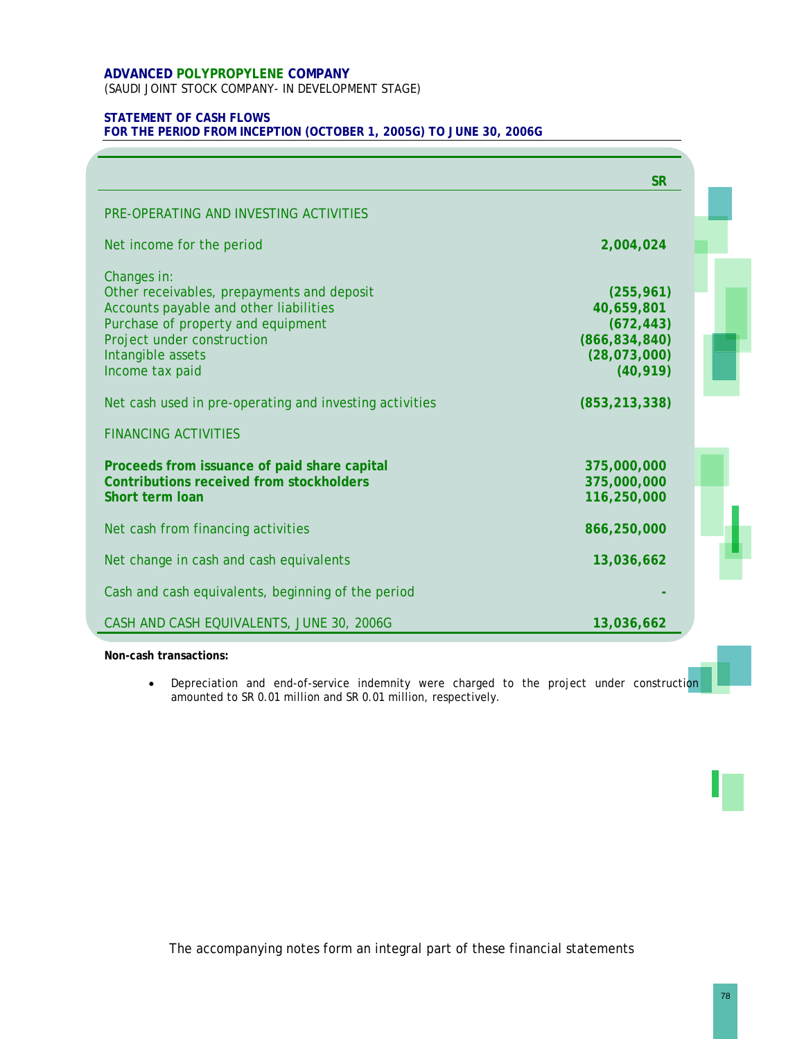(SAUDI JOINT STOCK COMPANY- IN DEVELOPMENT STAGE)

### **STATEMENT OF CASH FLOWS**

**FOR THE PERIOD FROM INCEPTION (OCTOBER 1, 2005G) TO JUNE 30, 2006G** 

|                                                         | <b>SR</b>       |  |
|---------------------------------------------------------|-----------------|--|
| PRE-OPERATING AND INVESTING ACTIVITIES                  |                 |  |
| Net income for the period                               | 2,004,024       |  |
| Changes in:                                             |                 |  |
| Other receivables, prepayments and deposit              | (255, 961)      |  |
| Accounts payable and other liabilities                  | 40,659,801      |  |
| Purchase of property and equipment                      | (672, 443)      |  |
| Project under construction                              | (866, 834, 840) |  |
| Intangible assets                                       | (28,073,000)    |  |
| Income tax paid                                         | (40, 919)       |  |
| Net cash used in pre-operating and investing activities | (853, 213, 338) |  |
| <b>FINANCING ACTIVITIES</b>                             |                 |  |
| Proceeds from issuance of paid share capital            | 375,000,000     |  |
| <b>Contributions received from stockholders</b>         | 375,000,000     |  |
| Short term loan                                         | 116,250,000     |  |
| Net cash from financing activities                      | 866,250,000     |  |
| Net change in cash and cash equivalents                 | 13,036,662      |  |
| Cash and cash equivalents, beginning of the period      |                 |  |
| CASH AND CASH EQUIVALENTS, JUNE 30, 2006G               | 13,036,662      |  |

#### **Non-cash transactions:**

• Depreciation and end-of-service indemnity were charged to the project under construction amounted to SR 0.01 million and SR 0.01 million, respectively.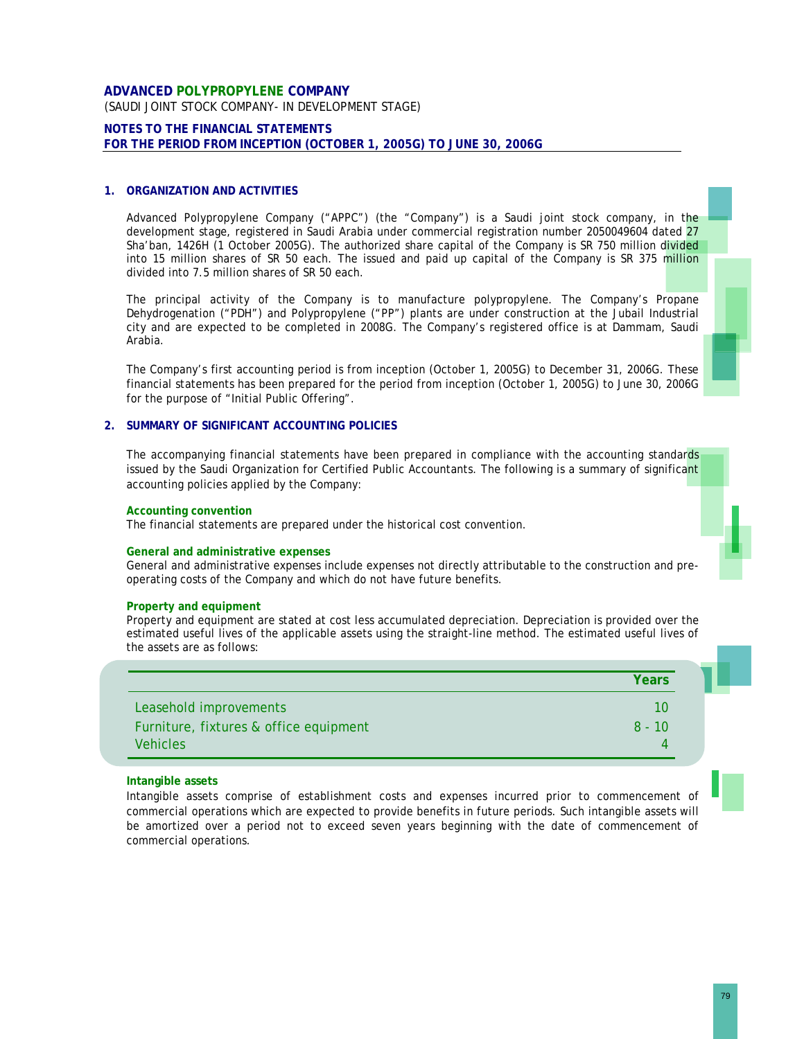### **ADVANCED POLYPROPYLENE COMPANY**  (SAUDI JOINT STOCK COMPANY- IN DEVELOPMENT STAGE)

#### **NOTES TO THE FINANCIAL STATEMENTS FOR THE PERIOD FROM INCEPTION (OCTOBER 1, 2005G) TO JUNE 30, 2006G**

#### **1. ORGANIZATION AND ACTIVITIES**

Advanced Polypropylene Company ("APPC") (the "Company") is a Saudi joint stock company, in the development stage, registered in Saudi Arabia under commercial registration number 2050049604 dated 27 Sha'ban, 1426H (1 October 2005G). The authorized share capital of the Company is SR 750 million divided into 15 million shares of SR 50 each. The issued and paid up capital of the Company is SR 375 million divided into 7.5 million shares of SR 50 each.

The principal activity of the Company is to manufacture polypropylene. The Company's Propane Dehydrogenation ("PDH") and Polypropylene ("PP") plants are under construction at the Jubail Industrial city and are expected to be completed in 2008G. The Company's registered office is at Dammam, Saudi Arabia.

The Company's first accounting period is from inception (October 1, 2005G) to December 31, 2006G. These financial statements has been prepared for the period from inception (October 1, 2005G) to June 30, 2006G for the purpose of "Initial Public Offering".

#### **2. SUMMARY OF SIGNIFICANT ACCOUNTING POLICIES**

The accompanying financial statements have been prepared in compliance with the accounting standards issued by the Saudi Organization for Certified Public Accountants. The following is a summary of significant accounting policies applied by the Company:

#### **Accounting convention**

The financial statements are prepared under the historical cost convention.

#### **General and administrative expenses**

General and administrative expenses include expenses not directly attributable to the construction and preoperating costs of the Company and which do not have future benefits.

#### **Property and equipment**

Property and equipment are stated at cost less accumulated depreciation. Depreciation is provided over the estimated useful lives of the applicable assets using the straight-line method. The estimated useful lives of the assets are as follows:

|                                        | Years    |
|----------------------------------------|----------|
| Leasehold improvements                 | 10       |
| Furniture, fixtures & office equipment | $8 - 10$ |
| <b>Vehicles</b>                        |          |

#### **Intangible assets**

Intangible assets comprise of establishment costs and expenses incurred prior to commencement of commercial operations which are expected to provide benefits in future periods. Such intangible assets will be amortized over a period not to exceed seven years beginning with the date of commencement of commercial operations.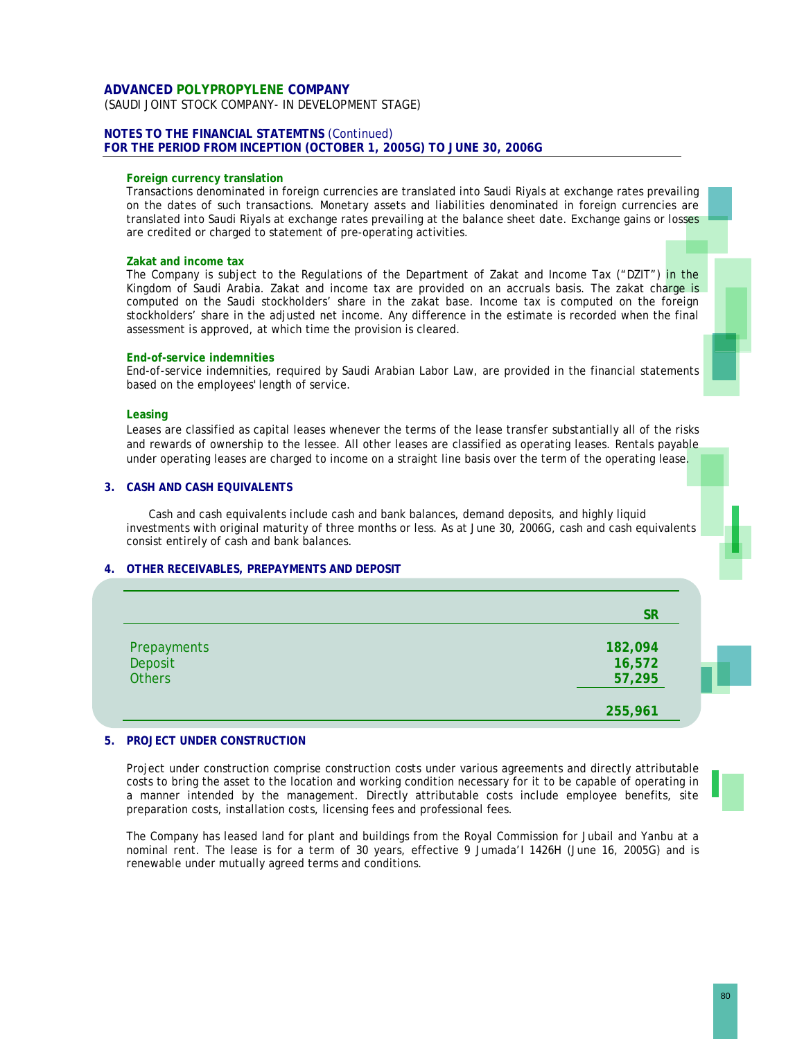(SAUDI JOINT STOCK COMPANY- IN DEVELOPMENT STAGE)

#### **NOTES TO THE FINANCIAL STATEMTNS** (Continued) **FOR THE PERIOD FROM INCEPTION (OCTOBER 1, 2005G) TO JUNE 30, 2006G**

#### **Foreign currency translation**

Transactions denominated in foreign currencies are translated into Saudi Riyals at exchange rates prevailing on the dates of such transactions. Monetary assets and liabilities denominated in foreign currencies are translated into Saudi Riyals at exchange rates prevailing at the balance sheet date. Exchange gains or losses are credited or charged to statement of pre-operating activities.

#### **Zakat and income tax**

The Company is subject to the Regulations of the Department of Zakat and Income Tax ("DZIT") in the Kingdom of Saudi Arabia. Zakat and income tax are provided on an accruals basis. The zakat charge is computed on the Saudi stockholders' share in the zakat base. Income tax is computed on the foreign stockholders' share in the adjusted net income. Any difference in the estimate is recorded when the final assessment is approved, at which time the provision is cleared.

#### **End-of-service indemnities**

End-of-service indemnities, required by Saudi Arabian Labor Law, are provided in the financial statements based on the employees' length of service.

#### **Leasing**

Leases are classified as capital leases whenever the terms of the lease transfer substantially all of the risks and rewards of ownership to the lessee. All other leases are classified as operating leases. Rentals payable under operating leases are charged to income on a straight line basis over the term of the operating lease.

#### **3. CASH AND CASH EQUIVALENTS**

Cash and cash equivalents include cash and bank balances, demand deposits, and highly liquid investments with original maturity of three months or less. As at June 30, 2006G, cash and cash equivalents consist entirely of cash and bank balances.

#### **4. OTHER RECEIVABLES, PREPAYMENTS AND DEPOSIT**

|               | <b>SR</b> |
|---------------|-----------|
| Prepayments   | 182,094   |
| Deposit       | 16,572    |
| <b>Others</b> | 57,295    |
|               | 255,961   |

#### **5. PROJECT UNDER CONSTRUCTION**

Project under construction comprise construction costs under various agreements and directly attributable costs to bring the asset to the location and working condition necessary for it to be capable of operating in a manner intended by the management. Directly attributable costs include employee benefits, site preparation costs, installation costs, licensing fees and professional fees.

The Company has leased land for plant and buildings from the Royal Commission for Jubail and Yanbu at a nominal rent. The lease is for a term of 30 years, effective 9 Jumada'I 1426H (June 16, 2005G) and is renewable under mutually agreed terms and conditions.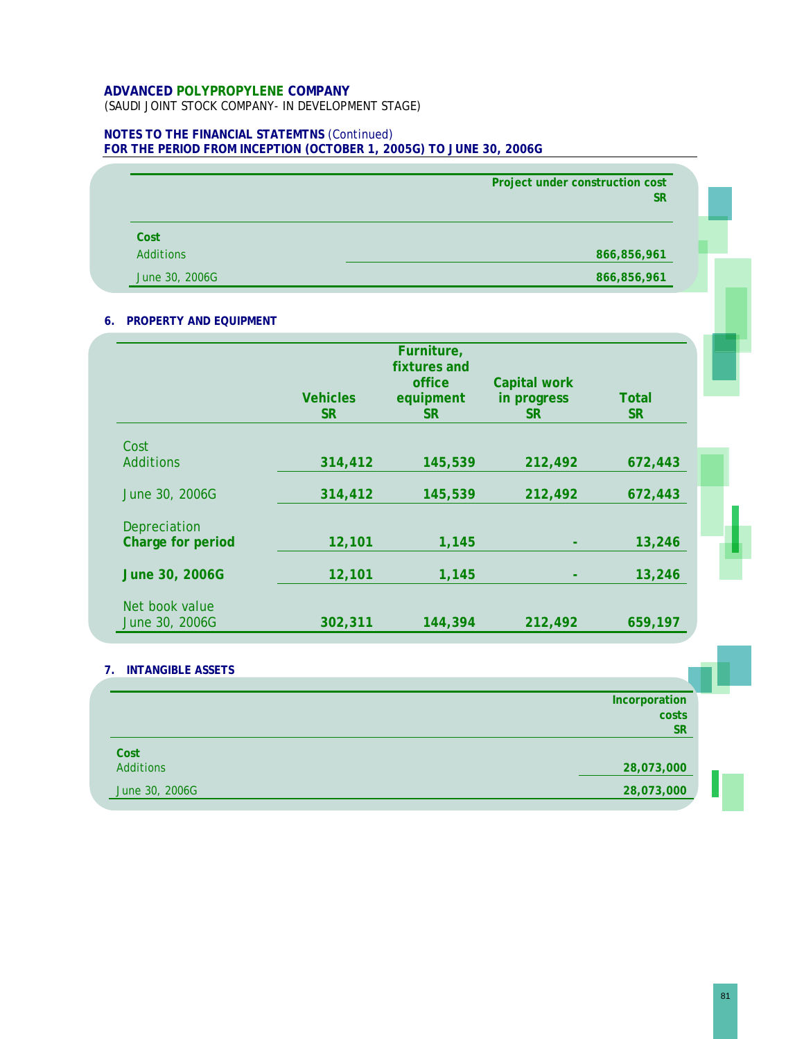(SAUDI JOINT STOCK COMPANY- IN DEVELOPMENT STAGE)

### **NOTES TO THE FINANCIAL STATEMTNS** (Continued) **FOR THE PERIOD FROM INCEPTION (OCTOBER 1, 2005G) TO JUNE 30, 2006G**

|                | Project under construction cost<br><b>SR</b> |
|----------------|----------------------------------------------|
| Cost           |                                              |
| Additions      | 866,856,961                                  |
| June 30, 2006G | 866,856,961                                  |

### **6. PROPERTY AND EQUIPMENT**

|                                  |                              | Furniture,<br>fixtures and<br>office | Capital work             |                    |
|----------------------------------|------------------------------|--------------------------------------|--------------------------|--------------------|
|                                  | <b>Vehicles</b><br><b>SR</b> | equipment<br><b>SR</b>               | in progress<br><b>SR</b> | Total<br><b>SR</b> |
|                                  |                              |                                      |                          |                    |
| Cost<br><b>Additions</b>         | 314,412                      | 145,539                              | 212,492                  | 672,443            |
| June 30, 2006G                   | 314,412                      | 145,539                              | 212,492                  | 672,443            |
| Depreciation                     |                              |                                      |                          |                    |
| Charge for period                | 12,101                       | 1,145                                |                          | 13,246             |
| June 30, 2006G                   | 12,101                       | 1,145                                |                          | 13,246             |
| Net book value<br>June 30, 2006G | 302,311                      | 144,394                              | 212,492                  | 659,197            |

#### **7. INTANGIBLE ASSETS**

|                | Incorporation |  |
|----------------|---------------|--|
|                | costs         |  |
|                | <b>SR</b>     |  |
| Cost           |               |  |
| Additions      | 28,073,000    |  |
| June 30, 2006G | 28,073,000    |  |
|                |               |  |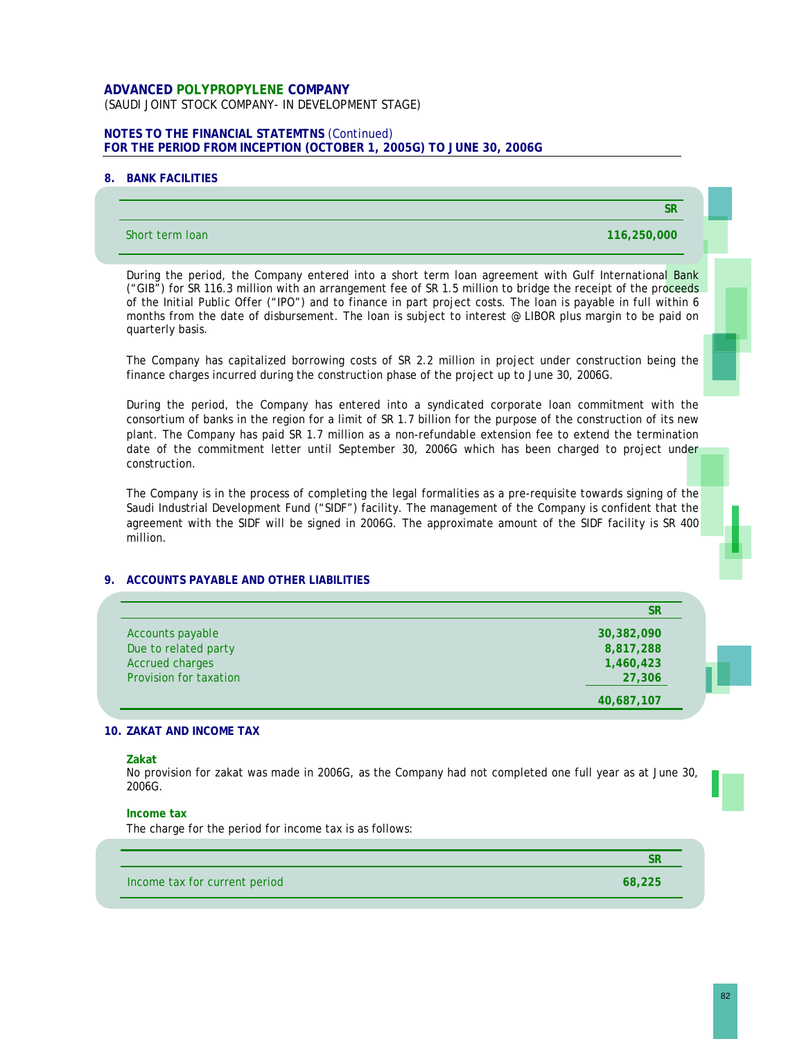### **ADVANCED POLYPROPYLENE COMPANY**  (SAUDI JOINT STOCK COMPANY- IN DEVELOPMENT STAGE)

### **NOTES TO THE FINANCIAL STATEMTNS** (Continued) **FOR THE PERIOD FROM INCEPTION (OCTOBER 1, 2005G) TO JUNE 30, 2006G**

#### **8. BANK FACILITIES**

| Short term loan<br>116,250,000                                                                                                                                                                                                                                                                                                                                                                                                                                        |
|-----------------------------------------------------------------------------------------------------------------------------------------------------------------------------------------------------------------------------------------------------------------------------------------------------------------------------------------------------------------------------------------------------------------------------------------------------------------------|
| During the period, the Company entered into a short term loan agreement with Gulf International Bank<br>("GIB") for SR 116.3 million with an arrangement fee of SR 1.5 million to bridge the receipt of the proceeds<br>of the Initial Public Offer ("IPO") and to finance in part project costs. The loan is payable in full within 6<br>months from the date of disbursement. The loan is subject to interest @ LIBOR plus margin to be paid on<br>quarterly basis. |
| The Company has capitalized borrowing costs of SR 2.2 million in project under construction being the<br>finance charges incurred during the construction phase of the project up to June 30, 2006G.                                                                                                                                                                                                                                                                  |
| During the period, the Company has entered into a syndicated corporate loan commitment with the<br>consortium of banks in the region for a limit of SR 1.7 billion for the purpose of the construction of its new<br>plant. The Company has paid SR 1.7 million as a non-refundable extension fee to extend the termination<br>date of the commitment letter until September 30, 2006G which has been charged to project under<br>construction.                       |
| The Company is in the process of completing the legal formalities as a pre-requisite towards signing of the<br>Saudi Industrial Development Fund ("SIDF") facility. The management of the Company is confident that the<br>agreement with the SIDF will be signed in 2006G. The approximate amount of the SIDF facility is SR 400<br>million.                                                                                                                         |
| 9. ACCOUNTS PAYABLE AND OTHER LIABILITIES                                                                                                                                                                                                                                                                                                                                                                                                                             |

|                        | SR         |
|------------------------|------------|
| Accounts payable       | 30,382,090 |
| Due to related party   | 8,817,288  |
| <b>Accrued charges</b> | 1,460,423  |
| Provision for taxation | 27,306     |
|                        | 40,687,107 |

#### **10. ZAKAT AND INCOME TAX**

**Zakat** 

No provision for zakat was made in 2006G, as the Company had not completed one full year as at June 30, 2006G.

#### **Income tax**

The charge for the period for income tax is as follows:

Income tax for current period **68,225** 

**SR**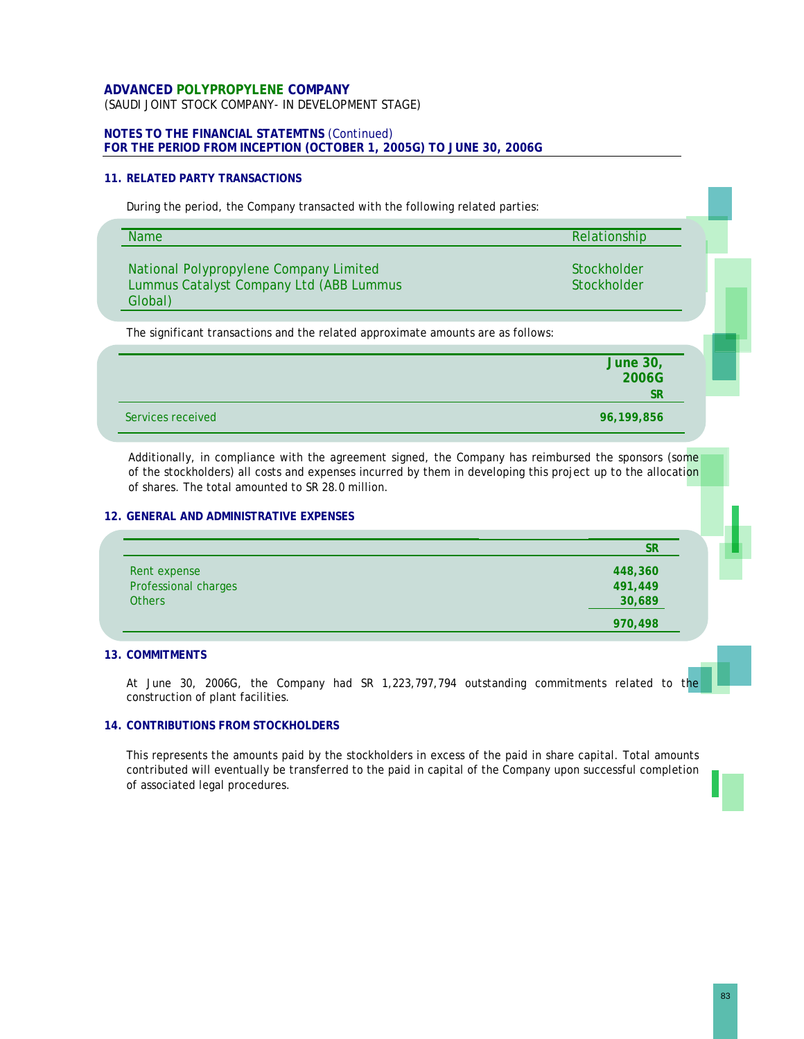#### **ADVANCED POLYPROPYLENE COMPANY** (SAUDI JOINT STOCK COMPANY- IN DEVELOPMENT STAGE)

### **NOTES TO THE FINANCIAL STATEMTNS** (Continued) **FOR THE PERIOD FROM INCEPTION (OCTOBER 1, 2005G) TO JUNE 30, 2006G**

#### **11. RELATED PARTY TRANSACTIONS**

During the period, the Company transacted with the following related parties:

| <b>Name</b>                                                                                  | Relationship                          |
|----------------------------------------------------------------------------------------------|---------------------------------------|
| National Polypropylene Company Limited<br>Lummus Catalyst Company Ltd (ABB Lummus<br>Global) | Stockholder<br>Stockholder            |
| The significant transactions and the related approximate amounts are as follows:             |                                       |
|                                                                                              |                                       |
|                                                                                              | <b>June 30,</b><br>2006G<br><b>SR</b> |

Additionally, in compliance with the agreement signed, the Company has reimbursed the sponsors (some of the stockholders) all costs and expenses incurred by them in developing this project up to the allocation of shares. The total amounted to SR 28.0 million.

#### **12. GENERAL AND ADMINISTRATIVE EXPENSES**

|                      | <b>SR</b> |
|----------------------|-----------|
| Rent expense         | 448,360   |
| Professional charges | 491,449   |
| <b>Others</b>        | 30,689    |
|                      | 970,498   |

#### **13. COMMITMENTS**

At June 30, 2006G, the Company had SR 1,223,797,794 outstanding commitments related to the construction of plant facilities.

#### **14. CONTRIBUTIONS FROM STOCKHOLDERS**

This represents the amounts paid by the stockholders in excess of the paid in share capital. Total amounts contributed will eventually be transferred to the paid in capital of the Company upon successful completion of associated legal procedures.